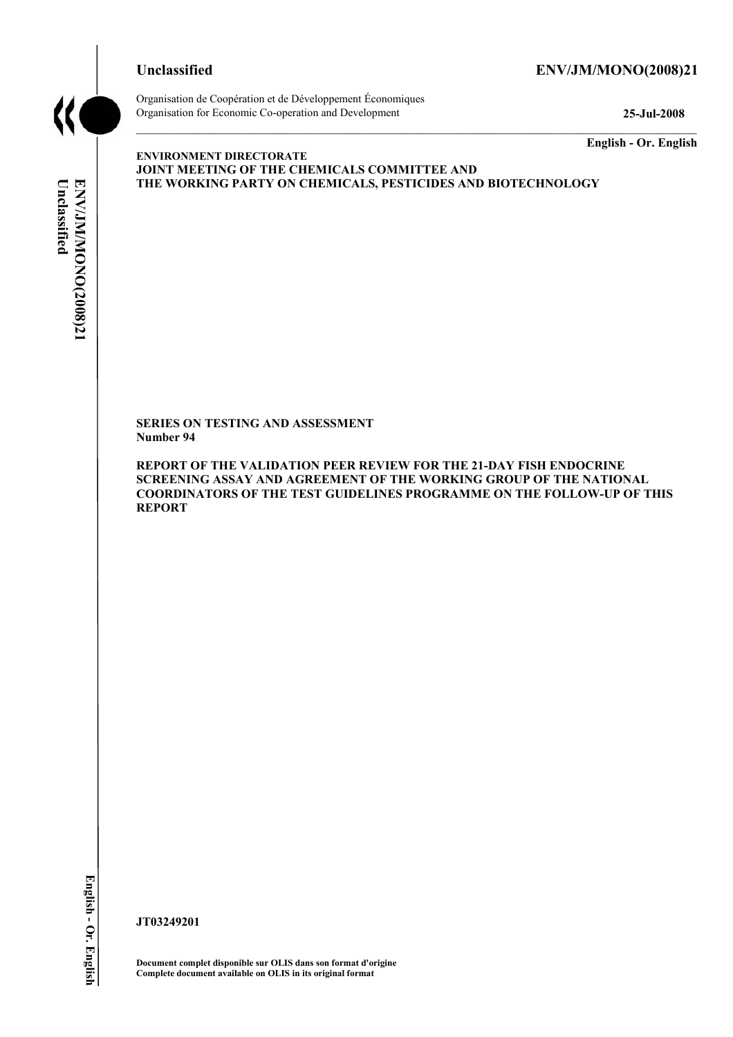#### **Unclassified ENV/JM/MONO(2008)21**



Organisation de Coopération et de Développement Économiques Organisation for Economic Co-operation and Development **25-Jul-2008** 

**English - Or. English** 

# Unclassified **Unclassified**  ENV/JM/MONONO(2008)21 **ENV/JM/MONO(2008)21 English - Or. English**

**ENVIRONMENT DIRECTORATE JOINT MEETING OF THE CHEMICALS COMMITTEE AND THE WORKING PARTY ON CHEMICALS, PESTICIDES AND BIOTECHNOLOGY** 

**SERIES ON TESTING AND ASSESSMENT Number 94** 

**REPORT OF THE VALIDATION PEER REVIEW FOR THE 21-DAY FISH ENDOCRINE SCREENING ASSAY AND AGREEMENT OF THE WORKING GROUP OF THE NATIONAL COORDINATORS OF THE TEST GUIDELINES PROGRAMME ON THE FOLLOW-UP OF THIS REPORT** 

**JT03249201** 

**Document complet disponible sur OLIS dans son format d'origine Complete document available on OLIS in its original format**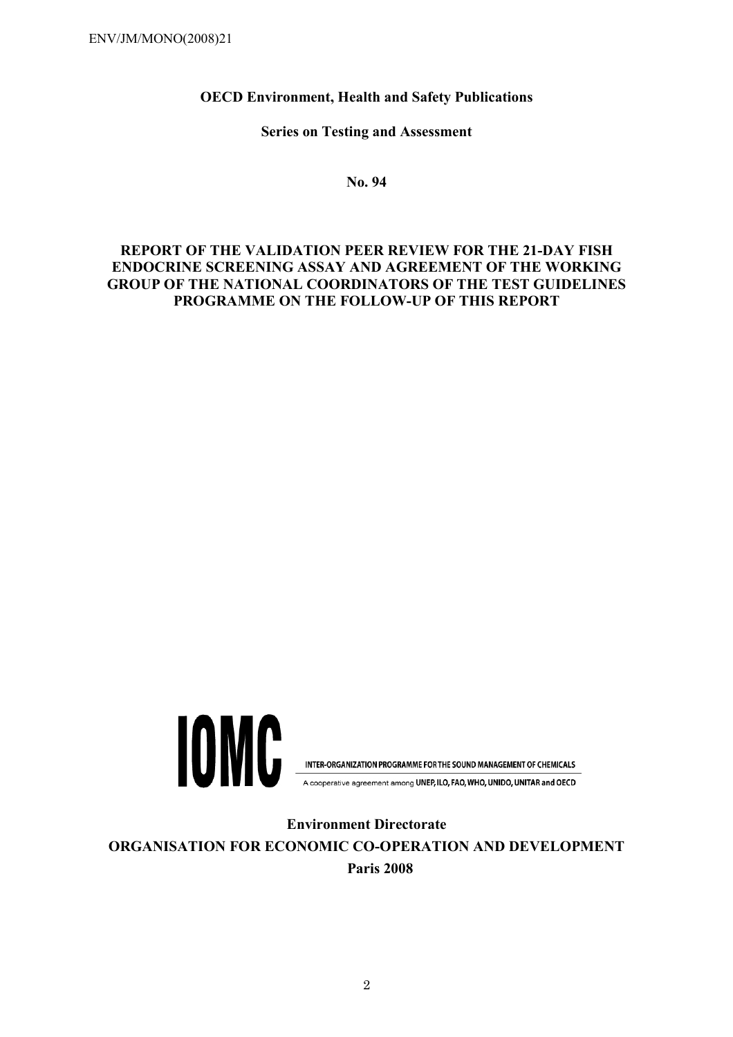# **OECD Environment, Health and Safety Publications**

#### **Series on Testing and Assessment**

**No. 94** 

# **REPORT OF THE VALIDATION PEER REVIEW FOR THE 21-DAY FISH ENDOCRINE SCREENING ASSAY AND AGREEMENT OF THE WORKING GROUP OF THE NATIONAL COORDINATORS OF THE TEST GUIDELINES PROGRAMME ON THE FOLLOW-UP OF THIS REPORT**



INTER-ORGANIZATION PROGRAMME FOR THE SOUND MANAGEMENT OF CHEMICALS A cooperative agreement among UNEP, ILO, FAO, WHO, UNIDO, UNITAR and OECD

**Environment Directorate ORGANISATION FOR ECONOMIC CO-OPERATION AND DEVELOPMENT Paris 2008**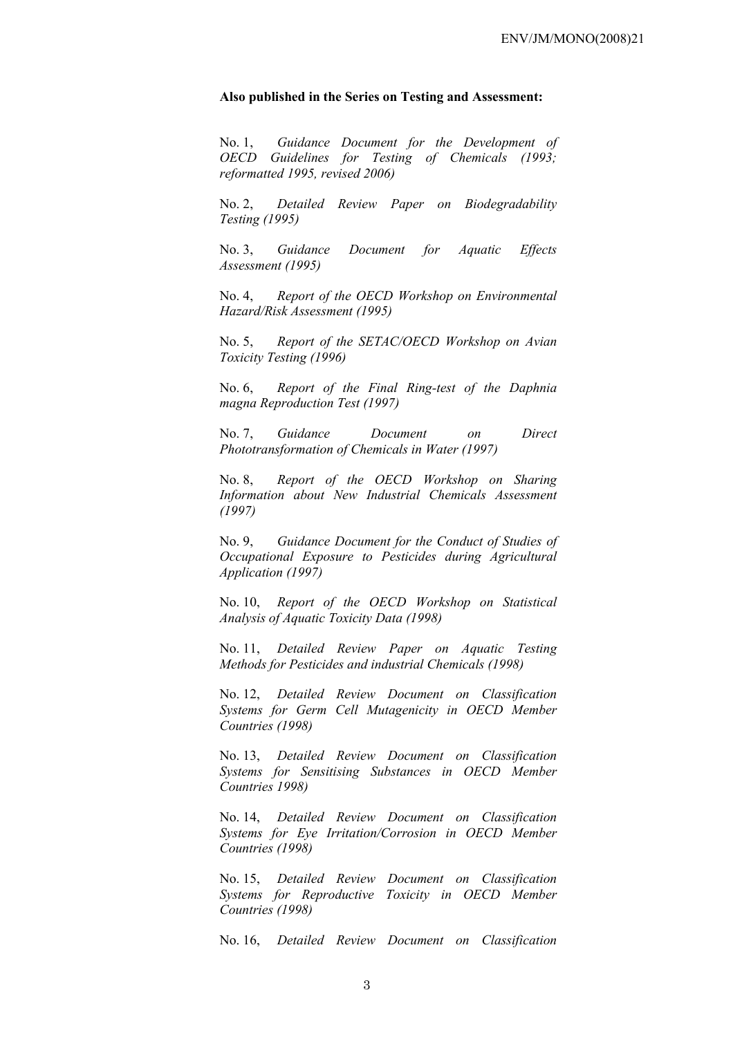#### **Also published in the Series on Testing and Assessment:**

No. 1, *Guidance Document for the Development of OECD Guidelines for Testing of Chemicals (1993; reformatted 1995, revised 2006)*

No. 2, *Detailed Review Paper on Biodegradability Testing (1995)*

No. 3, *Guidance Document for Aquatic Effects Assessment (1995)* 

No. 4, *Report of the OECD Workshop on Environmental Hazard/Risk Assessment (1995)*

No. 5, *Report of the SETAC/OECD Workshop on Avian Toxicity Testing (1996)*

No. 6, *Report of the Final Ring-test of the Daphnia magna Reproduction Test (1997)*

No. 7, *Guidance Document on Direct Phototransformation of Chemicals in Water (1997)* 

No. 8, *Report of the OECD Workshop on Sharing Information about New Industrial Chemicals Assessment (1997)*

No. 9, *Guidance Document for the Conduct of Studies of Occupational Exposure to Pesticides during Agricultural Application (1997)*

No. 10, *Report of the OECD Workshop on Statistical Analysis of Aquatic Toxicity Data (1998)*

No. 11, *Detailed Review Paper on Aquatic Testing Methods for Pesticides and industrial Chemicals (1998)*

No. 12, *Detailed Review Document on Classification Systems for Germ Cell Mutagenicity in OECD Member Countries (1998)*

No. 13, *Detailed Review Document on Classification Systems for Sensitising Substances in OECD Member Countries 1998)*

No. 14, *Detailed Review Document on Classification Systems for Eye Irritation/Corrosion in OECD Member Countries (1998)*

No. 15, *Detailed Review Document on Classification Systems for Reproductive Toxicity in OECD Member Countries (1998)*

No. 16, *Detailed Review Document on Classification*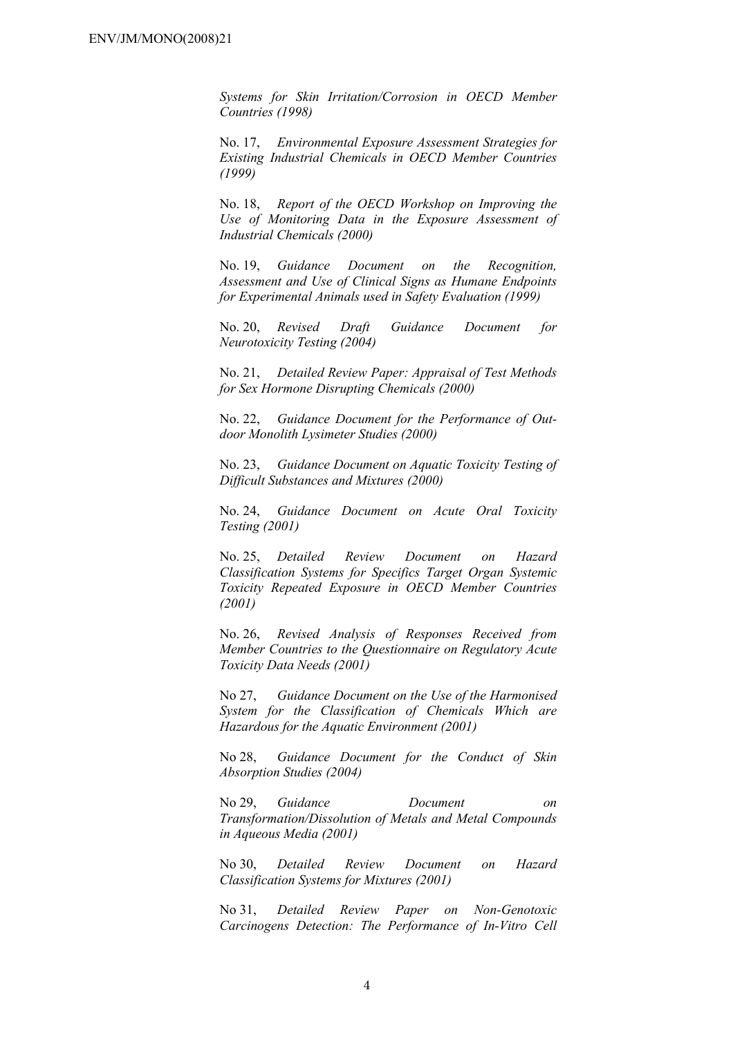*Systems for Skin Irritation/Corrosion in OECD Member Countries (1998)*

No. 17, *Environmental Exposure Assessment Strategies for Existing Industrial Chemicals in OECD Member Countries (1999)*

No. 18, *Report of the OECD Workshop on Improving the Use of Monitoring Data in the Exposure Assessment of Industrial Chemicals (2000)*

No. 19, *Guidance Document on the Recognition, Assessment and Use of Clinical Signs as Humane Endpoints for Experimental Animals used in Safety Evaluation (1999)*

No. 20, *Revised Draft Guidance Document for Neurotoxicity Testing (2004)*

No. 21, *Detailed Review Paper: Appraisal of Test Methods for Sex Hormone Disrupting Chemicals (2000)*

No. 22, *Guidance Document for the Performance of Outdoor Monolith Lysimeter Studies (2000)*

No. 23, *Guidance Document on Aquatic Toxicity Testing of Difficult Substances and Mixtures (2000)*

No. 24, *Guidance Document on Acute Oral Toxicity Testing (2001)*

No. 25, *Detailed Review Document on Hazard Classification Systems for Specifics Target Organ Systemic Toxicity Repeated Exposure in OECD Member Countries (2001)*

No. 26, *Revised Analysis of Responses Received from Member Countries to the Questionnaire on Regulatory Acute Toxicity Data Needs (2001)*

No 27, *Guidance Document on the Use of the Harmonised System for the Classification of Chemicals Which are Hazardous for the Aquatic Environment (2001)*

No 28, *Guidance Document for the Conduct of Skin Absorption Studies (2004)*

No 29, *Guidance Document on Transformation/Dissolution of Metals and Metal Compounds in Aqueous Media (2001)*

No 30, *Detailed Review Document on Hazard Classification Systems for Mixtures (2001)*

No 31, *Detailed Review Paper on Non-Genotoxic Carcinogens Detection: The Performance of In-Vitro Cell*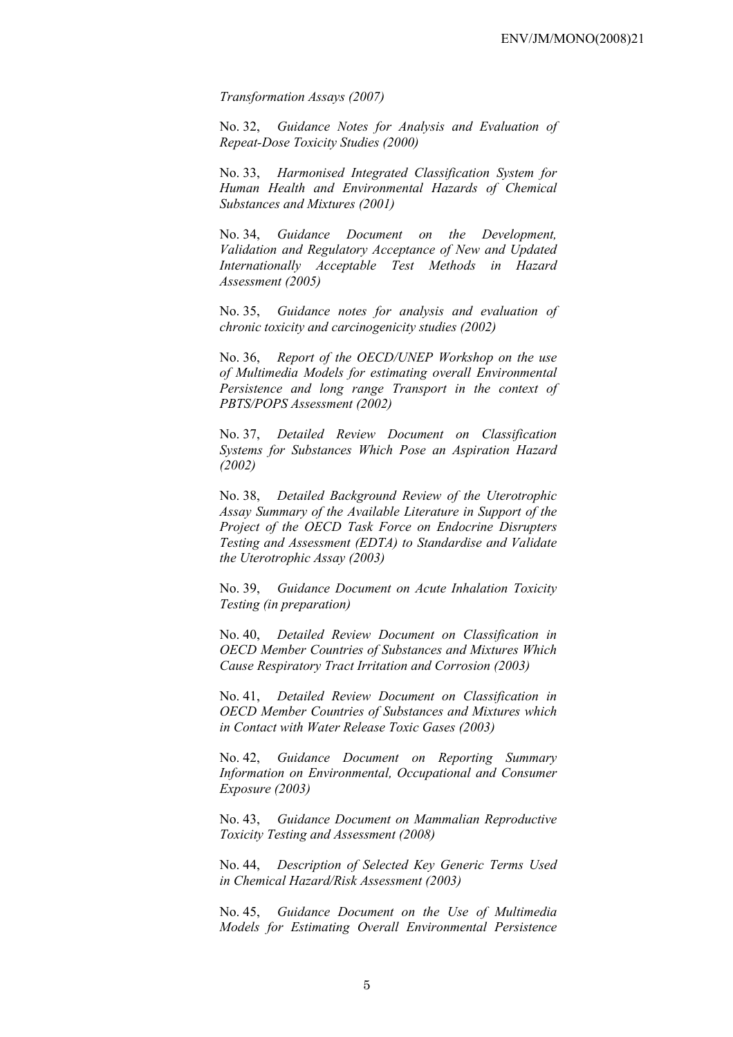*Transformation Assays (2007)* 

No. 32, *Guidance Notes for Analysis and Evaluation of Repeat-Dose Toxicity Studies (2000)*

No. 33, *Harmonised Integrated Classification System for Human Health and Environmental Hazards of Chemical Substances and Mixtures (2001)*

No. 34, *Guidance Document on the Development, Validation and Regulatory Acceptance of New and Updated Internationally Acceptable Test Methods in Hazard Assessment (2005)*

No. 35, *Guidance notes for analysis and evaluation of chronic toxicity and carcinogenicity studies (2002)*

No. 36, *Report of the OECD/UNEP Workshop on the use of Multimedia Models for estimating overall Environmental Persistence and long range Transport in the context of PBTS/POPS Assessment (2002)*

No. 37, *Detailed Review Document on Classification Systems for Substances Which Pose an Aspiration Hazard (2002)*

No. 38, *Detailed Background Review of the Uterotrophic Assay Summary of the Available Literature in Support of the Project of the OECD Task Force on Endocrine Disrupters Testing and Assessment (EDTA) to Standardise and Validate the Uterotrophic Assay (2003)*

No. 39, *Guidance Document on Acute Inhalation Toxicity Testing (in preparation)*

No. 40, *Detailed Review Document on Classification in OECD Member Countries of Substances and Mixtures Which Cause Respiratory Tract Irritation and Corrosion (2003)*

No. 41, *Detailed Review Document on Classification in OECD Member Countries of Substances and Mixtures which in Contact with Water Release Toxic Gases (2003)*

No. 42, *Guidance Document on Reporting Summary Information on Environmental, Occupational and Consumer Exposure (2003)*

No. 43, *Guidance Document on Mammalian Reproductive Toxicity Testing and Assessment (2008)*

No. 44, *Description of Selected Key Generic Terms Used in Chemical Hazard/Risk Assessment (2003)* 

No. 45, *Guidance Document on the Use of Multimedia Models for Estimating Overall Environmental Persistence*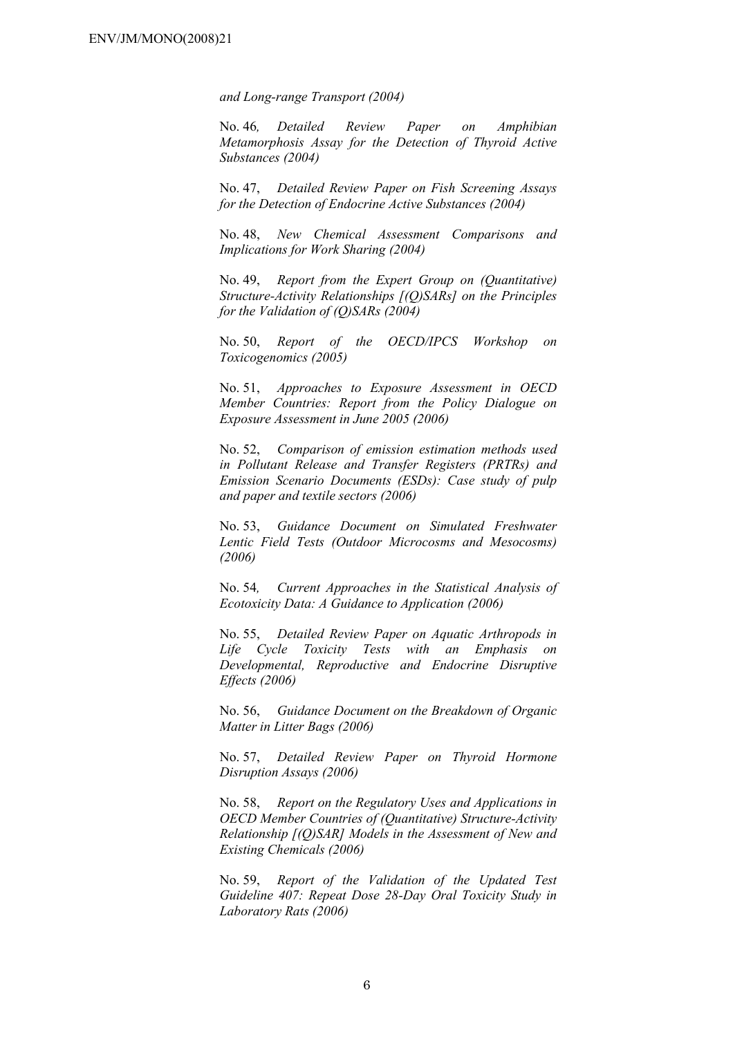*and Long-range Transport (2004)*

No. 46*, Detailed Review Paper on Amphibian Metamorphosis Assay for the Detection of Thyroid Active Substances (2004)* 

No. 47, *Detailed Review Paper on Fish Screening Assays for the Detection of Endocrine Active Substances (2004)* 

No. 48, *New Chemical Assessment Comparisons and Implications for Work Sharing (2004)* 

No. 49, *Report from the Expert Group on (Quantitative) Structure-Activity Relationships [(Q)SARs] on the Principles for the Validation of (Q)SARs (2004)* 

No. 50, *Report of the OECD/IPCS Workshop on Toxicogenomics (2005)* 

No. 51, *Approaches to Exposure Assessment in OECD Member Countries: Report from the Policy Dialogue on Exposure Assessment in June 2005 (2006)* 

No. 52, *Comparison of emission estimation methods used in Pollutant Release and Transfer Registers (PRTRs) and Emission Scenario Documents (ESDs): Case study of pulp and paper and textile sectors (2006)* 

No. 53, *Guidance Document on Simulated Freshwater Lentic Field Tests (Outdoor Microcosms and Mesocosms) (2006)* 

No. 54*, Current Approaches in the Statistical Analysis of Ecotoxicity Data: A Guidance to Application (2006)* 

No. 55, *Detailed Review Paper on Aquatic Arthropods in Life Cycle Toxicity Tests with an Emphasis on Developmental, Reproductive and Endocrine Disruptive Effects (2006)* 

No. 56, *Guidance Document on the Breakdown of Organic Matter in Litter Bags (2006)* 

No. 57, *Detailed Review Paper on Thyroid Hormone Disruption Assays (2006)* 

No. 58, *Report on the Regulatory Uses and Applications in OECD Member Countries of (Quantitative) Structure-Activity Relationship [(Q)SAR] Models in the Assessment of New and Existing Chemicals (2006)* 

No. 59, *Report of the Validation of the Updated Test Guideline 407: Repeat Dose 28-Day Oral Toxicity Study in Laboratory Rats (2006)*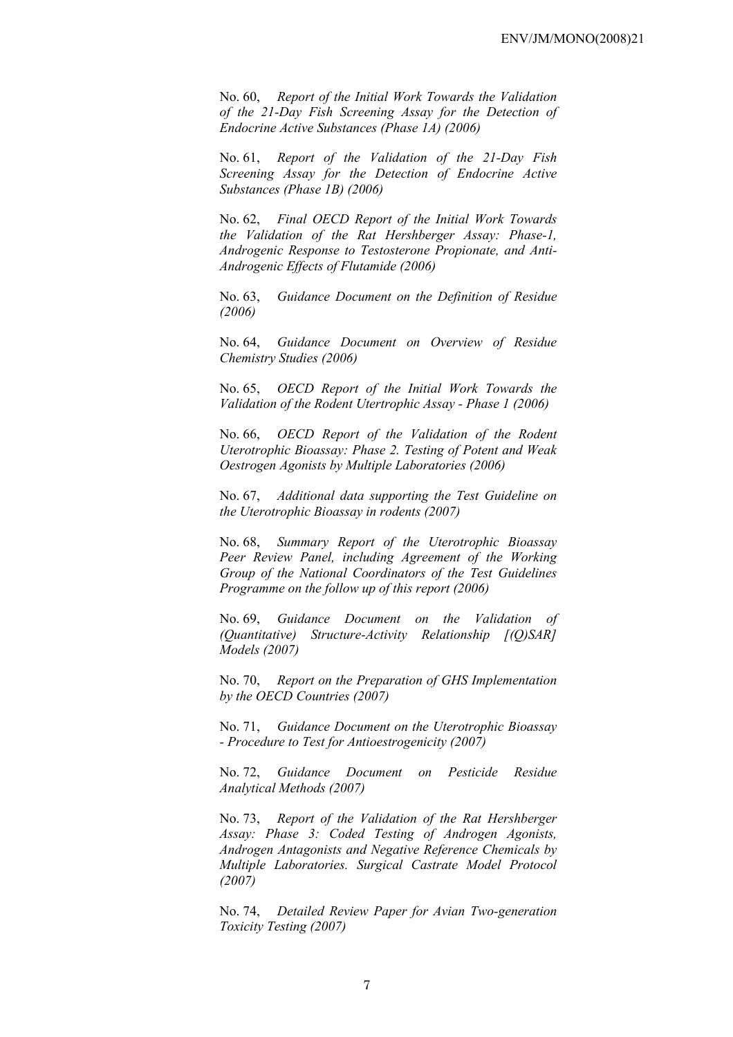No. 60, *Report of the Initial Work Towards the Validation of the 21-Day Fish Screening Assay for the Detection of Endocrine Active Substances (Phase 1A) (2006)* 

No. 61, *Report of the Validation of the 21-Day Fish Screening Assay for the Detection of Endocrine Active Substances (Phase 1B) (2006)* 

No. 62, *Final OECD Report of the Initial Work Towards the Validation of the Rat Hershberger Assay: Phase-1, Androgenic Response to Testosterone Propionate, and Anti-Androgenic Effects of Flutamide (2006)* 

No. 63, *Guidance Document on the Definition of Residue (2006)* 

No. 64, *Guidance Document on Overview of Residue Chemistry Studies (2006)* 

No. 65, *OECD Report of the Initial Work Towards the Validation of the Rodent Utertrophic Assay - Phase 1 (2006)* 

No. 66, *OECD Report of the Validation of the Rodent Uterotrophic Bioassay: Phase 2. Testing of Potent and Weak Oestrogen Agonists by Multiple Laboratories (2006)* 

No. 67, *Additional data supporting the Test Guideline on the Uterotrophic Bioassay in rodents (2007)* 

No. 68, *Summary Report of the Uterotrophic Bioassay Peer Review Panel, including Agreement of the Working Group of the National Coordinators of the Test Guidelines Programme on the follow up of this report (2006)* 

No. 69, *Guidance Document on the Validation of (Quantitative) Structure-Activity Relationship [(Q)SAR] Models (2007)* 

No. 70, *Report on the Preparation of GHS Implementation by the OECD Countries (2007)*

No. 71, *Guidance Document on the Uterotrophic Bioassay - Procedure to Test for Antioestrogenicity (2007)*

No. 72, *Guidance Document on Pesticide Residue Analytical Methods (2007)* 

No. 73, *Report of the Validation of the Rat Hershberger Assay: Phase 3: Coded Testing of Androgen Agonists, Androgen Antagonists and Negative Reference Chemicals by Multiple Laboratories. Surgical Castrate Model Protocol (2007)* 

No. 74, *Detailed Review Paper for Avian Two-generation Toxicity Testing (2007)*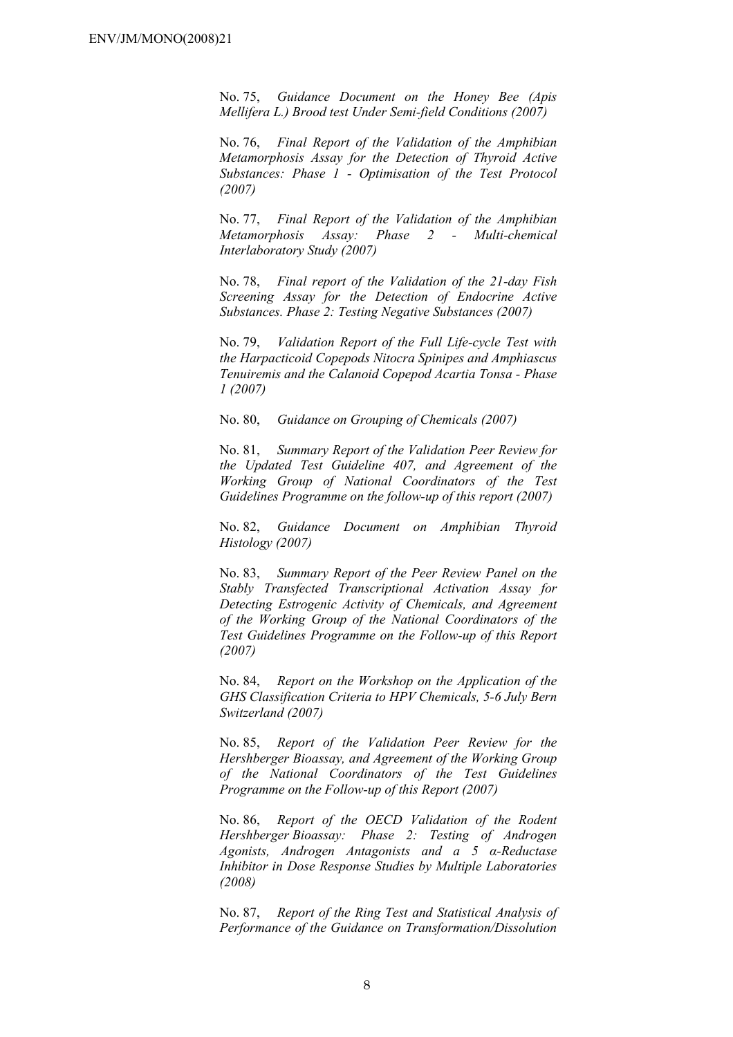No. 75, *Guidance Document on the Honey Bee (Apis Mellifera L.) Brood test Under Semi-field Conditions (2007)* 

No. 76, *Final Report of the Validation of the Amphibian Metamorphosis Assay for the Detection of Thyroid Active Substances: Phase 1 - Optimisation of the Test Protocol (2007)* 

No. 77, *Final Report of the Validation of the Amphibian Metamorphosis Assay: Phase 2 - Multi-chemical Interlaboratory Study (2007)* 

No. 78, *Final report of the Validation of the 21-day Fish Screening Assay for the Detection of Endocrine Active Substances. Phase 2: Testing Negative Substances (2007)* 

No. 79, *Validation Report of the Full Life-cycle Test with the Harpacticoid Copepods Nitocra Spinipes and Amphiascus Tenuiremis and the Calanoid Copepod Acartia Tonsa - Phase 1 (2007)* 

No. 80, *Guidance on Grouping of Chemicals (2007)* 

No. 81, *Summary Report of the Validation Peer Review for the Updated Test Guideline 407, and Agreement of the Working Group of National Coordinators of the Test Guidelines Programme on the follow-up of this report (2007)* 

No. 82, *Guidance Document on Amphibian Thyroid Histology (2007)* 

No. 83, *Summary Report of the Peer Review Panel on the Stably Transfected Transcriptional Activation Assay for Detecting Estrogenic Activity of Chemicals, and Agreement of the Working Group of the National Coordinators of the Test Guidelines Programme on the Follow-up of this Report (2007)* 

No. 84, *Report on the Workshop on the Application of the GHS Classification Criteria to HPV Chemicals, 5-6 July Bern Switzerland (2007)* 

No. 85, *Report of the Validation Peer Review for the Hershberger Bioassay, and Agreement of the Working Group of the National Coordinators of the Test Guidelines Programme on the Follow-up of this Report (2007)* 

No. 86, *Report of the OECD Validation of the Rodent Hershberger Bioassay: Phase 2: Testing of Androgen Agonists, Androgen Antagonists and a 5 α-Reductase Inhibitor in Dose Response Studies by Multiple Laboratories (2008)*

No. 87, *Report of the Ring Test and Statistical Analysis of Performance of the Guidance on Transformation/Dissolution*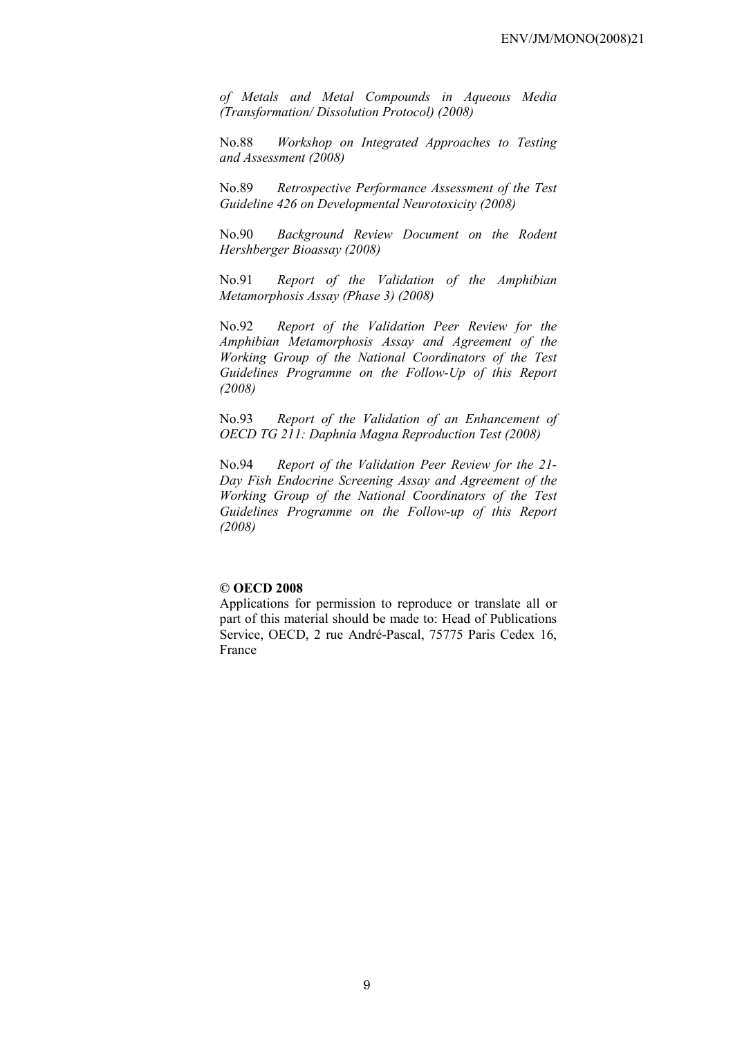*of Metals and Metal Compounds in Aqueous Media (Transformation/ Dissolution Protocol) (2008)*

No.88 *Workshop on Integrated Approaches to Testing and Assessment (2008)* 

No.89 *Retrospective Performance Assessment of the Test Guideline 426 on Developmental Neurotoxicity (2008)* 

No.90 *Background Review Document on the Rodent Hershberger Bioassay (2008)* 

No.91 *Report of the Validation of the Amphibian Metamorphosis Assay (Phase 3) (2008)* 

No.92 *Report of the Validation Peer Review for the Amphibian Metamorphosis Assay and Agreement of the Working Group of the National Coordinators of the Test Guidelines Programme on the Follow-Up of this Report (2008)* 

No.93 *Report of the Validation of an Enhancement of OECD TG 211: Daphnia Magna Reproduction Test (2008)* 

No.94 *Report of the Validation Peer Review for the 21- Day Fish Endocrine Screening Assay and Agreement of the Working Group of the National Coordinators of the Test Guidelines Programme on the Follow-up of this Report (2008)* 

#### **© OECD 2008**

Applications for permission to reproduce or translate all or part of this material should be made to: Head of Publications Service, OECD, 2 rue André-Pascal, 75775 Paris Cedex 16, France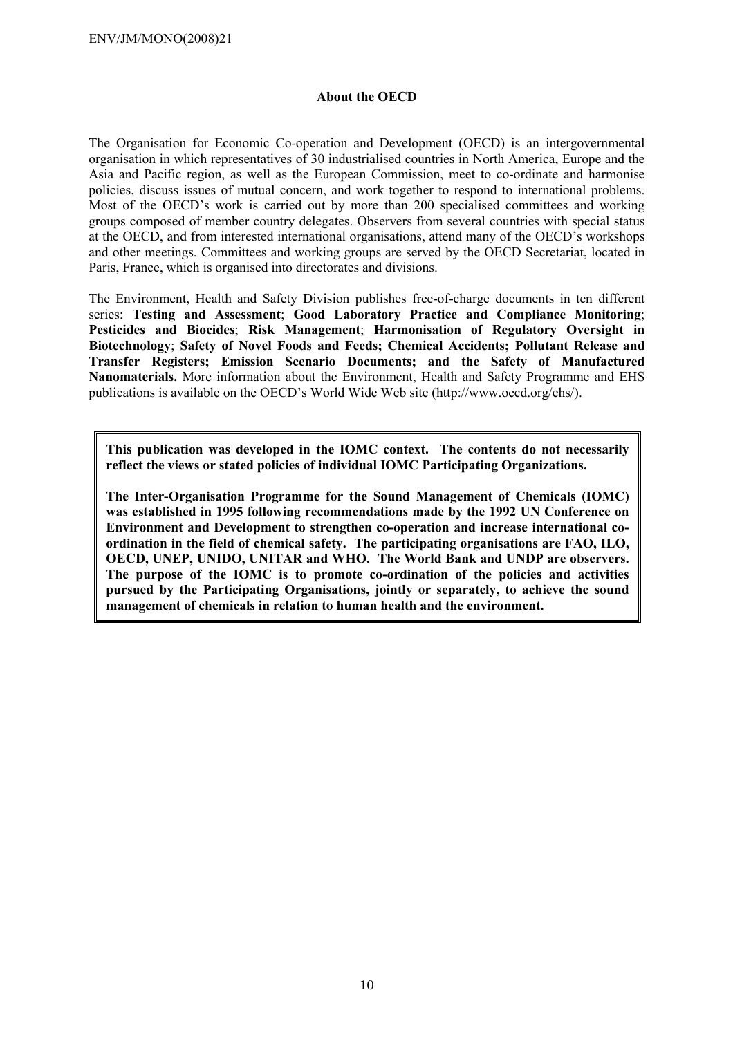#### **About the OECD**

The Organisation for Economic Co-operation and Development (OECD) is an intergovernmental organisation in which representatives of 30 industrialised countries in North America, Europe and the Asia and Pacific region, as well as the European Commission, meet to co-ordinate and harmonise policies, discuss issues of mutual concern, and work together to respond to international problems. Most of the OECD's work is carried out by more than 200 specialised committees and working groups composed of member country delegates. Observers from several countries with special status at the OECD, and from interested international organisations, attend many of the OECD's workshops and other meetings. Committees and working groups are served by the OECD Secretariat, located in Paris, France, which is organised into directorates and divisions.

The Environment, Health and Safety Division publishes free-of-charge documents in ten different series: **Testing and Assessment**; **Good Laboratory Practice and Compliance Monitoring**; **Pesticides and Biocides**; **Risk Management**; **Harmonisation of Regulatory Oversight in Biotechnology**; **Safety of Novel Foods and Feeds; Chemical Accidents; Pollutant Release and Transfer Registers; Emission Scenario Documents; and the Safety of Manufactured Nanomaterials.** More information about the Environment, Health and Safety Programme and EHS publications is available on the OECD's World Wide Web site (http://www.oecd.org/ehs/).

**This publication was developed in the IOMC context. The contents do not necessarily reflect the views or stated policies of individual IOMC Participating Organizations.** 

**The Inter-Organisation Programme for the Sound Management of Chemicals (IOMC) was established in 1995 following recommendations made by the 1992 UN Conference on Environment and Development to strengthen co-operation and increase international coordination in the field of chemical safety. The participating organisations are FAO, ILO, OECD, UNEP, UNIDO, UNITAR and WHO. The World Bank and UNDP are observers. The purpose of the IOMC is to promote co-ordination of the policies and activities pursued by the Participating Organisations, jointly or separately, to achieve the sound management of chemicals in relation to human health and the environment.**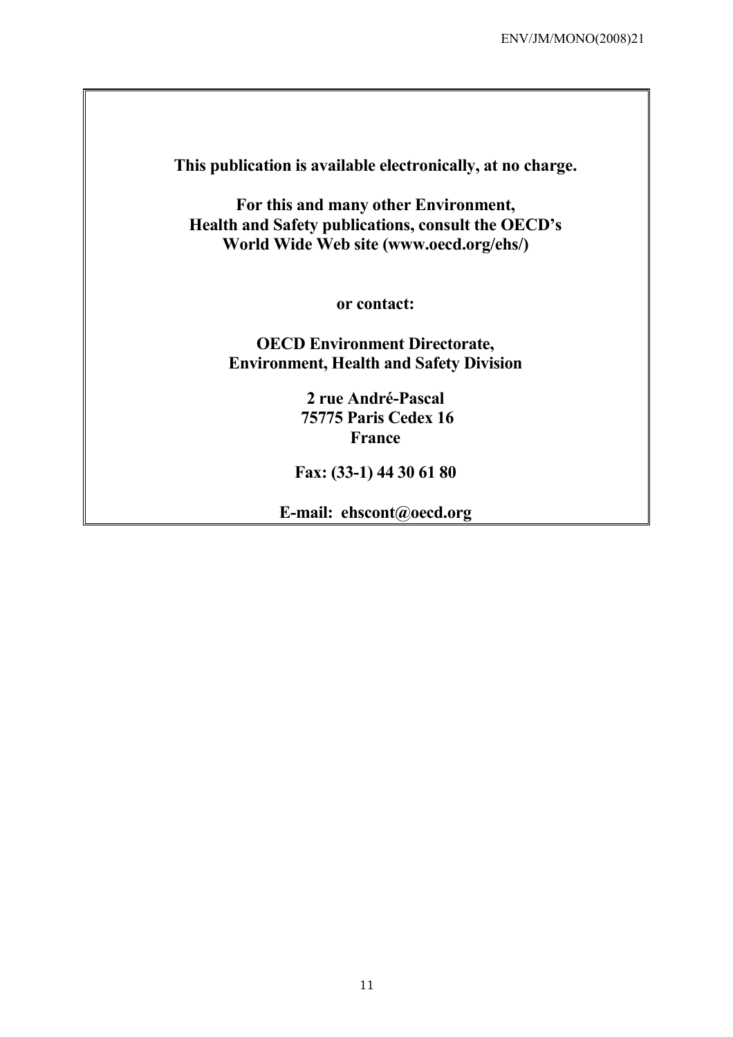**This publication is available electronically, at no charge.** 

**For this and many other Environment, Health and Safety publications, consult the OECD's World Wide Web site (www.oecd.org/ehs/)** 

**or contact:** 

**OECD Environment Directorate, Environment, Health and Safety Division**

> **2 rue André-Pascal 75775 Paris Cedex 16 France**

**Fax: (33-1) 44 30 61 80** 

**E-mail: ehscont@oecd.org** 

11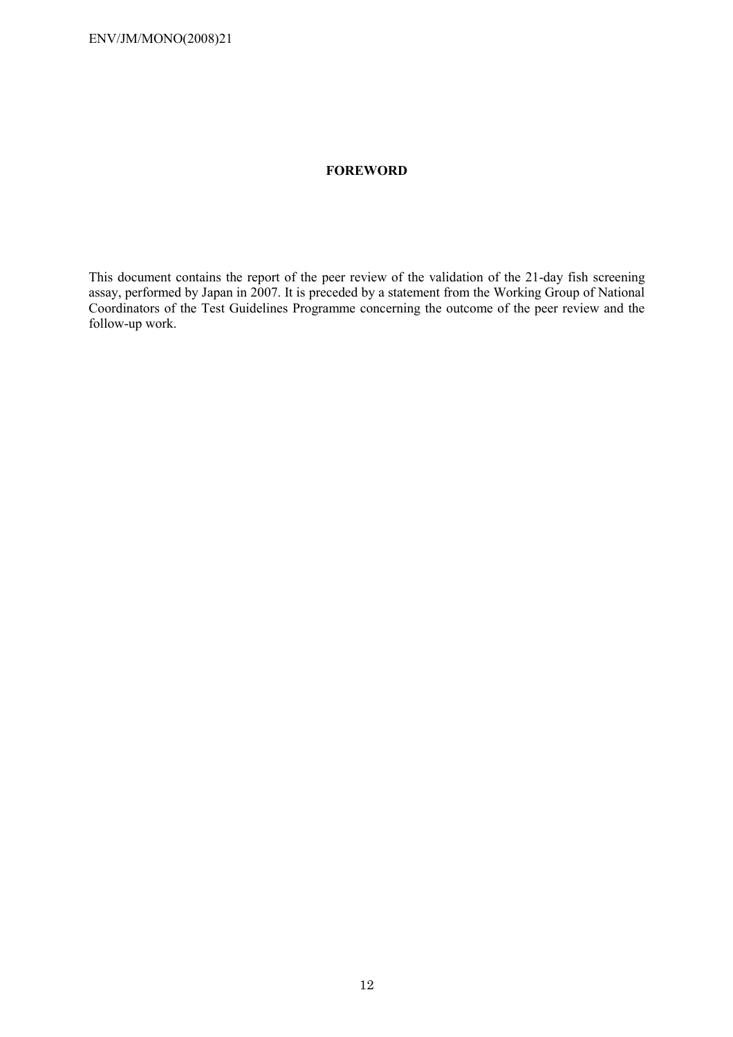ENV/JM/MONO(2008)21

### **FOREWORD**

This document contains the report of the peer review of the validation of the 21-day fish screening assay, performed by Japan in 2007. It is preceded by a statement from the Working Group of National Coordinators of the Test Guidelines Programme concerning the outcome of the peer review and the follow-up work.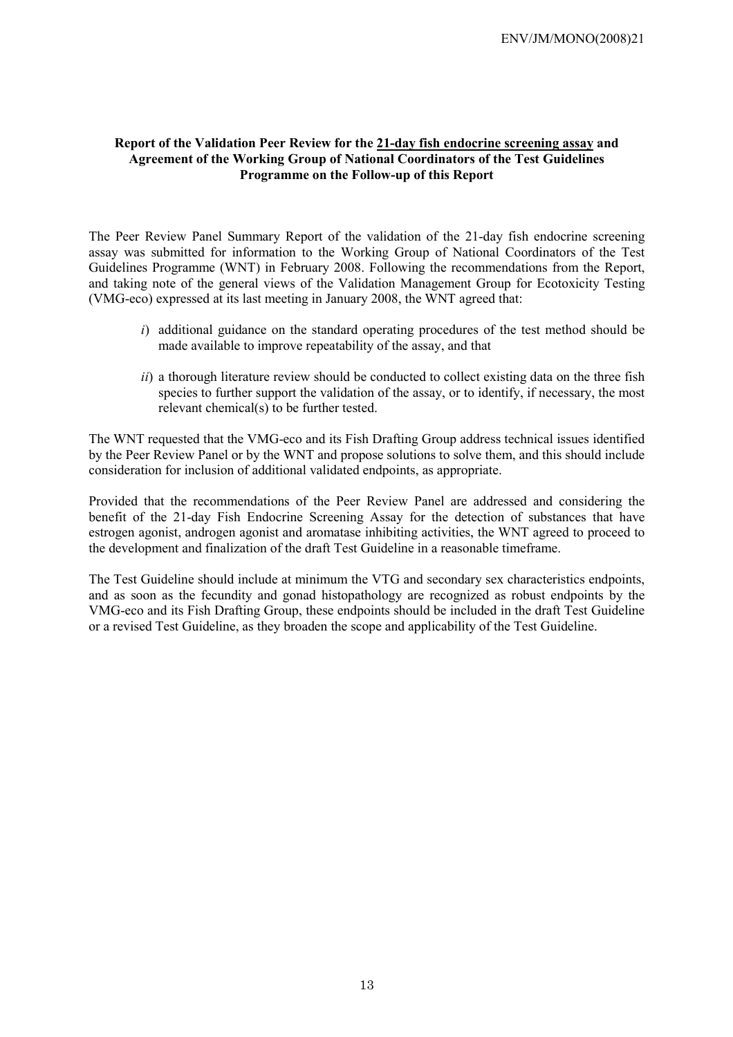#### **Report of the Validation Peer Review for the 21-day fish endocrine screening assay and Agreement of the Working Group of National Coordinators of the Test Guidelines Programme on the Follow-up of this Report**

The Peer Review Panel Summary Report of the validation of the 21-day fish endocrine screening assay was submitted for information to the Working Group of National Coordinators of the Test Guidelines Programme (WNT) in February 2008. Following the recommendations from the Report, and taking note of the general views of the Validation Management Group for Ecotoxicity Testing (VMG-eco) expressed at its last meeting in January 2008, the WNT agreed that:

- *i*) additional guidance on the standard operating procedures of the test method should be made available to improve repeatability of the assay, and that
- *ii*) a thorough literature review should be conducted to collect existing data on the three fish species to further support the validation of the assay, or to identify, if necessary, the most relevant chemical(s) to be further tested.

The WNT requested that the VMG-eco and its Fish Drafting Group address technical issues identified by the Peer Review Panel or by the WNT and propose solutions to solve them, and this should include consideration for inclusion of additional validated endpoints, as appropriate.

Provided that the recommendations of the Peer Review Panel are addressed and considering the benefit of the 21-day Fish Endocrine Screening Assay for the detection of substances that have estrogen agonist, androgen agonist and aromatase inhibiting activities, the WNT agreed to proceed to the development and finalization of the draft Test Guideline in a reasonable timeframe.

The Test Guideline should include at minimum the VTG and secondary sex characteristics endpoints, and as soon as the fecundity and gonad histopathology are recognized as robust endpoints by the VMG-eco and its Fish Drafting Group, these endpoints should be included in the draft Test Guideline or a revised Test Guideline, as they broaden the scope and applicability of the Test Guideline.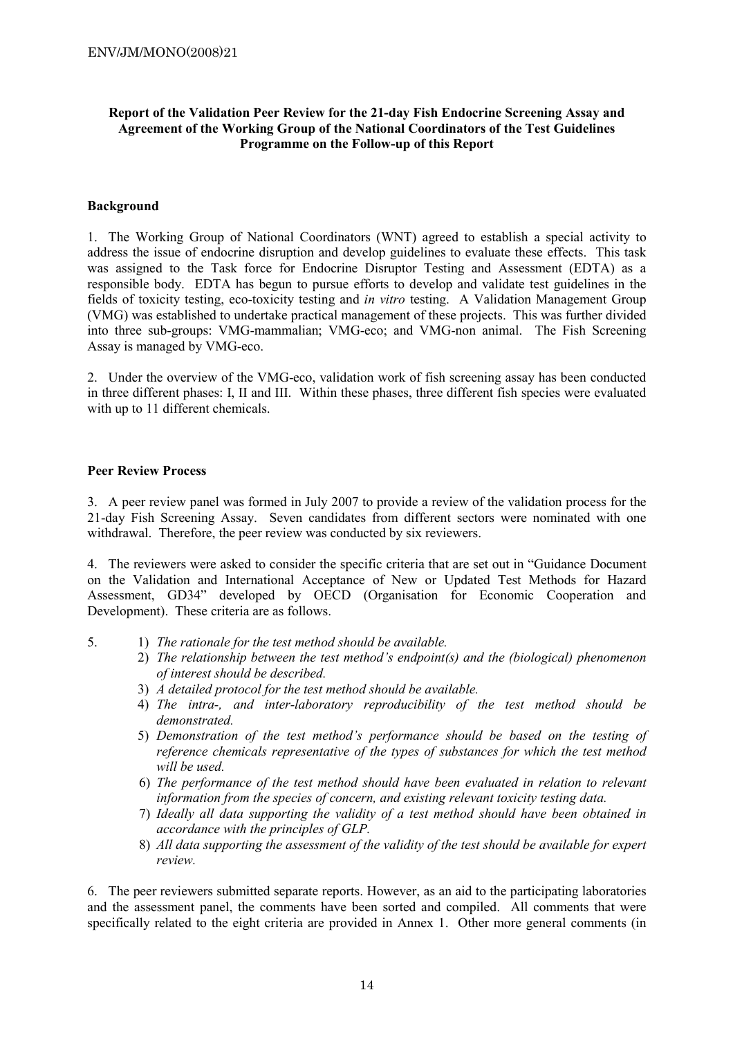### **Report of the Validation Peer Review for the 21-day Fish Endocrine Screening Assay and Agreement of the Working Group of the National Coordinators of the Test Guidelines Programme on the Follow-up of this Report**

#### **Background**

1. The Working Group of National Coordinators (WNT) agreed to establish a special activity to address the issue of endocrine disruption and develop guidelines to evaluate these effects. This task was assigned to the Task force for Endocrine Disruptor Testing and Assessment (EDTA) as a responsible body. EDTA has begun to pursue efforts to develop and validate test guidelines in the fields of toxicity testing, eco-toxicity testing and *in vitro* testing. A Validation Management Group (VMG) was established to undertake practical management of these projects. This was further divided into three sub-groups: VMG-mammalian; VMG-eco; and VMG-non animal. The Fish Screening Assay is managed by VMG-eco.

2. Under the overview of the VMG-eco, validation work of fish screening assay has been conducted in three different phases: I, II and III. Within these phases, three different fish species were evaluated with up to 11 different chemicals.

#### **Peer Review Process**

3. A peer review panel was formed in July 2007 to provide a review of the validation process for the 21-day Fish Screening Assay. Seven candidates from different sectors were nominated with one withdrawal. Therefore, the peer review was conducted by six reviewers.

4. The reviewers were asked to consider the specific criteria that are set out in "Guidance Document on the Validation and International Acceptance of New or Updated Test Methods for Hazard Assessment, GD34" developed by OECD (Organisation for Economic Cooperation and Development). These criteria are as follows.

- 5. 1) *The rationale for the test method should be available.*
	- 2) *The relationship between the test method's endpoint(s) and the (biological) phenomenon of interest should be described.*
	- 3) *A detailed protocol for the test method should be available.*
	- 4) *The intra-, and inter-laboratory reproducibility of the test method should be demonstrated.*
	- 5) *Demonstration of the test method's performance should be based on the testing of reference chemicals representative of the types of substances for which the test method will be used.*
	- 6) *The performance of the test method should have been evaluated in relation to relevant information from the species of concern, and existing relevant toxicity testing data.*
	- 7) *Ideally all data supporting the validity of a test method should have been obtained in accordance with the principles of GLP.*
	- 8) *All data supporting the assessment of the validity of the test should be available for expert review.*

6. The peer reviewers submitted separate reports. However, as an aid to the participating laboratories and the assessment panel, the comments have been sorted and compiled. All comments that were specifically related to the eight criteria are provided in Annex 1. Other more general comments (in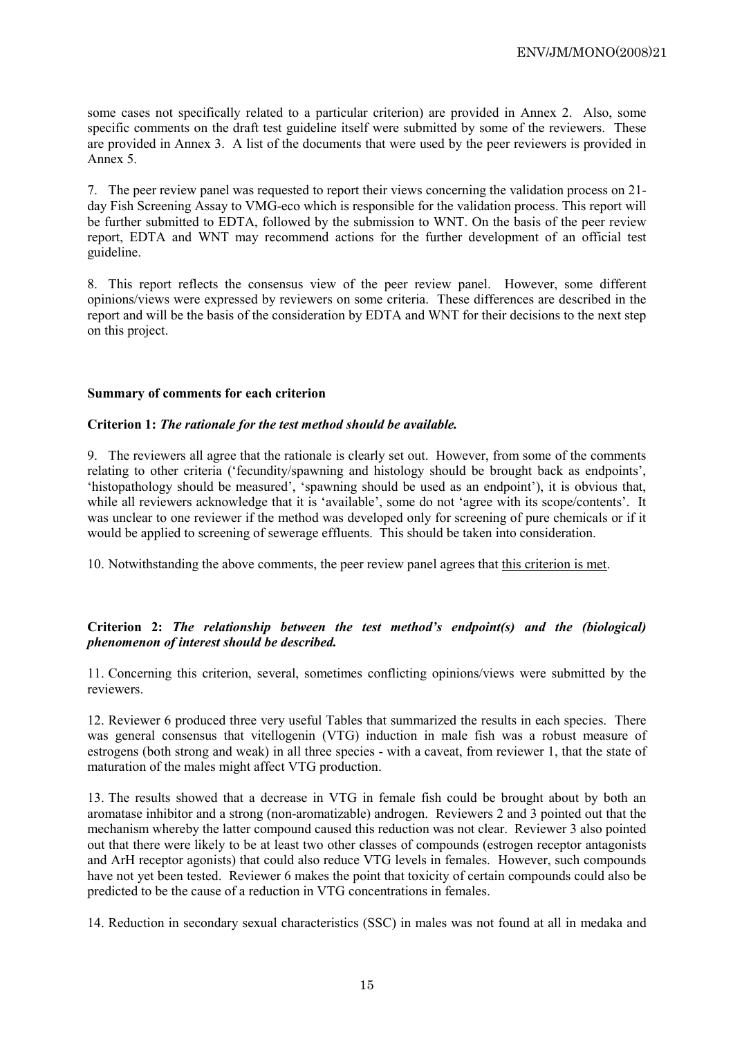some cases not specifically related to a particular criterion) are provided in Annex 2. Also, some specific comments on the draft test guideline itself were submitted by some of the reviewers. These are provided in Annex 3. A list of the documents that were used by the peer reviewers is provided in Annex 5.

7. The peer review panel was requested to report their views concerning the validation process on 21 day Fish Screening Assay to VMG-eco which is responsible for the validation process. This report will be further submitted to EDTA, followed by the submission to WNT. On the basis of the peer review report, EDTA and WNT may recommend actions for the further development of an official test guideline.

8. This report reflects the consensus view of the peer review panel. However, some different opinions/views were expressed by reviewers on some criteria. These differences are described in the report and will be the basis of the consideration by EDTA and WNT for their decisions to the next step on this project.

#### **Summary of comments for each criterion**

#### **Criterion 1:** *The rationale for the test method should be available.*

9. The reviewers all agree that the rationale is clearly set out. However, from some of the comments relating to other criteria ('fecundity/spawning and histology should be brought back as endpoints', 'histopathology should be measured', 'spawning should be used as an endpoint'), it is obvious that, while all reviewers acknowledge that it is 'available', some do not 'agree with its scope/contents'. It was unclear to one reviewer if the method was developed only for screening of pure chemicals or if it would be applied to screening of sewerage effluents. This should be taken into consideration.

10. Notwithstanding the above comments, the peer review panel agrees that this criterion is met.

#### **Criterion 2:** *The relationship between the test method's endpoint(s) and the (biological) phenomenon of interest should be described.*

11. Concerning this criterion, several, sometimes conflicting opinions/views were submitted by the reviewers.

12. Reviewer 6 produced three very useful Tables that summarized the results in each species. There was general consensus that vitellogenin (VTG) induction in male fish was a robust measure of estrogens (both strong and weak) in all three species - with a caveat, from reviewer 1, that the state of maturation of the males might affect VTG production.

13. The results showed that a decrease in VTG in female fish could be brought about by both an aromatase inhibitor and a strong (non-aromatizable) androgen. Reviewers 2 and 3 pointed out that the mechanism whereby the latter compound caused this reduction was not clear. Reviewer 3 also pointed out that there were likely to be at least two other classes of compounds (estrogen receptor antagonists and ArH receptor agonists) that could also reduce VTG levels in females. However, such compounds have not yet been tested. Reviewer 6 makes the point that toxicity of certain compounds could also be predicted to be the cause of a reduction in VTG concentrations in females.

14. Reduction in secondary sexual characteristics (SSC) in males was not found at all in medaka and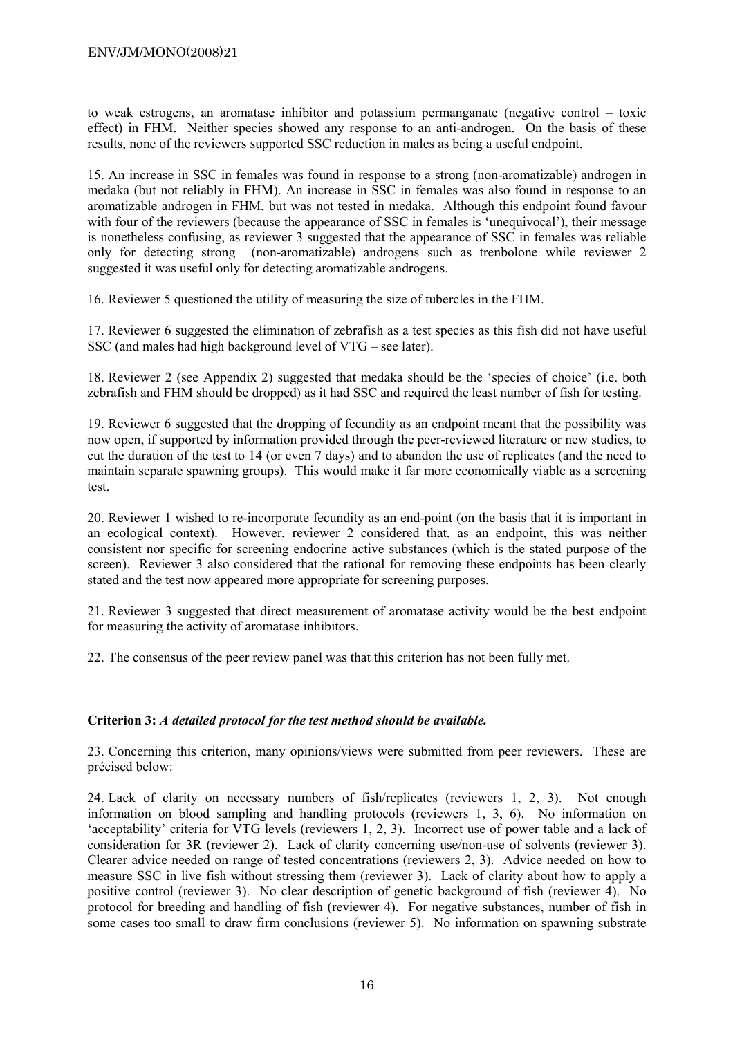to weak estrogens, an aromatase inhibitor and potassium permanganate (negative control – toxic effect) in FHM. Neither species showed any response to an anti-androgen. On the basis of these results, none of the reviewers supported SSC reduction in males as being a useful endpoint.

15. An increase in SSC in females was found in response to a strong (non-aromatizable) androgen in medaka (but not reliably in FHM). An increase in SSC in females was also found in response to an aromatizable androgen in FHM, but was not tested in medaka. Although this endpoint found favour with four of the reviewers (because the appearance of SSC in females is 'unequivocal'), their message is nonetheless confusing, as reviewer 3 suggested that the appearance of SSC in females was reliable only for detecting strong (non-aromatizable) androgens such as trenbolone while reviewer 2 suggested it was useful only for detecting aromatizable androgens.

16. Reviewer 5 questioned the utility of measuring the size of tubercles in the FHM.

17. Reviewer 6 suggested the elimination of zebrafish as a test species as this fish did not have useful SSC (and males had high background level of VTG – see later).

18. Reviewer 2 (see Appendix 2) suggested that medaka should be the 'species of choice' (i.e. both zebrafish and FHM should be dropped) as it had SSC and required the least number of fish for testing.

19. Reviewer 6 suggested that the dropping of fecundity as an endpoint meant that the possibility was now open, if supported by information provided through the peer-reviewed literature or new studies, to cut the duration of the test to 14 (or even 7 days) and to abandon the use of replicates (and the need to maintain separate spawning groups). This would make it far more economically viable as a screening test.

20. Reviewer 1 wished to re-incorporate fecundity as an end-point (on the basis that it is important in an ecological context). However, reviewer 2 considered that, as an endpoint, this was neither consistent nor specific for screening endocrine active substances (which is the stated purpose of the screen). Reviewer 3 also considered that the rational for removing these endpoints has been clearly stated and the test now appeared more appropriate for screening purposes.

21. Reviewer 3 suggested that direct measurement of aromatase activity would be the best endpoint for measuring the activity of aromatase inhibitors.

22. The consensus of the peer review panel was that this criterion has not been fully met.

#### **Criterion 3:** *A detailed protocol for the test method should be available.*

23. Concerning this criterion, many opinions/views were submitted from peer reviewers. These are précised below:

24. Lack of clarity on necessary numbers of fish/replicates (reviewers 1, 2, 3). Not enough information on blood sampling and handling protocols (reviewers 1, 3, 6). No information on 'acceptability' criteria for VTG levels (reviewers 1, 2, 3). Incorrect use of power table and a lack of consideration for 3R (reviewer 2). Lack of clarity concerning use/non-use of solvents (reviewer 3). Clearer advice needed on range of tested concentrations (reviewers 2, 3). Advice needed on how to measure SSC in live fish without stressing them (reviewer 3). Lack of clarity about how to apply a positive control (reviewer 3). No clear description of genetic background of fish (reviewer 4). No protocol for breeding and handling of fish (reviewer 4). For negative substances, number of fish in some cases too small to draw firm conclusions (reviewer 5). No information on spawning substrate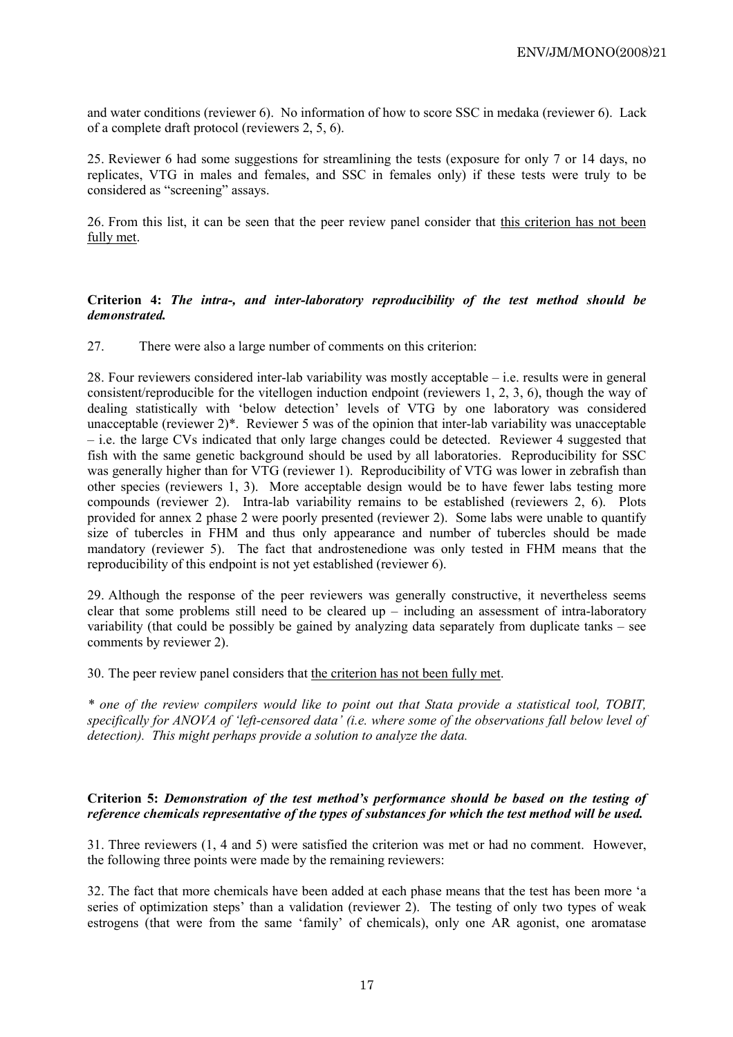and water conditions (reviewer 6). No information of how to score SSC in medaka (reviewer 6). Lack of a complete draft protocol (reviewers 2, 5, 6).

25. Reviewer 6 had some suggestions for streamlining the tests (exposure for only 7 or 14 days, no replicates, VTG in males and females, and SSC in females only) if these tests were truly to be considered as "screening" assays.

26. From this list, it can be seen that the peer review panel consider that this criterion has not been fully met.

#### **Criterion 4:** *The intra-, and inter-laboratory reproducibility of the test method should be demonstrated.*

27. There were also a large number of comments on this criterion:

28. Four reviewers considered inter-lab variability was mostly acceptable – i.e. results were in general consistent/reproducible for the vitellogen induction endpoint (reviewers 1, 2, 3, 6), though the way of dealing statistically with 'below detection' levels of VTG by one laboratory was considered unacceptable (reviewer 2)\*. Reviewer 5 was of the opinion that inter-lab variability was unacceptable – i.e. the large CVs indicated that only large changes could be detected. Reviewer 4 suggested that fish with the same genetic background should be used by all laboratories. Reproducibility for SSC was generally higher than for VTG (reviewer 1). Reproducibility of VTG was lower in zebrafish than other species (reviewers 1, 3). More acceptable design would be to have fewer labs testing more compounds (reviewer 2). Intra-lab variability remains to be established (reviewers 2, 6). Plots provided for annex 2 phase 2 were poorly presented (reviewer 2). Some labs were unable to quantify size of tubercles in FHM and thus only appearance and number of tubercles should be made mandatory (reviewer 5). The fact that androstenedione was only tested in FHM means that the reproducibility of this endpoint is not yet established (reviewer 6).

29. Although the response of the peer reviewers was generally constructive, it nevertheless seems clear that some problems still need to be cleared up – including an assessment of intra-laboratory variability (that could be possibly be gained by analyzing data separately from duplicate tanks – see comments by reviewer 2).

30. The peer review panel considers that the criterion has not been fully met.

*\* one of the review compilers would like to point out that Stata provide a statistical tool, TOBIT, specifically for ANOVA of 'left-censored data' (i.e. where some of the observations fall below level of detection). This might perhaps provide a solution to analyze the data.* 

#### **Criterion 5:** *Demonstration of the test method's performance should be based on the testing of reference chemicals representative of the types of substances for which the test method will be used.*

31. Three reviewers (1, 4 and 5) were satisfied the criterion was met or had no comment. However, the following three points were made by the remaining reviewers:

32. The fact that more chemicals have been added at each phase means that the test has been more 'a series of optimization steps' than a validation (reviewer 2). The testing of only two types of weak estrogens (that were from the same 'family' of chemicals), only one AR agonist, one aromatase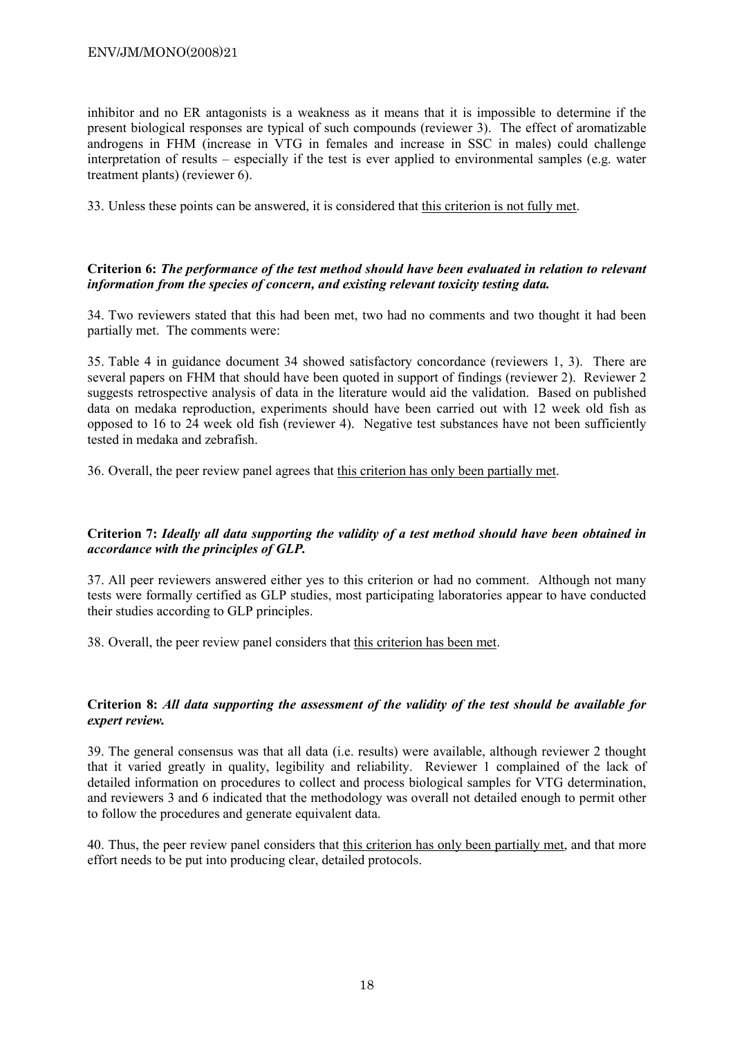inhibitor and no ER antagonists is a weakness as it means that it is impossible to determine if the present biological responses are typical of such compounds (reviewer 3). The effect of aromatizable androgens in FHM (increase in VTG in females and increase in SSC in males) could challenge interpretation of results – especially if the test is ever applied to environmental samples (e.g. water treatment plants) (reviewer 6).

33. Unless these points can be answered, it is considered that this criterion is not fully met.

#### **Criterion 6:** *The performance of the test method should have been evaluated in relation to relevant information from the species of concern, and existing relevant toxicity testing data.*

34. Two reviewers stated that this had been met, two had no comments and two thought it had been partially met. The comments were:

35. Table 4 in guidance document 34 showed satisfactory concordance (reviewers 1, 3). There are several papers on FHM that should have been quoted in support of findings (reviewer 2). Reviewer 2 suggests retrospective analysis of data in the literature would aid the validation. Based on published data on medaka reproduction, experiments should have been carried out with 12 week old fish as opposed to 16 to 24 week old fish (reviewer 4). Negative test substances have not been sufficiently tested in medaka and zebrafish.

36. Overall, the peer review panel agrees that this criterion has only been partially met.

#### **Criterion 7:** *Ideally all data supporting the validity of a test method should have been obtained in accordance with the principles of GLP.*

37. All peer reviewers answered either yes to this criterion or had no comment. Although not many tests were formally certified as GLP studies, most participating laboratories appear to have conducted their studies according to GLP principles.

38. Overall, the peer review panel considers that this criterion has been met.

#### **Criterion 8:** *All data supporting the assessment of the validity of the test should be available for expert review.*

39. The general consensus was that all data (i.e. results) were available, although reviewer 2 thought that it varied greatly in quality, legibility and reliability. Reviewer 1 complained of the lack of detailed information on procedures to collect and process biological samples for VTG determination, and reviewers 3 and 6 indicated that the methodology was overall not detailed enough to permit other to follow the procedures and generate equivalent data.

40. Thus, the peer review panel considers that this criterion has only been partially met, and that more effort needs to be put into producing clear, detailed protocols.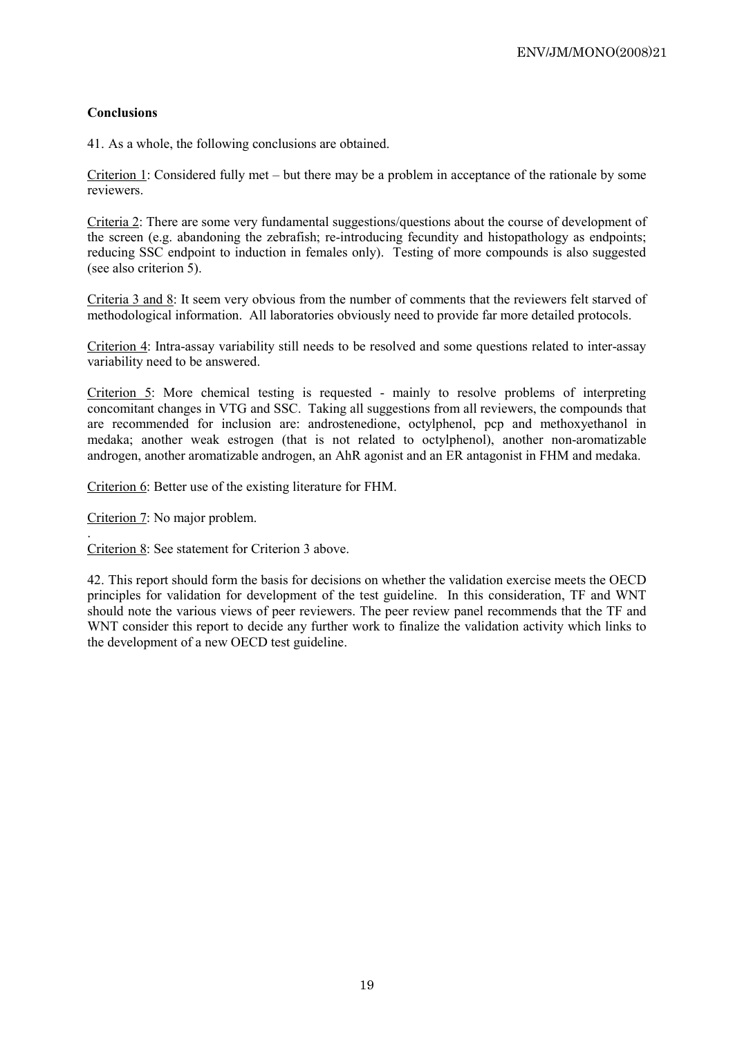#### **Conclusions**

41. As a whole, the following conclusions are obtained.

Criterion 1: Considered fully met – but there may be a problem in acceptance of the rationale by some reviewers.

Criteria 2: There are some very fundamental suggestions/questions about the course of development of the screen (e.g. abandoning the zebrafish; re-introducing fecundity and histopathology as endpoints; reducing SSC endpoint to induction in females only). Testing of more compounds is also suggested (see also criterion 5).

Criteria 3 and 8: It seem very obvious from the number of comments that the reviewers felt starved of methodological information. All laboratories obviously need to provide far more detailed protocols.

Criterion 4: Intra-assay variability still needs to be resolved and some questions related to inter-assay variability need to be answered.

Criterion 5: More chemical testing is requested - mainly to resolve problems of interpreting concomitant changes in VTG and SSC. Taking all suggestions from all reviewers, the compounds that are recommended for inclusion are: androstenedione, octylphenol, pcp and methoxyethanol in medaka; another weak estrogen (that is not related to octylphenol), another non-aromatizable androgen, another aromatizable androgen, an AhR agonist and an ER antagonist in FHM and medaka.

Criterion 6: Better use of the existing literature for FHM.

Criterion 7: No major problem.

.

Criterion 8: See statement for Criterion 3 above.

42. This report should form the basis for decisions on whether the validation exercise meets the OECD principles for validation for development of the test guideline. In this consideration, TF and WNT should note the various views of peer reviewers. The peer review panel recommends that the TF and WNT consider this report to decide any further work to finalize the validation activity which links to the development of a new OECD test guideline.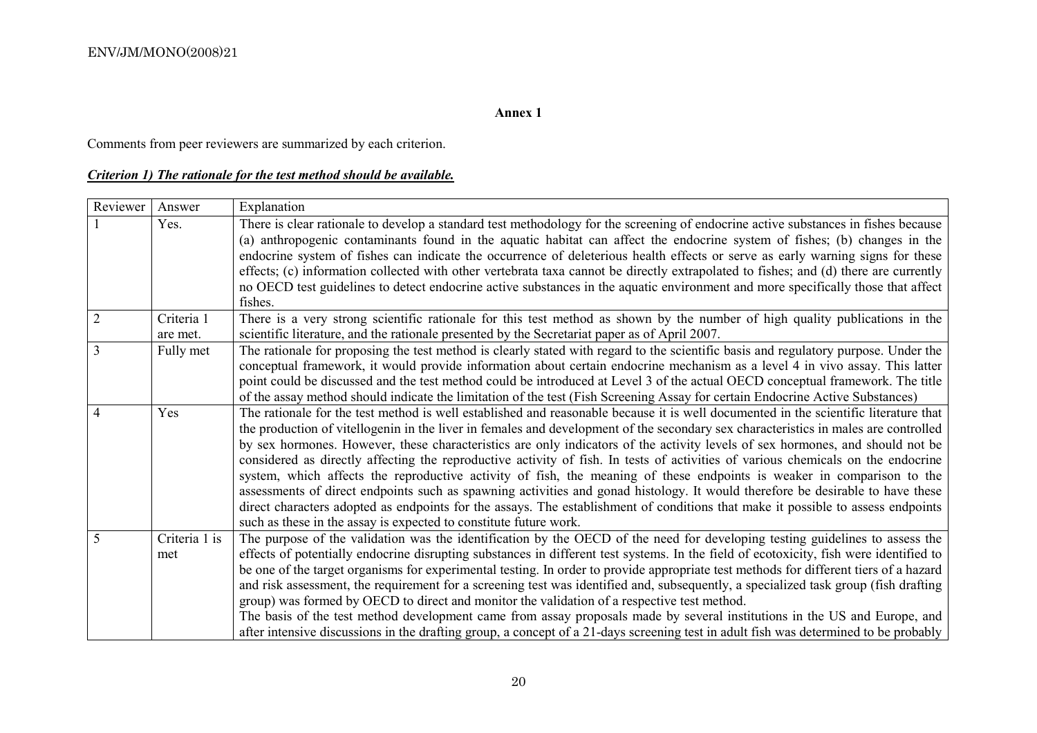#### **Annex 1**

Comments from peer reviewers are summarized by each criterion.

|  |  |  | Criterion 1) The rationale for the test method should be available. |
|--|--|--|---------------------------------------------------------------------|
|  |  |  |                                                                     |

| Reviewer   Answer |               | Explanation                                                                                                                                                                                                                                                        |
|-------------------|---------------|--------------------------------------------------------------------------------------------------------------------------------------------------------------------------------------------------------------------------------------------------------------------|
|                   | Yes.          | There is clear rationale to develop a standard test methodology for the screening of endocrine active substances in fishes because                                                                                                                                 |
|                   |               | (a) anthropogenic contaminants found in the aquatic habitat can affect the endocrine system of fishes; (b) changes in the                                                                                                                                          |
|                   |               | endocrine system of fishes can indicate the occurrence of deleterious health effects or serve as early warning signs for these                                                                                                                                     |
|                   |               | effects; (c) information collected with other vertebrata taxa cannot be directly extrapolated to fishes; and (d) there are currently                                                                                                                               |
|                   |               | no OECD test guidelines to detect endocrine active substances in the aquatic environment and more specifically those that affect                                                                                                                                   |
|                   |               | fishes.                                                                                                                                                                                                                                                            |
| $\overline{2}$    | Criteria 1    | There is a very strong scientific rationale for this test method as shown by the number of high quality publications in the                                                                                                                                        |
|                   | are met.      | scientific literature, and the rationale presented by the Secretariat paper as of April 2007.                                                                                                                                                                      |
| 3                 | Fully met     | The rationale for proposing the test method is clearly stated with regard to the scientific basis and regulatory purpose. Under the                                                                                                                                |
|                   |               | conceptual framework, it would provide information about certain endocrine mechanism as a level 4 in vivo assay. This latter                                                                                                                                       |
|                   |               | point could be discussed and the test method could be introduced at Level 3 of the actual OECD conceptual framework. The title                                                                                                                                     |
|                   |               | of the assay method should indicate the limitation of the test (Fish Screening Assay for certain Endocrine Active Substances)                                                                                                                                      |
| 4                 | Yes           | The rationale for the test method is well established and reasonable because it is well documented in the scientific literature that                                                                                                                               |
|                   |               | the production of vitellogenin in the liver in females and development of the secondary sex characteristics in males are controlled                                                                                                                                |
|                   |               | by sex hormones. However, these characteristics are only indicators of the activity levels of sex hormones, and should not be                                                                                                                                      |
|                   |               | considered as directly affecting the reproductive activity of fish. In tests of activities of various chemicals on the endocrine                                                                                                                                   |
|                   |               | system, which affects the reproductive activity of fish, the meaning of these endpoints is weaker in comparison to the                                                                                                                                             |
|                   |               | assessments of direct endpoints such as spawning activities and gonad histology. It would therefore be desirable to have these<br>direct characters adopted as endpoints for the assays. The establishment of conditions that make it possible to assess endpoints |
|                   |               | such as these in the assay is expected to constitute future work.                                                                                                                                                                                                  |
| 5                 | Criteria 1 is | The purpose of the validation was the identification by the OECD of the need for developing testing guidelines to assess the                                                                                                                                       |
|                   | met           | effects of potentially endocrine disrupting substances in different test systems. In the field of ecotoxicity, fish were identified to                                                                                                                             |
|                   |               | be one of the target organisms for experimental testing. In order to provide appropriate test methods for different tiers of a hazard                                                                                                                              |
|                   |               | and risk assessment, the requirement for a screening test was identified and, subsequently, a specialized task group (fish drafting                                                                                                                                |
|                   |               | group) was formed by OECD to direct and monitor the validation of a respective test method.                                                                                                                                                                        |
|                   |               | The basis of the test method development came from assay proposals made by several institutions in the US and Europe, and                                                                                                                                          |
|                   |               | after intensive discussions in the drafting group, a concept of a 21-days screening test in adult fish was determined to be probably                                                                                                                               |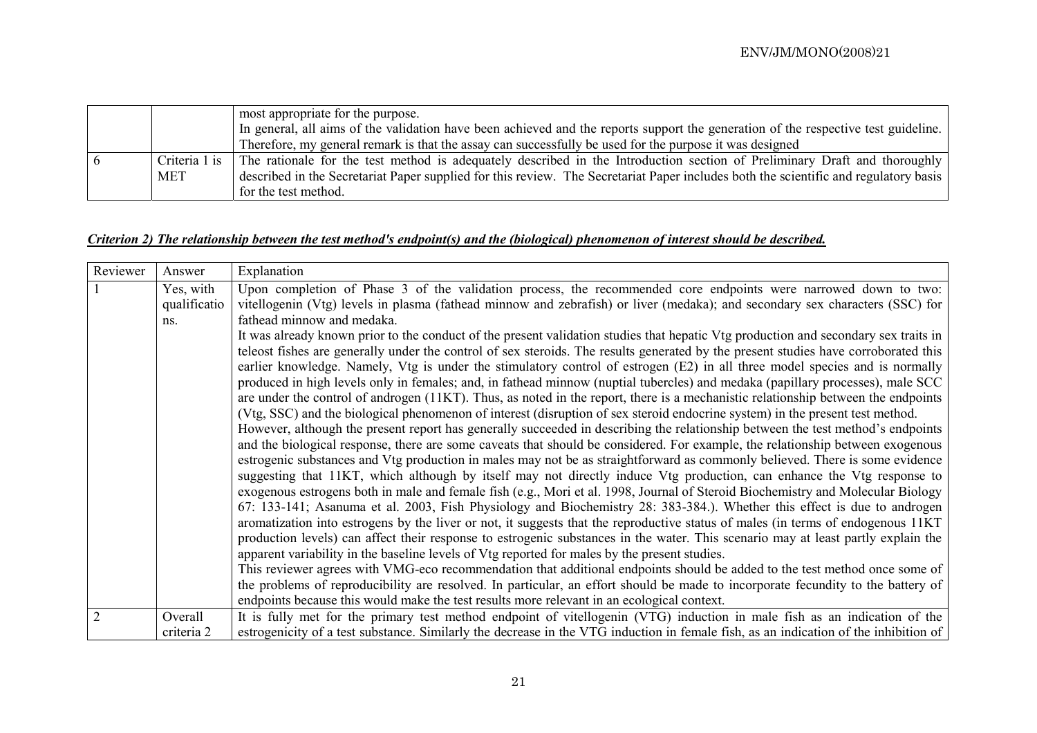|               | most appropriate for the purpose.                                                                                                    |  |  |
|---------------|--------------------------------------------------------------------------------------------------------------------------------------|--|--|
|               | In general, all aims of the validation have been achieved and the reports support the generation of the respective test guideline.   |  |  |
|               | Therefore, my general remark is that the assay can successfully be used for the purpose it was designed                              |  |  |
| Criteria 1 is | The rationale for the test method is adequately described in the Introduction section of Preliminary Draft and thoroughly            |  |  |
| MET           | described in the Secretariat Paper supplied for this review. The Secretariat Paper includes both the scientific and regulatory basis |  |  |
|               | for the test method.                                                                                                                 |  |  |

# *Criterion 2) The relationship between the test method's endpoint(s) and the (biological) phenomenon of interest should be described.*

| Reviewer | Answer       | Explanation                                                                                                                                                                                                                                                   |
|----------|--------------|---------------------------------------------------------------------------------------------------------------------------------------------------------------------------------------------------------------------------------------------------------------|
|          | Yes, with    | Upon completion of Phase 3 of the validation process, the recommended core endpoints were narrowed down to two:                                                                                                                                               |
|          | qualificatio | vitellogenin (Vtg) levels in plasma (fathead minnow and zebrafish) or liver (medaka); and secondary sex characters (SSC) for                                                                                                                                  |
|          | ns.          | fathead minnow and medaka.                                                                                                                                                                                                                                    |
|          |              | It was already known prior to the conduct of the present validation studies that hepatic Vtg production and secondary sex traits in                                                                                                                           |
|          |              | teleost fishes are generally under the control of sex steroids. The results generated by the present studies have corroborated this                                                                                                                           |
|          |              | earlier knowledge. Namely, Vtg is under the stimulatory control of estrogen (E2) in all three model species and is normally                                                                                                                                   |
|          |              | produced in high levels only in females; and, in fathead minnow (nuptial tubercles) and medaka (papillary processes), male SCC                                                                                                                                |
|          |              | are under the control of androgen (11KT). Thus, as noted in the report, there is a mechanistic relationship between the endpoints                                                                                                                             |
|          |              | (Vtg, SSC) and the biological phenomenon of interest (disruption of sex steroid endocrine system) in the present test method.                                                                                                                                 |
|          |              | However, although the present report has generally succeeded in describing the relationship between the test method's endpoints                                                                                                                               |
|          |              | and the biological response, there are some caveats that should be considered. For example, the relationship between exogenous                                                                                                                                |
|          |              | estrogenic substances and Vtg production in males may not be as straightforward as commonly believed. There is some evidence                                                                                                                                  |
|          |              | suggesting that 11KT, which although by itself may not directly induce Vtg production, can enhance the Vtg response to                                                                                                                                        |
|          |              | exogenous estrogens both in male and female fish (e.g., Mori et al. 1998, Journal of Steroid Biochemistry and Molecular Biology                                                                                                                               |
|          |              | 67: 133-141; Asanuma et al. 2003, Fish Physiology and Biochemistry 28: 383-384.). Whether this effect is due to androgen<br>aromatization into estrogens by the liver or not, it suggests that the reproductive status of males (in terms of endogenous 11KT) |
|          |              | production levels) can affect their response to estrogenic substances in the water. This scenario may at least partly explain the                                                                                                                             |
|          |              | apparent variability in the baseline levels of Vtg reported for males by the present studies.                                                                                                                                                                 |
|          |              | This reviewer agrees with VMG-eco recommendation that additional endpoints should be added to the test method once some of                                                                                                                                    |
|          |              | the problems of reproducibility are resolved. In particular, an effort should be made to incorporate fecundity to the battery of                                                                                                                              |
|          |              |                                                                                                                                                                                                                                                               |
|          |              | endpoints because this would make the test results more relevant in an ecological context.                                                                                                                                                                    |
| 2        | Overall      | It is fully met for the primary test method endpoint of vitellogenin (VTG) induction in male fish as an indication of the                                                                                                                                     |
|          | criteria 2   | estrogenicity of a test substance. Similarly the decrease in the VTG induction in female fish, as an indication of the inhibition of                                                                                                                          |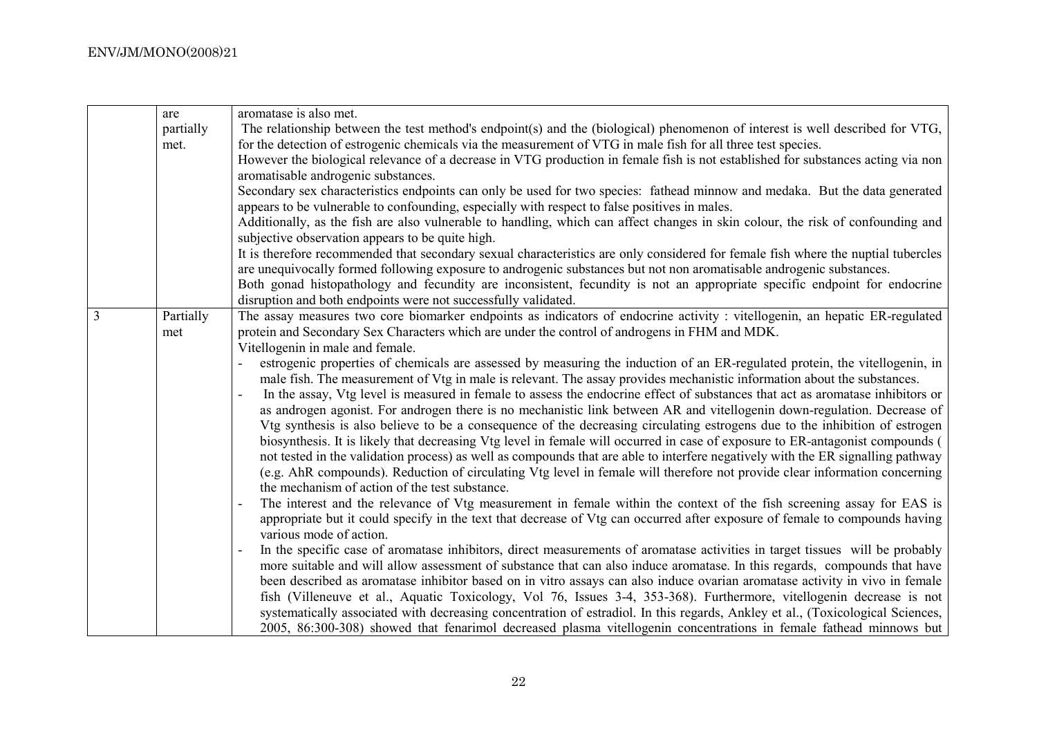|                | are       | aromatase is also met.                                                                                                            |
|----------------|-----------|-----------------------------------------------------------------------------------------------------------------------------------|
|                | partially | The relationship between the test method's endpoint(s) and the (biological) phenomenon of interest is well described for VTG,     |
|                | met.      | for the detection of estrogenic chemicals via the measurement of VTG in male fish for all three test species.                     |
|                |           | However the biological relevance of a decrease in VTG production in female fish is not established for substances acting via non  |
|                |           | aromatisable androgenic substances.                                                                                               |
|                |           | Secondary sex characteristics endpoints can only be used for two species: fathead minnow and medaka. But the data generated       |
|                |           | appears to be vulnerable to confounding, especially with respect to false positives in males.                                     |
|                |           | Additionally, as the fish are also vulnerable to handling, which can affect changes in skin colour, the risk of confounding and   |
|                |           | subjective observation appears to be quite high.                                                                                  |
|                |           | It is therefore recommended that secondary sexual characteristics are only considered for female fish where the nuptial tubercles |
|                |           | are unequivocally formed following exposure to androgenic substances but not non aromatisable androgenic substances.              |
|                |           | Both gonad histopathology and fecundity are inconsistent, fecundity is not an appropriate specific endpoint for endocrine         |
|                |           | disruption and both endpoints were not successfully validated.                                                                    |
| $\overline{3}$ | Partially | The assay measures two core biomarker endpoints as indicators of endocrine activity : vitellogenin, an hepatic ER-regulated       |
|                | met       | protein and Secondary Sex Characters which are under the control of androgens in FHM and MDK.                                     |
|                |           | Vitellogenin in male and female.                                                                                                  |
|                |           | estrogenic properties of chemicals are assessed by measuring the induction of an ER-regulated protein, the vitellogenin, in       |
|                |           | male fish. The measurement of Vtg in male is relevant. The assay provides mechanistic information about the substances.           |
|                |           | In the assay, Vtg level is measured in female to assess the endocrine effect of substances that act as aromatase inhibitors or    |
|                |           | as androgen agonist. For androgen there is no mechanistic link between AR and vitellogenin down-regulation. Decrease of           |
|                |           | Vtg synthesis is also believe to be a consequence of the decreasing circulating estrogens due to the inhibition of estrogen       |
|                |           | biosynthesis. It is likely that decreasing Vtg level in female will occurred in case of exposure to ER-antagonist compounds (     |
|                |           | not tested in the validation process) as well as compounds that are able to interfere negatively with the ER signalling pathway   |
|                |           | (e.g. AhR compounds). Reduction of circulating Vtg level in female will therefore not provide clear information concerning        |
|                |           | the mechanism of action of the test substance.                                                                                    |
|                |           | The interest and the relevance of Vtg measurement in female within the context of the fish screening assay for EAS is             |
|                |           | appropriate but it could specify in the text that decrease of Vtg can occurred after exposure of female to compounds having       |
|                |           | various mode of action.                                                                                                           |
|                |           | In the specific case of aromatase inhibitors, direct measurements of aromatase activities in target tissues will be probably      |
|                |           | more suitable and will allow assessment of substance that can also induce aromatase. In this regards, compounds that have         |
|                |           | been described as aromatase inhibitor based on in vitro assays can also induce ovarian aromatase activity in vivo in female       |
|                |           | fish (Villeneuve et al., Aquatic Toxicology, Vol 76, Issues 3-4, 353-368). Furthermore, vitellogenin decrease is not              |
|                |           | systematically associated with decreasing concentration of estradiol. In this regards, Ankley et al., (Toxicological Sciences,    |
|                |           | 2005, 86:300-308) showed that fenarimol decreased plasma vitellogenin concentrations in female fathead minnows but                |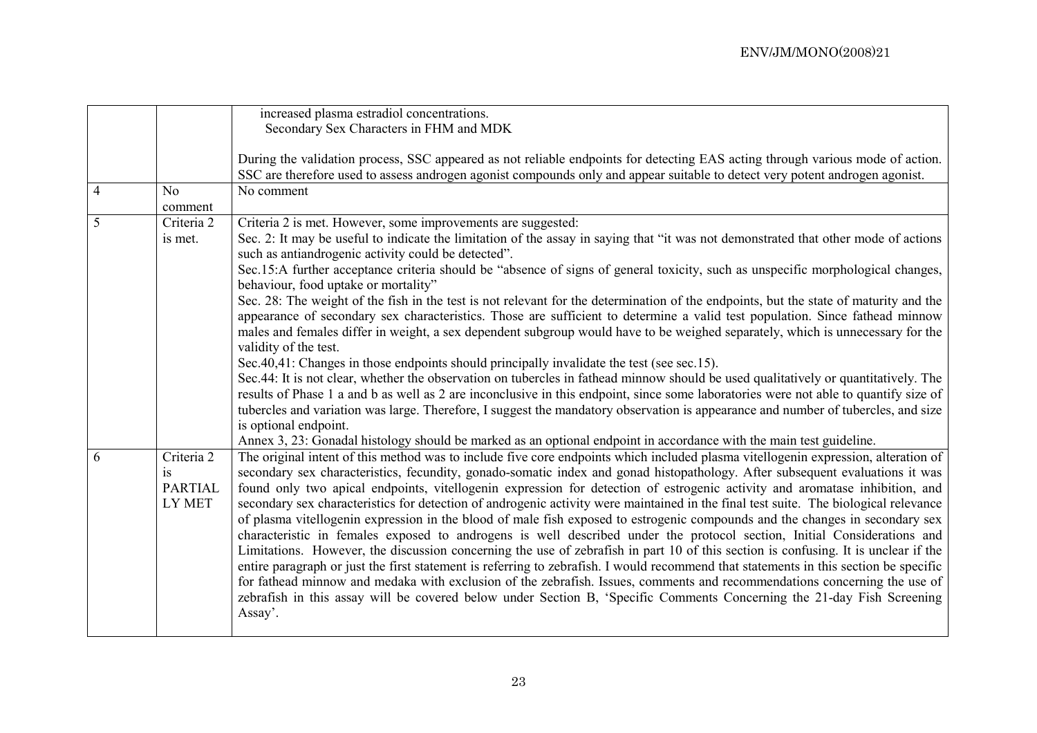|                |                                               | increased plasma estradiol concentrations.                                                                                                                                                                                                                                                                                                                                                                                                                                                                                                                                                                                                                                                                                                                                                                                                                                                                                                                                                                                                                                                                                                                                                                                                                                                                                                            |
|----------------|-----------------------------------------------|-------------------------------------------------------------------------------------------------------------------------------------------------------------------------------------------------------------------------------------------------------------------------------------------------------------------------------------------------------------------------------------------------------------------------------------------------------------------------------------------------------------------------------------------------------------------------------------------------------------------------------------------------------------------------------------------------------------------------------------------------------------------------------------------------------------------------------------------------------------------------------------------------------------------------------------------------------------------------------------------------------------------------------------------------------------------------------------------------------------------------------------------------------------------------------------------------------------------------------------------------------------------------------------------------------------------------------------------------------|
|                |                                               | Secondary Sex Characters in FHM and MDK                                                                                                                                                                                                                                                                                                                                                                                                                                                                                                                                                                                                                                                                                                                                                                                                                                                                                                                                                                                                                                                                                                                                                                                                                                                                                                               |
|                |                                               |                                                                                                                                                                                                                                                                                                                                                                                                                                                                                                                                                                                                                                                                                                                                                                                                                                                                                                                                                                                                                                                                                                                                                                                                                                                                                                                                                       |
|                |                                               | During the validation process, SSC appeared as not reliable endpoints for detecting EAS acting through various mode of action.                                                                                                                                                                                                                                                                                                                                                                                                                                                                                                                                                                                                                                                                                                                                                                                                                                                                                                                                                                                                                                                                                                                                                                                                                        |
|                |                                               | SSC are therefore used to assess androgen agonist compounds only and appear suitable to detect very potent androgen agonist.                                                                                                                                                                                                                                                                                                                                                                                                                                                                                                                                                                                                                                                                                                                                                                                                                                                                                                                                                                                                                                                                                                                                                                                                                          |
| $\overline{4}$ | N <sub>o</sub>                                | No comment                                                                                                                                                                                                                                                                                                                                                                                                                                                                                                                                                                                                                                                                                                                                                                                                                                                                                                                                                                                                                                                                                                                                                                                                                                                                                                                                            |
|                | comment                                       |                                                                                                                                                                                                                                                                                                                                                                                                                                                                                                                                                                                                                                                                                                                                                                                                                                                                                                                                                                                                                                                                                                                                                                                                                                                                                                                                                       |
| 5              | Criteria 2                                    | Criteria 2 is met. However, some improvements are suggested:                                                                                                                                                                                                                                                                                                                                                                                                                                                                                                                                                                                                                                                                                                                                                                                                                                                                                                                                                                                                                                                                                                                                                                                                                                                                                          |
|                | is met.                                       | Sec. 2: It may be useful to indicate the limitation of the assay in saying that "it was not demonstrated that other mode of actions<br>such as antiandrogenic activity could be detected".                                                                                                                                                                                                                                                                                                                                                                                                                                                                                                                                                                                                                                                                                                                                                                                                                                                                                                                                                                                                                                                                                                                                                            |
|                |                                               | Sec.15:A further acceptance criteria should be "absence of signs of general toxicity, such as unspecific morphological changes,<br>behaviour, food uptake or mortality"                                                                                                                                                                                                                                                                                                                                                                                                                                                                                                                                                                                                                                                                                                                                                                                                                                                                                                                                                                                                                                                                                                                                                                               |
|                |                                               | Sec. 28: The weight of the fish in the test is not relevant for the determination of the endpoints, but the state of maturity and the<br>appearance of secondary sex characteristics. Those are sufficient to determine a valid test population. Since fathead minnow<br>males and females differ in weight, a sex dependent subgroup would have to be weighed separately, which is unnecessary for the                                                                                                                                                                                                                                                                                                                                                                                                                                                                                                                                                                                                                                                                                                                                                                                                                                                                                                                                               |
|                |                                               | validity of the test.                                                                                                                                                                                                                                                                                                                                                                                                                                                                                                                                                                                                                                                                                                                                                                                                                                                                                                                                                                                                                                                                                                                                                                                                                                                                                                                                 |
|                |                                               | Sec.40,41: Changes in those endpoints should principally invalidate the test (see sec.15).                                                                                                                                                                                                                                                                                                                                                                                                                                                                                                                                                                                                                                                                                                                                                                                                                                                                                                                                                                                                                                                                                                                                                                                                                                                            |
|                |                                               | Sec.44: It is not clear, whether the observation on tubercles in fathead minnow should be used qualitatively or quantitatively. The                                                                                                                                                                                                                                                                                                                                                                                                                                                                                                                                                                                                                                                                                                                                                                                                                                                                                                                                                                                                                                                                                                                                                                                                                   |
|                |                                               | results of Phase 1 a and b as well as 2 are inconclusive in this endpoint, since some laboratories were not able to quantify size of                                                                                                                                                                                                                                                                                                                                                                                                                                                                                                                                                                                                                                                                                                                                                                                                                                                                                                                                                                                                                                                                                                                                                                                                                  |
|                |                                               | tubercles and variation was large. Therefore, I suggest the mandatory observation is appearance and number of tubercles, and size                                                                                                                                                                                                                                                                                                                                                                                                                                                                                                                                                                                                                                                                                                                                                                                                                                                                                                                                                                                                                                                                                                                                                                                                                     |
|                |                                               | is optional endpoint.                                                                                                                                                                                                                                                                                                                                                                                                                                                                                                                                                                                                                                                                                                                                                                                                                                                                                                                                                                                                                                                                                                                                                                                                                                                                                                                                 |
|                |                                               | Annex 3, 23: Gonadal histology should be marked as an optional endpoint in accordance with the main test guideline.                                                                                                                                                                                                                                                                                                                                                                                                                                                                                                                                                                                                                                                                                                                                                                                                                                                                                                                                                                                                                                                                                                                                                                                                                                   |
| 6              | Criteria 2<br>is.<br><b>PARTIAL</b><br>LY MET | The original intent of this method was to include five core endpoints which included plasma vitellogenin expression, alteration of<br>secondary sex characteristics, fecundity, gonado-somatic index and gonad histopathology. After subsequent evaluations it was<br>found only two apical endpoints, vitellogenin expression for detection of estrogenic activity and aromatase inhibition, and<br>secondary sex characteristics for detection of androgenic activity were maintained in the final test suite. The biological relevance<br>of plasma vitellogenin expression in the blood of male fish exposed to estrogenic compounds and the changes in secondary sex<br>characteristic in females exposed to androgens is well described under the protocol section, Initial Considerations and<br>Limitations. However, the discussion concerning the use of zebrafish in part 10 of this section is confusing. It is unclear if the<br>entire paragraph or just the first statement is referring to zebrafish. I would recommend that statements in this section be specific<br>for fathead minnow and medaka with exclusion of the zebrafish. Issues, comments and recommendations concerning the use of<br>zebrafish in this assay will be covered below under Section B, 'Specific Comments Concerning the 21-day Fish Screening<br>Assay'. |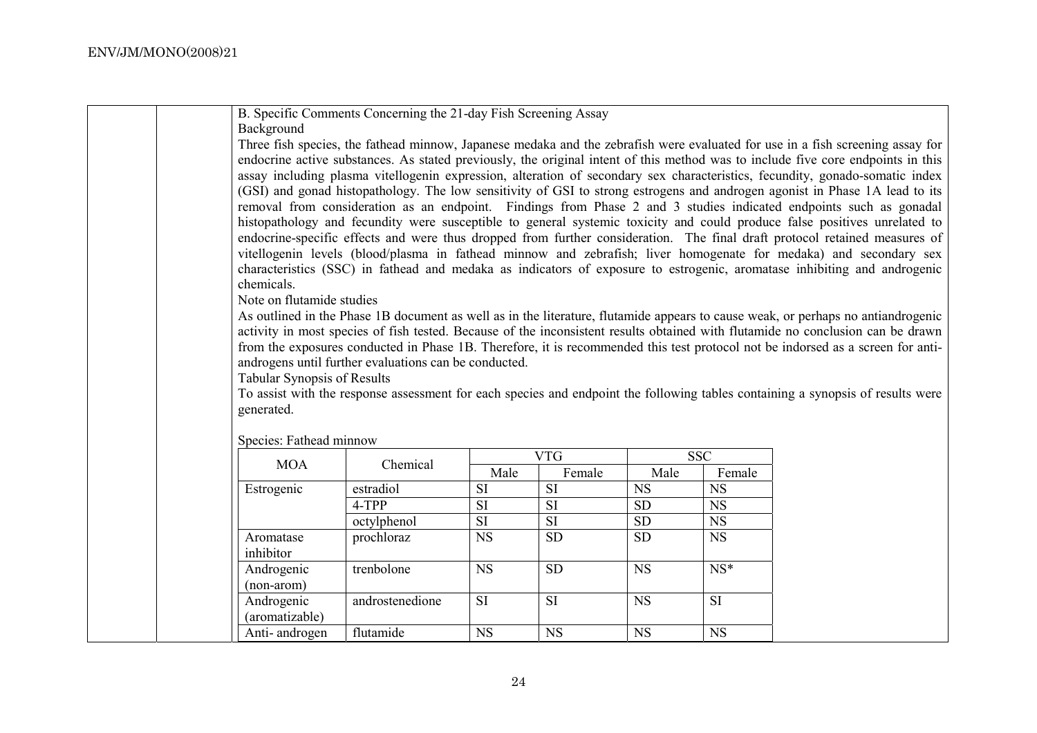B. Specific Comments Concerning the 21-day Fish Screening Assay Background Three fish species, the fathead minnow, Japanese medaka and the zebrafish were evaluated for use in a fish screening assay for endocrine active substances. As stated previously, the original intent of this method was to include five core endpoints in this assay including plasma vitellogenin expression, alteration of secondary sex characteristics, fecundity, gonado-somatic index (GSI) and gonad histopathology. The low sensitivity of GSI to strong estrogens and androgen agonist in Phase 1A lead to its removal from consideration as an endpoint. Findings from Phase 2 and 3 studies indicated endpoints such as gonadal histopathology and fecundity were susceptible to general systemic toxicity and could produce false positives unrelated to endocrine-specific effects and were thus dropped from further consideration. The final draft protocol retained measures of vitellogenin levels (blood/plasma in fathead minnow and zebrafish; liver homogenate for medaka) and secondary sex characteristics (SSC) in fathead and medaka as indicators of exposure to estrogenic, aromatase inhibiting and androgenic chemicals. Note on flutamide studies As outlined in the Phase 1B document as well as in the literature, flutamide appears to cause weak, or perhaps no antiandrogenic activity in most species of fish tested. Because of the inconsistent results obtained with flutamide no conclusion can be drawn from the exposures conducted in Phase 1B. Therefore, it is recommended this test protocol not be indorsed as a screen for antiandrogens until further evaluations can be conducted. Tabular Synopsis of Results To assist with the response assessment for each species and endpoint the following tables containing a synopsis of results were generated. Species: Fathead minnow MOA Chemical  $VTG$  SSC SSC Emale Female Female Estrogenic estradiol SI SI NS NS 4-TPP ISI ISI ISD INS octylphenol SI SI SD NS<br>
prochloraz NS SD SD NS Aromatase inhibitor prochloraz NS SD SD Androgenic (non-arom) trenbolone NS SD NS\* Androgenic (aromatizable) androstenedione SI SI NS SI Anti- androgen flutamide NS NS NS NS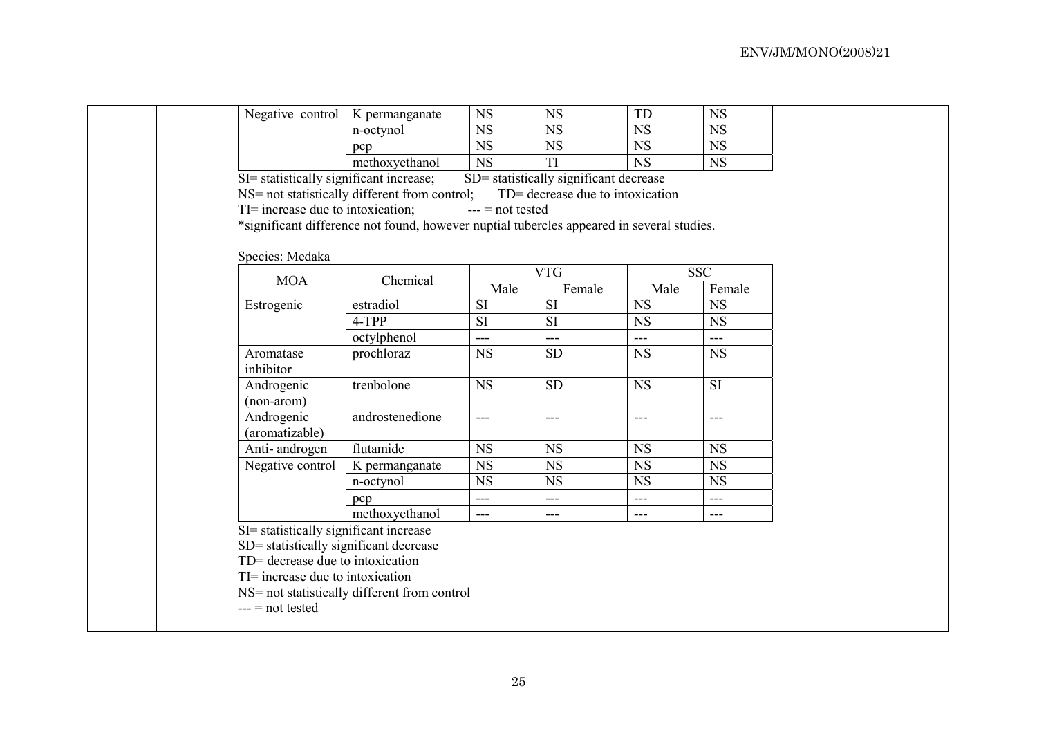| Negative control                                    | K permanganate                                                                            | <b>NS</b>           | <b>NS</b>                              | TD                     | <b>NS</b>                                                 |
|-----------------------------------------------------|-------------------------------------------------------------------------------------------|---------------------|----------------------------------------|------------------------|-----------------------------------------------------------|
|                                                     | n-octynol                                                                                 | <b>NS</b>           | <b>NS</b>                              | $\overline{\text{NS}}$ | <b>NS</b>                                                 |
|                                                     | pcp                                                                                       | <b>NS</b>           | <b>NS</b>                              | $\overline{\text{NS}}$ | <b>NS</b>                                                 |
|                                                     | methoxyethanol                                                                            | <b>NS</b>           | TI                                     | <b>NS</b>              | <b>NS</b>                                                 |
| $\overline{SI}$ statistically significant increase; |                                                                                           |                     | SD= statistically significant decrease |                        |                                                           |
|                                                     | NS= not statistically different from control;                                             |                     | TD= decrease due to intoxication       |                        |                                                           |
| TI= increase due to intoxication;                   |                                                                                           | $---$ = not tested  |                                        |                        |                                                           |
|                                                     | *significant difference not found, however nuptial tubercles appeared in several studies. |                     |                                        |                        |                                                           |
| Species: Medaka                                     |                                                                                           |                     |                                        |                        |                                                           |
| <b>MOA</b>                                          | Chemical                                                                                  |                     | <b>VTG</b>                             |                        | <b>SSC</b>                                                |
|                                                     |                                                                                           | Male                | Female                                 | Male                   | Female                                                    |
| Estrogenic                                          | estradiol                                                                                 | <b>SI</b>           | <b>SI</b>                              | <b>NS</b>              | <b>NS</b>                                                 |
|                                                     | $4-TPP$                                                                                   | $\overline{SI}$     | $\overline{SI}$                        | $\overline{\text{NS}}$ | <b>NS</b>                                                 |
|                                                     | octylphenol                                                                               | $\qquad \qquad - -$ | $\overline{a}$                         | ---                    | $\scriptstyle\cdots$                                      |
| Aromatase<br>inhibitor                              | prochloraz                                                                                | <b>NS</b>           | <b>SD</b>                              | <b>NS</b>              | <b>NS</b>                                                 |
| Androgenic<br>(non-arom)                            | trenbolone                                                                                | <b>NS</b>           | <b>SD</b>                              | $\overline{\text{NS}}$ | SI                                                        |
| Androgenic<br>(aromatizable)                        | androstenedione                                                                           | $---$               | $---$                                  | $\overline{a}$         | $---$                                                     |
| Anti-androgen                                       | flutamide                                                                                 | <b>NS</b>           | <b>NS</b>                              | <b>NS</b>              | <b>NS</b>                                                 |
| Negative control                                    | K permanganate                                                                            | <b>NS</b>           | <b>NS</b>                              | <b>NS</b>              | <b>NS</b>                                                 |
|                                                     | n-octynol                                                                                 | <b>NS</b>           | <b>NS</b>                              | <b>NS</b>              | <b>NS</b>                                                 |
|                                                     | pcp                                                                                       | ---                 | ---                                    | ---                    | $---$                                                     |
|                                                     | methoxyethanol                                                                            | $\qquad \qquad - -$ | $\qquad \qquad - -$                    | $---$                  | $\hspace{0.05cm}$ - $\hspace{0.05cm}$ - $\hspace{0.05cm}$ |
| $\overline{SI}$ statistically significant increase  |                                                                                           |                     |                                        |                        |                                                           |
| SD= statistically significant decrease              |                                                                                           |                     |                                        |                        |                                                           |
| TD= decrease due to intoxication                    |                                                                                           |                     |                                        |                        |                                                           |
| TI= increase due to intoxication                    |                                                                                           |                     |                                        |                        |                                                           |
|                                                     | NS= not statistically different from control                                              |                     |                                        |                        |                                                           |
| $---$ = not tested                                  |                                                                                           |                     |                                        |                        |                                                           |
|                                                     |                                                                                           |                     |                                        |                        |                                                           |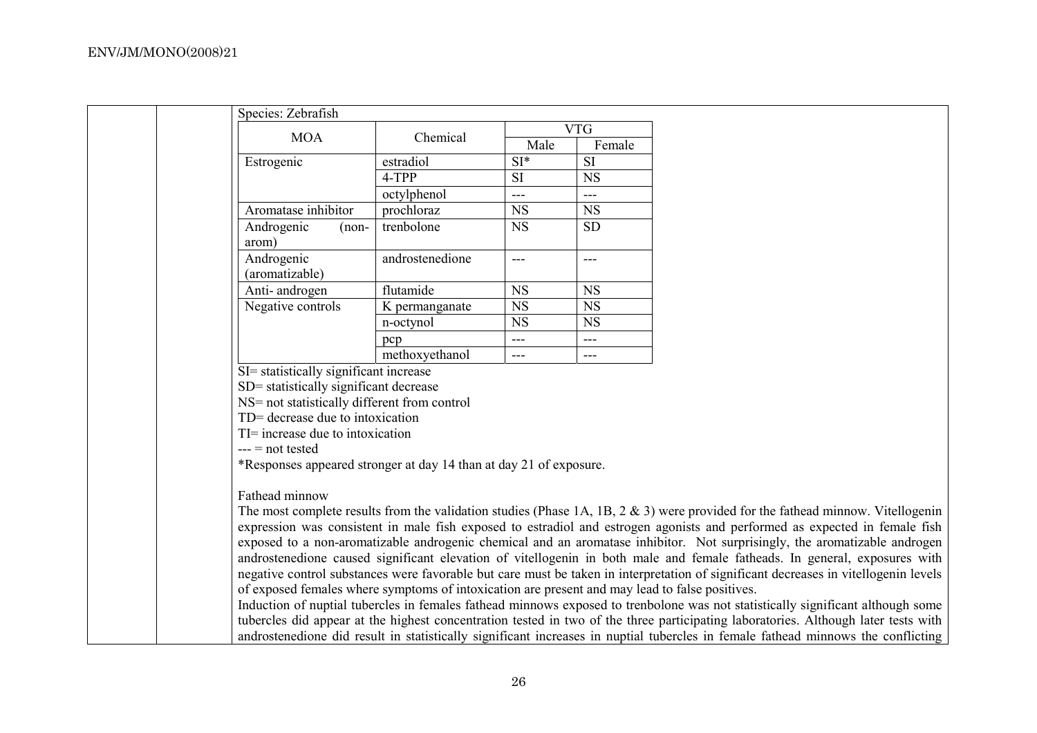| Species: Zebrafish    |                 |           |            |  |  |
|-----------------------|-----------------|-----------|------------|--|--|
| <b>MOA</b>            | Chemical        |           | <b>VTG</b> |  |  |
|                       |                 | Male      | Female     |  |  |
| Estrogenic            | estradiol       | $SI*$     | SІ         |  |  |
|                       | 4-TPP           | SI        | <b>NS</b>  |  |  |
|                       | octylphenol     |           |            |  |  |
| Aromatase inhibitor   | prochloraz      | <b>NS</b> | <b>NS</b>  |  |  |
| Androgenic<br>$(non-$ | trenbolone      | <b>NS</b> | <b>SD</b>  |  |  |
| arom)                 |                 |           |            |  |  |
| Androgenic            | androstenedione |           |            |  |  |
| (aromatizable)        |                 |           |            |  |  |
| Anti-androgen         | flutamide       | <b>NS</b> | <b>NS</b>  |  |  |
| Negative controls     | K permanganate  | <b>NS</b> | <b>NS</b>  |  |  |
|                       | n-octynol       | <b>NS</b> | <b>NS</b>  |  |  |
|                       | pcp             |           |            |  |  |
|                       | methoxyethanol  |           |            |  |  |

SI= statistically significant increase

SD= statistically significant decrease

NS= not statistically different from control

TD= decrease due to intoxication

TI= increase due to intoxication

 $--$  = not tested

\*Responses appeared stronger at day 14 than at day 21 of exposure.

#### Fathead minnow

The most complete results from the validation studies (Phase 1A, 1B, 2 & 3) were provided for the fathead minnow. Vitellogenin expression was consistent in male fish exposed to estradiol and estrogen agonists and performed as expected in female fish exposed to a non-aromatizable androgenic chemical and an aromatase inhibitor. Not surprisingly, the aromatizable androgen androstenedione caused significant elevation of vitellogenin in both male and female fatheads. In general, exposures with negative control substances were favorable but care must be taken in interpretation of significant decreases in vitellogenin levels of exposed females where symptoms of intoxication are present and may lead to false positives.

Induction of nuptial tubercles in females fathead minnows exposed to trenbolone was not statistically significant although some tubercles did appear at the highest concentration tested in two of the three participating laboratories. Although later tests with androstenedione did result in statistically significant increases in nuptial tubercles in female fathead minnows the conflicting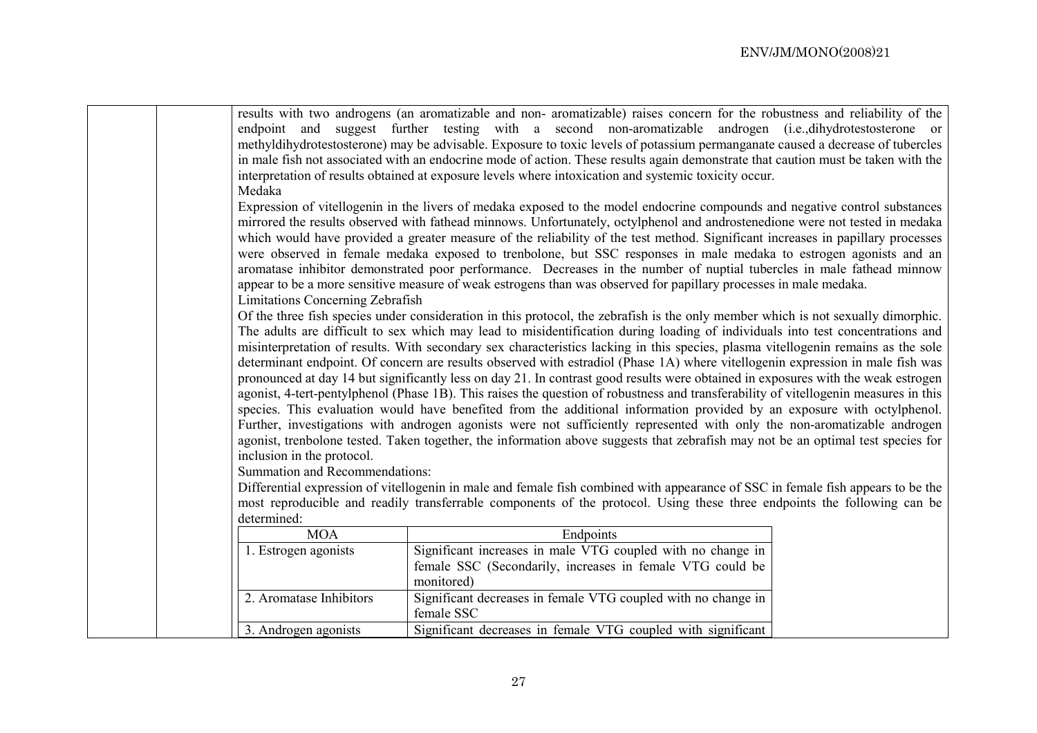|                                                                                                                                   | results with two androgens (an aromatizable and non-aromatizable) raises concern for the robustness and reliability of the<br>endpoint and suggest further testing with a second non-aromatizable androgen (i.e.,dihydrotestosterone or<br>methyldihydrotestosterone) may be advisable. Exposure to toxic levels of potassium permanganate caused a decrease of tubercles |  |
|-----------------------------------------------------------------------------------------------------------------------------------|---------------------------------------------------------------------------------------------------------------------------------------------------------------------------------------------------------------------------------------------------------------------------------------------------------------------------------------------------------------------------|--|
|                                                                                                                                   | in male fish not associated with an endocrine mode of action. These results again demonstrate that caution must be taken with the                                                                                                                                                                                                                                         |  |
|                                                                                                                                   | interpretation of results obtained at exposure levels where intoxication and systemic toxicity occur.                                                                                                                                                                                                                                                                     |  |
| Medaka                                                                                                                            |                                                                                                                                                                                                                                                                                                                                                                           |  |
|                                                                                                                                   | Expression of vitellogenin in the livers of medaka exposed to the model endocrine compounds and negative control substances                                                                                                                                                                                                                                               |  |
|                                                                                                                                   | mirrored the results observed with fathead minnows. Unfortunately, octylphenol and androstenedione were not tested in medaka                                                                                                                                                                                                                                              |  |
|                                                                                                                                   | which would have provided a greater measure of the reliability of the test method. Significant increases in papillary processes                                                                                                                                                                                                                                           |  |
|                                                                                                                                   | were observed in female medaka exposed to trenbolone, but SSC responses in male medaka to estrogen agonists and an                                                                                                                                                                                                                                                        |  |
|                                                                                                                                   | aromatase inhibitor demonstrated poor performance. Decreases in the number of nuptial tubercles in male fathead minnow                                                                                                                                                                                                                                                    |  |
|                                                                                                                                   | appear to be a more sensitive measure of weak estrogens than was observed for papillary processes in male medaka.                                                                                                                                                                                                                                                         |  |
| Limitations Concerning Zebrafish                                                                                                  |                                                                                                                                                                                                                                                                                                                                                                           |  |
|                                                                                                                                   | Of the three fish species under consideration in this protocol, the zebrafish is the only member which is not sexually dimorphic.                                                                                                                                                                                                                                         |  |
|                                                                                                                                   | The adults are difficult to sex which may lead to misidentification during loading of individuals into test concentrations and                                                                                                                                                                                                                                            |  |
|                                                                                                                                   | misinterpretation of results. With secondary sex characteristics lacking in this species, plasma vitellogenin remains as the sole                                                                                                                                                                                                                                         |  |
|                                                                                                                                   | determinant endpoint. Of concern are results observed with estradiol (Phase 1A) where vitellogen in expression in male fish was                                                                                                                                                                                                                                           |  |
| pronounced at day 14 but significantly less on day 21. In contrast good results were obtained in exposures with the weak estrogen |                                                                                                                                                                                                                                                                                                                                                                           |  |
|                                                                                                                                   | agonist, 4-tert-pentylphenol (Phase 1B). This raises the question of robustness and transferability of vitellogenin measures in this                                                                                                                                                                                                                                      |  |
|                                                                                                                                   | species. This evaluation would have benefited from the additional information provided by an exposure with octylphenol.                                                                                                                                                                                                                                                   |  |
|                                                                                                                                   | Further, investigations with androgen agonists were not sufficiently represented with only the non-aromatizable androgen                                                                                                                                                                                                                                                  |  |
|                                                                                                                                   | agonist, trenbolone tested. Taken together, the information above suggests that zebrafish may not be an optimal test species for                                                                                                                                                                                                                                          |  |
| inclusion in the protocol.                                                                                                        |                                                                                                                                                                                                                                                                                                                                                                           |  |
| Summation and Recommendations:                                                                                                    |                                                                                                                                                                                                                                                                                                                                                                           |  |
|                                                                                                                                   | Differential expression of vitellogenin in male and female fish combined with appearance of SSC in female fish appears to be the                                                                                                                                                                                                                                          |  |
|                                                                                                                                   | most reproducible and readily transferrable components of the protocol. Using these three endpoints the following can be                                                                                                                                                                                                                                                  |  |
| determined:                                                                                                                       |                                                                                                                                                                                                                                                                                                                                                                           |  |
| <b>MOA</b>                                                                                                                        | Endpoints                                                                                                                                                                                                                                                                                                                                                                 |  |
| $\overline{1}$ . Estrogen agonists                                                                                                | Significant increases in male VTG coupled with no change in                                                                                                                                                                                                                                                                                                               |  |
|                                                                                                                                   | female SSC (Secondarily, increases in female VTG could be                                                                                                                                                                                                                                                                                                                 |  |
|                                                                                                                                   | monitored)                                                                                                                                                                                                                                                                                                                                                                |  |
| 2. Aromatase Inhibitors                                                                                                           | Significant decreases in female VTG coupled with no change in                                                                                                                                                                                                                                                                                                             |  |
|                                                                                                                                   | female SSC                                                                                                                                                                                                                                                                                                                                                                |  |
| 3. Androgen agonists                                                                                                              | Significant decreases in female VTG coupled with significant                                                                                                                                                                                                                                                                                                              |  |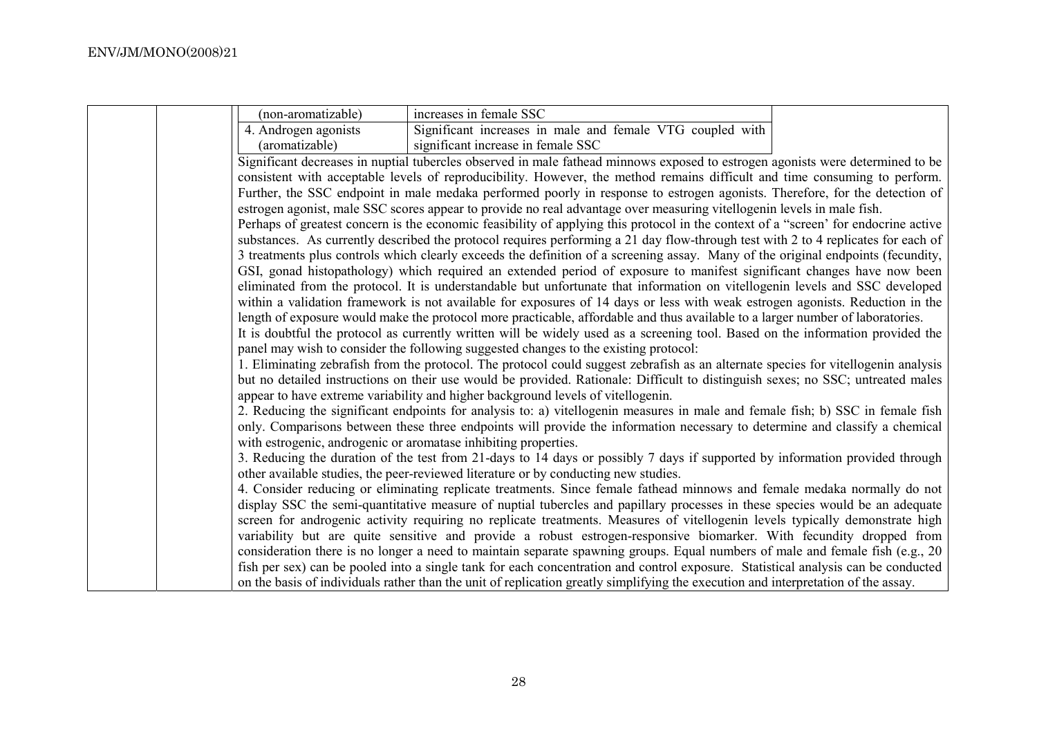|  | (non-aromatizable)   | increases in female SSC                                                                                                                                                                                                                                               |  |
|--|----------------------|-----------------------------------------------------------------------------------------------------------------------------------------------------------------------------------------------------------------------------------------------------------------------|--|
|  | 4. Androgen agonists | Significant increases in male and female VTG coupled with                                                                                                                                                                                                             |  |
|  | (aromatizable)       | significant increase in female SSC                                                                                                                                                                                                                                    |  |
|  |                      | Significant decreases in nuptial tubercles observed in male fathead minnows exposed to estrogen agonists were determined to be                                                                                                                                        |  |
|  |                      | consistent with acceptable levels of reproducibility. However, the method remains difficult and time consuming to perform.                                                                                                                                            |  |
|  |                      | Further, the SSC endpoint in male medaka performed poorly in response to estrogen agonists. Therefore, for the detection of                                                                                                                                           |  |
|  |                      | estrogen agonist, male SSC scores appear to provide no real advantage over measuring vitellogenin levels in male fish.                                                                                                                                                |  |
|  |                      | Perhaps of greatest concern is the economic feasibility of applying this protocol in the context of a "screen" for endocrine active                                                                                                                                   |  |
|  |                      | substances. As currently described the protocol requires performing a 21 day flow-through test with 2 to 4 replicates for each of                                                                                                                                     |  |
|  |                      | 3 treatments plus controls which clearly exceeds the definition of a screening assay. Many of the original endpoints (fecundity,                                                                                                                                      |  |
|  |                      | GSI, gonad histopathology) which required an extended period of exposure to manifest significant changes have now been                                                                                                                                                |  |
|  |                      | eliminated from the protocol. It is understandable but unfortunate that information on vitellogenin levels and SSC developed                                                                                                                                          |  |
|  |                      | within a validation framework is not available for exposures of 14 days or less with weak estrogen agonists. Reduction in the                                                                                                                                         |  |
|  |                      | length of exposure would make the protocol more practicable, affordable and thus available to a larger number of laboratories.                                                                                                                                        |  |
|  |                      | It is doubtful the protocol as currently written will be widely used as a screening tool. Based on the information provided the                                                                                                                                       |  |
|  |                      | panel may wish to consider the following suggested changes to the existing protocol:                                                                                                                                                                                  |  |
|  |                      | 1. Eliminating zebrafish from the protocol. The protocol could suggest zebrafish as an alternate species for vitellogenin analysis<br>but no detailed instructions on their use would be provided. Rationale: Difficult to distinguish sexes; no SSC; untreated males |  |
|  |                      | appear to have extreme variability and higher background levels of vitellogenin.                                                                                                                                                                                      |  |
|  |                      | 2. Reducing the significant endpoints for analysis to: a) vitellogenin measures in male and female fish; b) SSC in female fish                                                                                                                                        |  |
|  |                      | only. Comparisons between these three endpoints will provide the information necessary to determine and classify a chemical                                                                                                                                           |  |
|  |                      | with estrogenic, androgenic or aromatase inhibiting properties.                                                                                                                                                                                                       |  |
|  |                      | 3. Reducing the duration of the test from 21-days to 14 days or possibly 7 days if supported by information provided through                                                                                                                                          |  |
|  |                      | other available studies, the peer-reviewed literature or by conducting new studies.                                                                                                                                                                                   |  |
|  |                      | 4. Consider reducing or eliminating replicate treatments. Since female fathead minnows and female medaka normally do not                                                                                                                                              |  |
|  |                      | display SSC the semi-quantitative measure of nuptial tubercles and papillary processes in these species would be an adequate                                                                                                                                          |  |
|  |                      | screen for androgenic activity requiring no replicate treatments. Measures of vitellogenin levels typically demonstrate high                                                                                                                                          |  |
|  |                      | variability but are quite sensitive and provide a robust estrogen-responsive biomarker. With fecundity dropped from                                                                                                                                                   |  |
|  |                      | consideration there is no longer a need to maintain separate spawning groups. Equal numbers of male and female fish (e.g., 20                                                                                                                                         |  |
|  |                      | fish per sex) can be pooled into a single tank for each concentration and control exposure. Statistical analysis can be conducted                                                                                                                                     |  |
|  |                      | on the basis of individuals rather than the unit of replication greatly simplifying the execution and interpretation of the assay.                                                                                                                                    |  |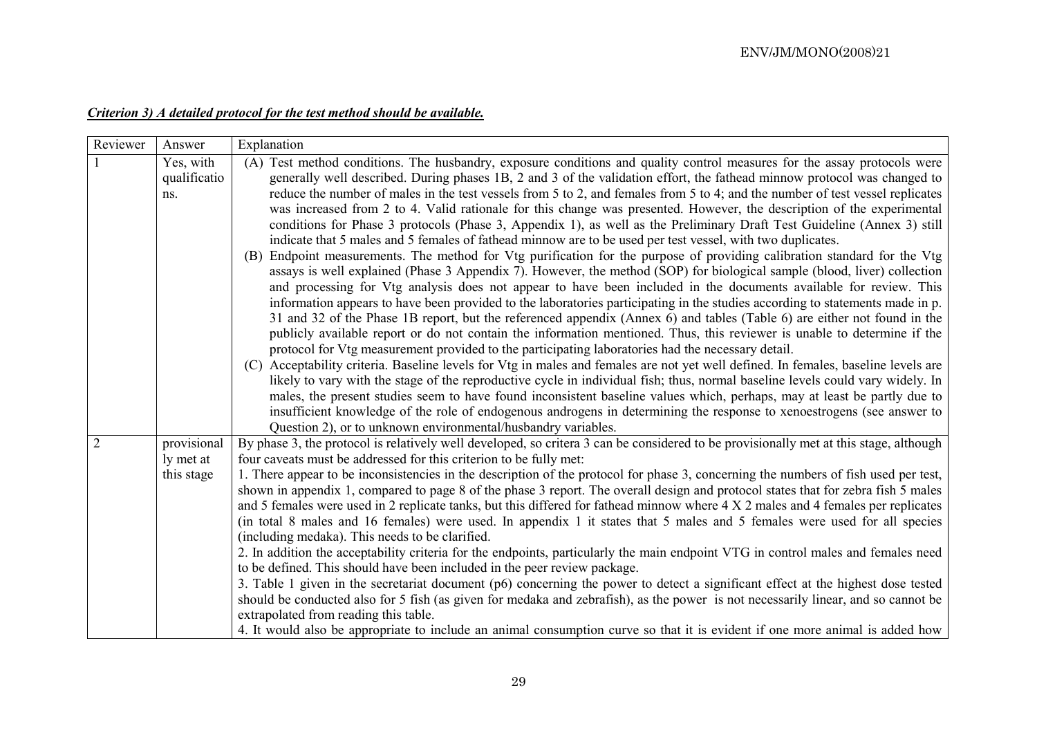# *Criterion 3) A detailed protocol for the test method should be available.*

| Reviewer       | Answer                                 | Explanation                                                                                                                                                                                                                                                                                                                                                                                                                                                                                                                                                                                                                                                                                                                                                                                                                                                                                                                                                                                                                                                                                                                                                                                                                                                                                                                                                                                                                                                                                                                                                                                                                                                                                                                                                                                                                                                                                                                                                                                                                                |
|----------------|----------------------------------------|--------------------------------------------------------------------------------------------------------------------------------------------------------------------------------------------------------------------------------------------------------------------------------------------------------------------------------------------------------------------------------------------------------------------------------------------------------------------------------------------------------------------------------------------------------------------------------------------------------------------------------------------------------------------------------------------------------------------------------------------------------------------------------------------------------------------------------------------------------------------------------------------------------------------------------------------------------------------------------------------------------------------------------------------------------------------------------------------------------------------------------------------------------------------------------------------------------------------------------------------------------------------------------------------------------------------------------------------------------------------------------------------------------------------------------------------------------------------------------------------------------------------------------------------------------------------------------------------------------------------------------------------------------------------------------------------------------------------------------------------------------------------------------------------------------------------------------------------------------------------------------------------------------------------------------------------------------------------------------------------------------------------------------------------|
|                | Yes, with<br>qualificatio<br>ns.       | (A) Test method conditions. The husbandry, exposure conditions and quality control measures for the assay protocols were<br>generally well described. During phases 1B, 2 and 3 of the validation effort, the fathead minnow protocol was changed to<br>reduce the number of males in the test vessels from 5 to 2, and females from 5 to 4; and the number of test vessel replicates<br>was increased from 2 to 4. Valid rationale for this change was presented. However, the description of the experimental<br>conditions for Phase 3 protocols (Phase 3, Appendix 1), as well as the Preliminary Draft Test Guideline (Annex 3) still<br>indicate that 5 males and 5 females of fathead minnow are to be used per test vessel, with two duplicates.<br>Endpoint measurements. The method for Vtg purification for the purpose of providing calibration standard for the Vtg<br>(B)<br>assays is well explained (Phase 3 Appendix 7). However, the method (SOP) for biological sample (blood, liver) collection<br>and processing for Vtg analysis does not appear to have been included in the documents available for review. This<br>information appears to have been provided to the laboratories participating in the studies according to statements made in p.<br>31 and 32 of the Phase 1B report, but the referenced appendix (Annex 6) and tables (Table 6) are either not found in the<br>publicly available report or do not contain the information mentioned. Thus, this reviewer is unable to determine if the<br>protocol for Vtg measurement provided to the participating laboratories had the necessary detail.<br>(C) Acceptability criteria. Baseline levels for Vtg in males and females are not yet well defined. In females, baseline levels are<br>likely to vary with the stage of the reproductive cycle in individual fish; thus, normal baseline levels could vary widely. In<br>males, the present studies seem to have found inconsistent baseline values which, perhaps, may at least be partly due to |
|                |                                        | insufficient knowledge of the role of endogenous androgens in determining the response to xenoestrogens (see answer to<br>Question 2), or to unknown environmental/husbandry variables.                                                                                                                                                                                                                                                                                                                                                                                                                                                                                                                                                                                                                                                                                                                                                                                                                                                                                                                                                                                                                                                                                                                                                                                                                                                                                                                                                                                                                                                                                                                                                                                                                                                                                                                                                                                                                                                    |
| $\overline{2}$ | provisional<br>ly met at<br>this stage | By phase 3, the protocol is relatively well developed, so critera 3 can be considered to be provisionally met at this stage, although<br>four caveats must be addressed for this criterion to be fully met:<br>1. There appear to be inconsistencies in the description of the protocol for phase 3, concerning the numbers of fish used per test,<br>shown in appendix 1, compared to page 8 of the phase 3 report. The overall design and protocol states that for zebra fish 5 males<br>and 5 females were used in 2 replicate tanks, but this differed for fathead minnow where 4 X 2 males and 4 females per replicates<br>(in total 8 males and 16 females) were used. In appendix 1 it states that 5 males and 5 females were used for all species<br>(including medaka). This needs to be clarified.<br>2. In addition the acceptability criteria for the endpoints, particularly the main endpoint VTG in control males and females need<br>to be defined. This should have been included in the peer review package.<br>3. Table 1 given in the secretariat document (p6) concerning the power to detect a significant effect at the highest dose tested<br>should be conducted also for 5 fish (as given for medaka and zebrafish), as the power is not necessarily linear, and so cannot be<br>extrapolated from reading this table.<br>4. It would also be appropriate to include an animal consumption curve so that it is evident if one more animal is added how                                                                                                                                                                                                                                                                                                                                                                                                                                                                                                                                                           |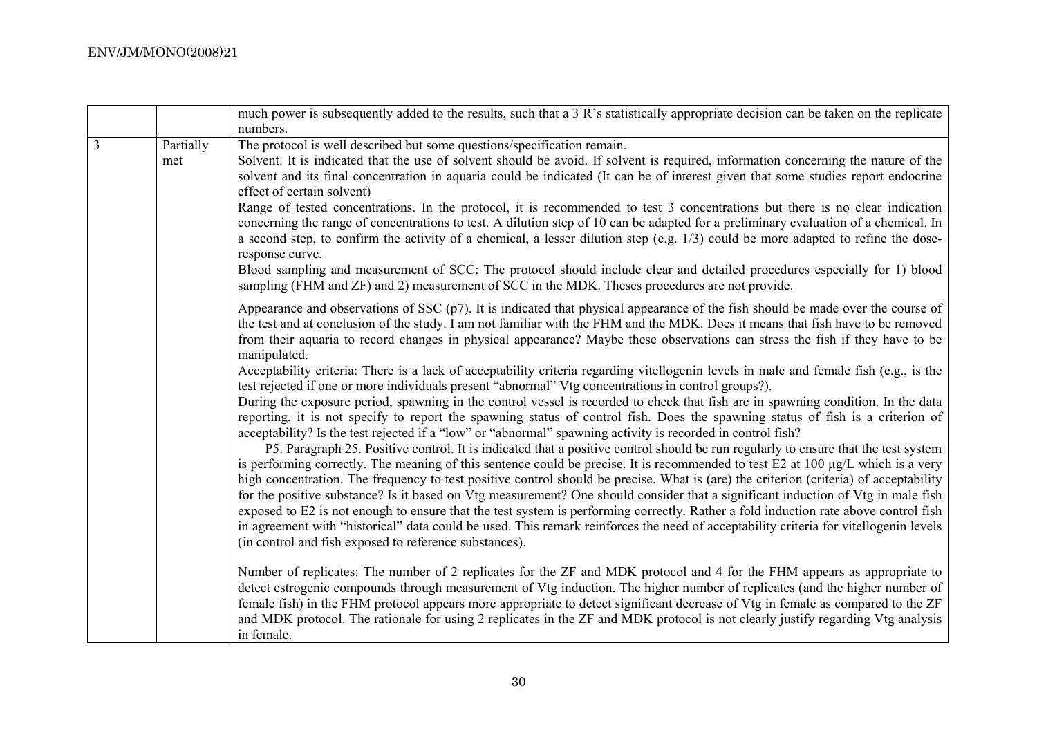|                |                  | much power is subsequently added to the results, such that a 3 R's statistically appropriate decision can be taken on the replicate                                                                                                                                                                                                                                                                                                                                                                                                                                                                                                                                                                                                                                                                                                                                                                                                                                                                                                                                                                                                                                                                                                                                                                                                                                                                                                                                                                                                                                                                                                                                                                                                                                                                                                                                                                                                                             |
|----------------|------------------|-----------------------------------------------------------------------------------------------------------------------------------------------------------------------------------------------------------------------------------------------------------------------------------------------------------------------------------------------------------------------------------------------------------------------------------------------------------------------------------------------------------------------------------------------------------------------------------------------------------------------------------------------------------------------------------------------------------------------------------------------------------------------------------------------------------------------------------------------------------------------------------------------------------------------------------------------------------------------------------------------------------------------------------------------------------------------------------------------------------------------------------------------------------------------------------------------------------------------------------------------------------------------------------------------------------------------------------------------------------------------------------------------------------------------------------------------------------------------------------------------------------------------------------------------------------------------------------------------------------------------------------------------------------------------------------------------------------------------------------------------------------------------------------------------------------------------------------------------------------------------------------------------------------------------------------------------------------------|
|                |                  | numbers.                                                                                                                                                                                                                                                                                                                                                                                                                                                                                                                                                                                                                                                                                                                                                                                                                                                                                                                                                                                                                                                                                                                                                                                                                                                                                                                                                                                                                                                                                                                                                                                                                                                                                                                                                                                                                                                                                                                                                        |
| $\overline{3}$ | Partially<br>met | The protocol is well described but some questions/specification remain.<br>Solvent. It is indicated that the use of solvent should be avoid. If solvent is required, information concerning the nature of the<br>solvent and its final concentration in aquaria could be indicated (It can be of interest given that some studies report endocrine<br>effect of certain solvent)<br>Range of tested concentrations. In the protocol, it is recommended to test 3 concentrations but there is no clear indication<br>concerning the range of concentrations to test. A dilution step of 10 can be adapted for a preliminary evaluation of a chemical. In<br>a second step, to confirm the activity of a chemical, a lesser dilution step (e.g. 1/3) could be more adapted to refine the dose-<br>response curve.<br>Blood sampling and measurement of SCC: The protocol should include clear and detailed procedures especially for 1) blood<br>sampling (FHM and ZF) and 2) measurement of SCC in the MDK. Theses procedures are not provide.                                                                                                                                                                                                                                                                                                                                                                                                                                                                                                                                                                                                                                                                                                                                                                                                                                                                                                                   |
|                |                  | Appearance and observations of SSC $(p7)$ . It is indicated that physical appearance of the fish should be made over the course of<br>the test and at conclusion of the study. I am not familiar with the FHM and the MDK. Does it means that fish have to be removed<br>from their aquaria to record changes in physical appearance? Maybe these observations can stress the fish if they have to be<br>manipulated.<br>Acceptability criteria: There is a lack of acceptability criteria regarding vitellogenin levels in male and female fish (e.g., is the<br>test rejected if one or more individuals present "abnormal" Vtg concentrations in control groups?).<br>During the exposure period, spawning in the control vessel is recorded to check that fish are in spawning condition. In the data<br>reporting, it is not specify to report the spawning status of control fish. Does the spawning status of fish is a criterion of<br>acceptability? Is the test rejected if a "low" or "abnormal" spawning activity is recorded in control fish?<br>P5. Paragraph 25. Positive control. It is indicated that a positive control should be run regularly to ensure that the test system<br>is performing correctly. The meaning of this sentence could be precise. It is recommended to test E2 at 100 $\mu$ g/L which is a very<br>high concentration. The frequency to test positive control should be precise. What is (are) the criterion (criteria) of acceptability<br>for the positive substance? Is it based on Vtg measurement? One should consider that a significant induction of Vtg in male fish<br>exposed to E2 is not enough to ensure that the test system is performing correctly. Rather a fold induction rate above control fish<br>in agreement with "historical" data could be used. This remark reinforces the need of acceptability criteria for vitellogenin levels<br>(in control and fish exposed to reference substances). |
|                |                  | Number of replicates: The number of 2 replicates for the ZF and MDK protocol and 4 for the FHM appears as appropriate to<br>detect estrogenic compounds through measurement of Vtg induction. The higher number of replicates (and the higher number of<br>female fish) in the FHM protocol appears more appropriate to detect significant decrease of Vtg in female as compared to the ZF<br>and MDK protocol. The rationale for using 2 replicates in the ZF and MDK protocol is not clearly justify regarding Vtg analysis<br>in female.                                                                                                                                                                                                                                                                                                                                                                                                                                                                                                                                                                                                                                                                                                                                                                                                                                                                                                                                                                                                                                                                                                                                                                                                                                                                                                                                                                                                                     |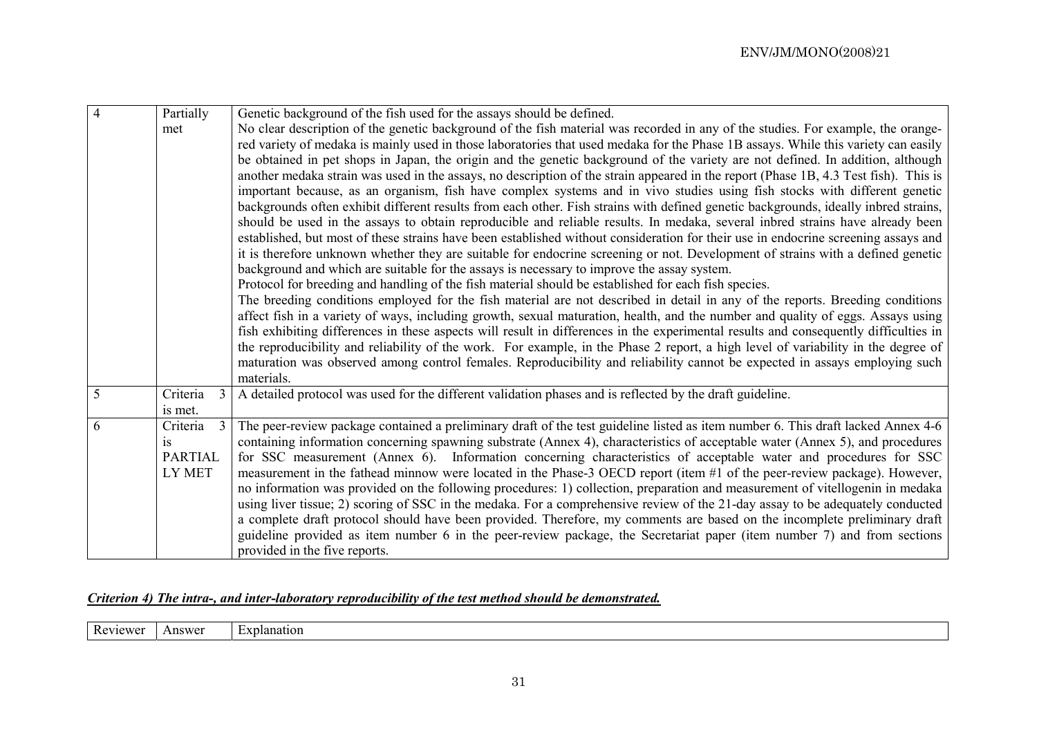| $\overline{4}$ | Partially                                  | Genetic background of the fish used for the assays should be defined.                                                                                                                                                                                                                                                                                                                                                                                                                                                                                                                                                                                                                                                                                                                                                                                                                                                                                                                                                                                                                                                                                                                                                                                                                                                                                                                                                                                                                                                                                                                                                                                                                                                                                                                                                                                                                                                                                                                                                                                                                                                             |
|----------------|--------------------------------------------|-----------------------------------------------------------------------------------------------------------------------------------------------------------------------------------------------------------------------------------------------------------------------------------------------------------------------------------------------------------------------------------------------------------------------------------------------------------------------------------------------------------------------------------------------------------------------------------------------------------------------------------------------------------------------------------------------------------------------------------------------------------------------------------------------------------------------------------------------------------------------------------------------------------------------------------------------------------------------------------------------------------------------------------------------------------------------------------------------------------------------------------------------------------------------------------------------------------------------------------------------------------------------------------------------------------------------------------------------------------------------------------------------------------------------------------------------------------------------------------------------------------------------------------------------------------------------------------------------------------------------------------------------------------------------------------------------------------------------------------------------------------------------------------------------------------------------------------------------------------------------------------------------------------------------------------------------------------------------------------------------------------------------------------------------------------------------------------------------------------------------------------|
|                | met                                        | No clear description of the genetic background of the fish material was recorded in any of the studies. For example, the orange-<br>red variety of medaka is mainly used in those laboratories that used medaka for the Phase 1B assays. While this variety can easily<br>be obtained in pet shops in Japan, the origin and the genetic background of the variety are not defined. In addition, although<br>another medaka strain was used in the assays, no description of the strain appeared in the report (Phase 1B, 4.3 Test fish). This is<br>important because, as an organism, fish have complex systems and in vivo studies using fish stocks with different genetic<br>backgrounds often exhibit different results from each other. Fish strains with defined genetic backgrounds, ideally inbred strains,<br>should be used in the assays to obtain reproducible and reliable results. In medaka, several inbred strains have already been<br>established, but most of these strains have been established without consideration for their use in endocrine screening assays and<br>it is therefore unknown whether they are suitable for endocrine screening or not. Development of strains with a defined genetic<br>background and which are suitable for the assays is necessary to improve the assay system.<br>Protocol for breeding and handling of the fish material should be established for each fish species.<br>The breeding conditions employed for the fish material are not described in detail in any of the reports. Breeding conditions<br>affect fish in a variety of ways, including growth, sexual maturation, health, and the number and quality of eggs. Assays using<br>fish exhibiting differences in these aspects will result in differences in the experimental results and consequently difficulties in<br>the reproducibility and reliability of the work. For example, in the Phase 2 report, a high level of variability in the degree of<br>maturation was observed among control females. Reproducibility and reliability cannot be expected in assays employing such<br>materials. |
| 5              | Criteria<br>$\overline{3}$                 | A detailed protocol was used for the different validation phases and is reflected by the draft guideline.                                                                                                                                                                                                                                                                                                                                                                                                                                                                                                                                                                                                                                                                                                                                                                                                                                                                                                                                                                                                                                                                                                                                                                                                                                                                                                                                                                                                                                                                                                                                                                                                                                                                                                                                                                                                                                                                                                                                                                                                                         |
|                | is met.                                    |                                                                                                                                                                                                                                                                                                                                                                                                                                                                                                                                                                                                                                                                                                                                                                                                                                                                                                                                                                                                                                                                                                                                                                                                                                                                                                                                                                                                                                                                                                                                                                                                                                                                                                                                                                                                                                                                                                                                                                                                                                                                                                                                   |
| 6              | Criteria<br>is<br><b>PARTIAL</b><br>LY MET | The peer-review package contained a preliminary draft of the test guideline listed as item number 6. This draft lacked Annex 4-6<br>containing information concerning spawning substrate (Annex 4), characteristics of acceptable water (Annex 5), and procedures<br>for SSC measurement (Annex 6). Information concerning characteristics of acceptable water and procedures for SSC<br>measurement in the fathead minnow were located in the Phase-3 OECD report (item #1 of the peer-review package). However,<br>no information was provided on the following procedures: 1) collection, preparation and measurement of vitellogenin in medaka<br>using liver tissue; 2) scoring of SSC in the medaka. For a comprehensive review of the 21-day assay to be adequately conducted<br>a complete draft protocol should have been provided. Therefore, my comments are based on the incomplete preliminary draft<br>guideline provided as item number 6 in the peer-review package, the Secretariat paper (item number 7) and from sections<br>provided in the five reports.                                                                                                                                                                                                                                                                                                                                                                                                                                                                                                                                                                                                                                                                                                                                                                                                                                                                                                                                                                                                                                                     |

# *Criterion 4) The intra-, and inter-laboratory reproducibility of the test method should be demonstrated.*

| T.<br>$\Delta$<br>rv | $7^{\circ}$<br>nc<br>. | ---<br>lanation |
|----------------------|------------------------|-----------------|
|----------------------|------------------------|-----------------|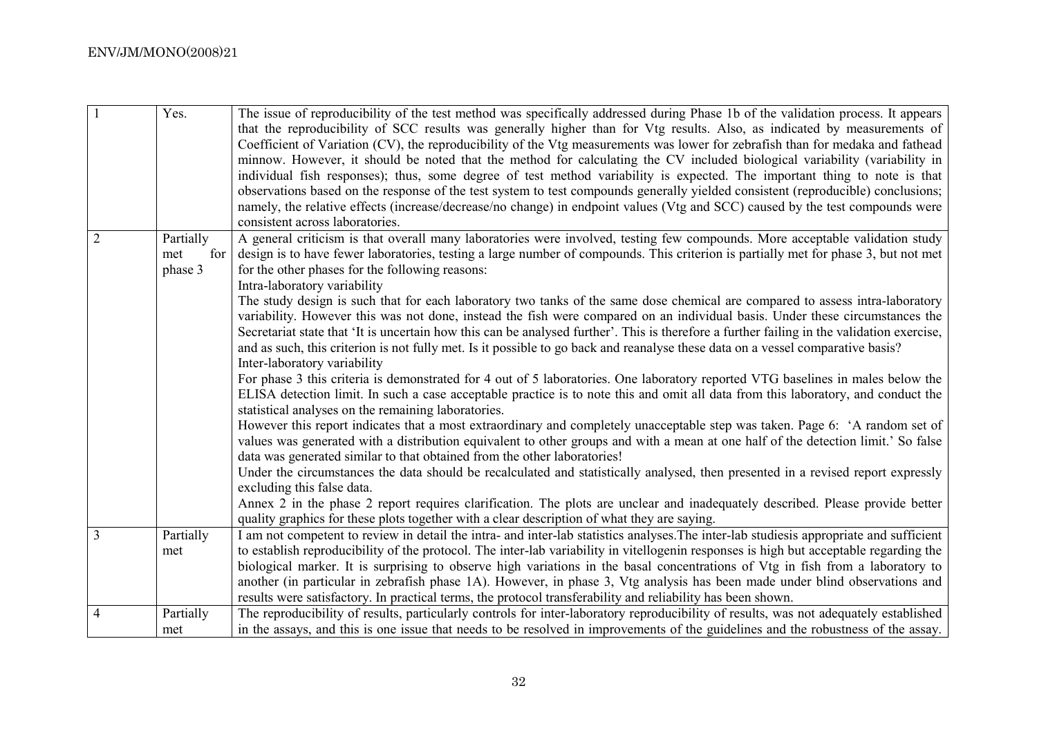| $\mathbf{1}$   | Yes.       | The issue of reproducibility of the test method was specifically addressed during Phase 1b of the validation process. It appears           |
|----------------|------------|--------------------------------------------------------------------------------------------------------------------------------------------|
|                |            | that the reproducibility of SCC results was generally higher than for Vtg results. Also, as indicated by measurements of                   |
|                |            | Coefficient of Variation (CV), the reproducibility of the Vtg measurements was lower for zebrafish than for medaka and fathead             |
|                |            | minnow. However, it should be noted that the method for calculating the CV included biological variability (variability in                 |
|                |            | individual fish responses); thus, some degree of test method variability is expected. The important thing to note is that                  |
|                |            | observations based on the response of the test system to test compounds generally yielded consistent (reproducible) conclusions;           |
|                |            | namely, the relative effects (increase/decrease/no change) in endpoint values (Vtg and SCC) caused by the test compounds were              |
|                |            | consistent across laboratories.                                                                                                            |
| $\overline{2}$ | Partially  | A general criticism is that overall many laboratories were involved, testing few compounds. More acceptable validation study               |
|                | for<br>met | design is to have fewer laboratories, testing a large number of compounds. This criterion is partially met for phase 3, but not met        |
|                | phase 3    | for the other phases for the following reasons:                                                                                            |
|                |            | Intra-laboratory variability                                                                                                               |
|                |            | The study design is such that for each laboratory two tanks of the same dose chemical are compared to assess intra-laboratory              |
|                |            | variability. However this was not done, instead the fish were compared on an individual basis. Under these circumstances the               |
|                |            | Secretariat state that 'It is uncertain how this can be analysed further'. This is therefore a further failing in the validation exercise, |
|                |            | and as such, this criterion is not fully met. Is it possible to go back and reanalyse these data on a vessel comparative basis?            |
|                |            | Inter-laboratory variability                                                                                                               |
|                |            | For phase 3 this criteria is demonstrated for 4 out of 5 laboratories. One laboratory reported VTG baselines in males below the            |
|                |            | ELISA detection limit. In such a case acceptable practice is to note this and omit all data from this laboratory, and conduct the          |
|                |            | statistical analyses on the remaining laboratories.                                                                                        |
|                |            | However this report indicates that a most extraordinary and completely unacceptable step was taken. Page 6: 'A random set of               |
|                |            | values was generated with a distribution equivalent to other groups and with a mean at one half of the detection limit.' So false          |
|                |            | data was generated similar to that obtained from the other laboratories!                                                                   |
|                |            | Under the circumstances the data should be recalculated and statistically analysed, then presented in a revised report expressly           |
|                |            | excluding this false data.                                                                                                                 |
|                |            | Annex 2 in the phase 2 report requires clarification. The plots are unclear and inadequately described. Please provide better              |
|                |            | quality graphics for these plots together with a clear description of what they are saying.                                                |
| 3              | Partially  | I am not competent to review in detail the intra- and inter-lab statistics analyses. The inter-lab studiesis appropriate and sufficient    |
|                | met        | to establish reproducibility of the protocol. The inter-lab variability in vitellogenin responses is high but acceptable regarding the     |
|                |            | biological marker. It is surprising to observe high variations in the basal concentrations of Vtg in fish from a laboratory to             |
|                |            | another (in particular in zebrafish phase 1A). However, in phase 3, Vtg analysis has been made under blind observations and                |
|                |            | results were satisfactory. In practical terms, the protocol transferability and reliability has been shown.                                |
| 4              | Partially  | The reproducibility of results, particularly controls for inter-laboratory reproducibility of results, was not adequately established      |
|                | met        | in the assays, and this is one issue that needs to be resolved in improvements of the guidelines and the robustness of the assay.          |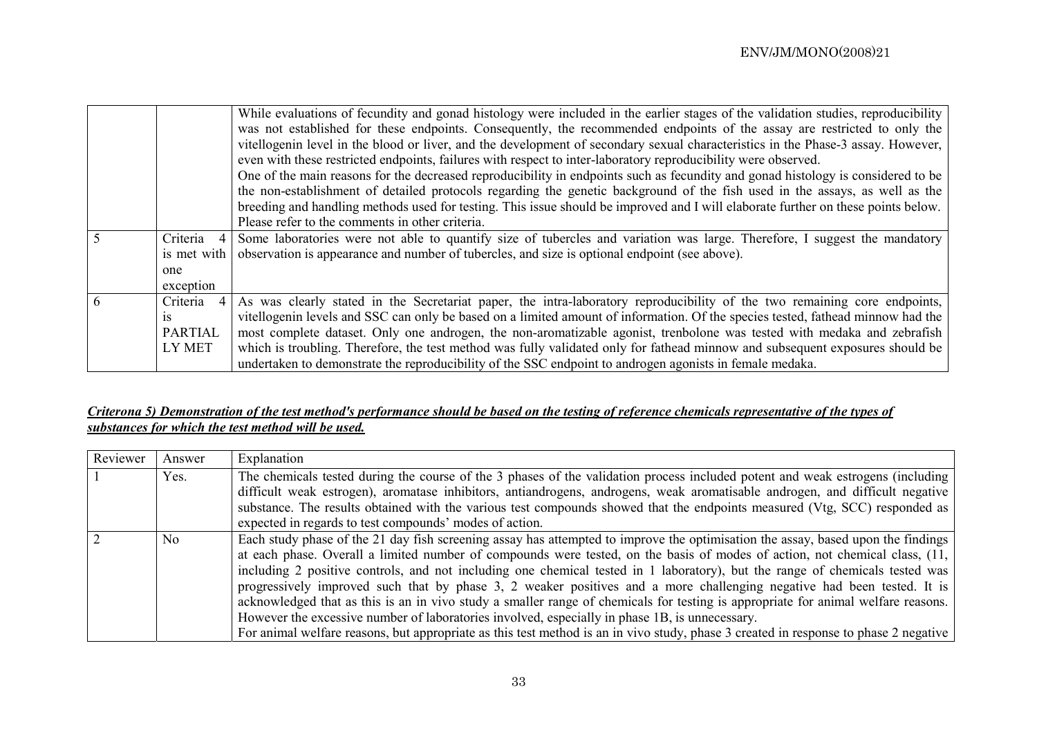|    |                                                                                                                                  | While evaluations of fecundity and gonad histology were included in the earlier stages of the validation studies, reproducibility |
|----|----------------------------------------------------------------------------------------------------------------------------------|-----------------------------------------------------------------------------------------------------------------------------------|
|    |                                                                                                                                  | was not established for these endpoints. Consequently, the recommended endpoints of the assay are restricted to only the          |
|    | vitellogenin level in the blood or liver, and the development of secondary sexual characteristics in the Phase-3 assay. However, |                                                                                                                                   |
|    | even with these restricted endpoints, failures with respect to inter-laboratory reproducibility were observed.                   |                                                                                                                                   |
|    |                                                                                                                                  | One of the main reasons for the decreased reproducibility in endpoints such as fecundity and gonad histology is considered to be  |
|    |                                                                                                                                  | the non-establishment of detailed protocols regarding the genetic background of the fish used in the assays, as well as the       |
|    |                                                                                                                                  | breeding and handling methods used for testing. This issue should be improved and I will elaborate further on these points below. |
|    |                                                                                                                                  | Please refer to the comments in other criteria.                                                                                   |
| -5 | Criteria<br>$\overline{4}$                                                                                                       | Some laboratories were not able to quantify size of tubercles and variation was large. Therefore, I suggest the mandatory         |
|    | is met with                                                                                                                      | observation is appearance and number of tubercles, and size is optional endpoint (see above).                                     |
|    | one                                                                                                                              |                                                                                                                                   |
|    | exception                                                                                                                        |                                                                                                                                   |
| -6 | Criteria                                                                                                                         | As was clearly stated in the Secretariat paper, the intra-laboratory reproducibility of the two remaining core endpoints,         |
|    | 1S                                                                                                                               | vitellogenin levels and SSC can only be based on a limited amount of information. Of the species tested, fathead minnow had the   |
|    | <b>PARTIAL</b>                                                                                                                   | most complete dataset. Only one androgen, the non-aromatizable agonist, trenbolone was tested with medaka and zebrafish           |
|    | LY MET                                                                                                                           | which is troubling. Therefore, the test method was fully validated only for fathead minnow and subsequent exposures should be     |
|    |                                                                                                                                  | undertaken to demonstrate the reproducibility of the SSC endpoint to androgen agonists in female medaka.                          |

#### *Criterona 5) Demonstration of the test method's performance should be based on the testing of reference chemicals representative of the types of substances for which the test method will be used.*

| Reviewer | Answer         | Explanation                                                                                                                                                                                                                                                                                                                                                                                                                                                                                                                                                                                                                                                                                                                                                                                                                                                                                                   |
|----------|----------------|---------------------------------------------------------------------------------------------------------------------------------------------------------------------------------------------------------------------------------------------------------------------------------------------------------------------------------------------------------------------------------------------------------------------------------------------------------------------------------------------------------------------------------------------------------------------------------------------------------------------------------------------------------------------------------------------------------------------------------------------------------------------------------------------------------------------------------------------------------------------------------------------------------------|
|          | Yes.           | The chemicals tested during the course of the 3 phases of the validation process included potent and weak estrogens (including)<br>difficult weak estrogen), aromatase inhibitors, antiandrogens, androgens, weak aromatisable androgen, and difficult negative<br>substance. The results obtained with the various test compounds showed that the endpoints measured (Vtg, SCC) responded as<br>expected in regards to test compounds' modes of action.                                                                                                                                                                                                                                                                                                                                                                                                                                                      |
|          | N <sub>0</sub> | Each study phase of the 21 day fish screening assay has attempted to improve the optimisation the assay, based upon the findings<br>at each phase. Overall a limited number of compounds were tested, on the basis of modes of action, not chemical class, $(11, 1)$<br>including 2 positive controls, and not including one chemical tested in 1 laboratory), but the range of chemicals tested was<br>progressively improved such that by phase 3, 2 weaker positives and a more challenging negative had been tested. It is<br>acknowledged that as this is an in vivo study a smaller range of chemicals for testing is appropriate for animal welfare reasons.<br>However the excessive number of laboratories involved, especially in phase 1B, is unnecessary.<br>For animal welfare reasons, but appropriate as this test method is an in vivo study, phase 3 created in response to phase 2 negative |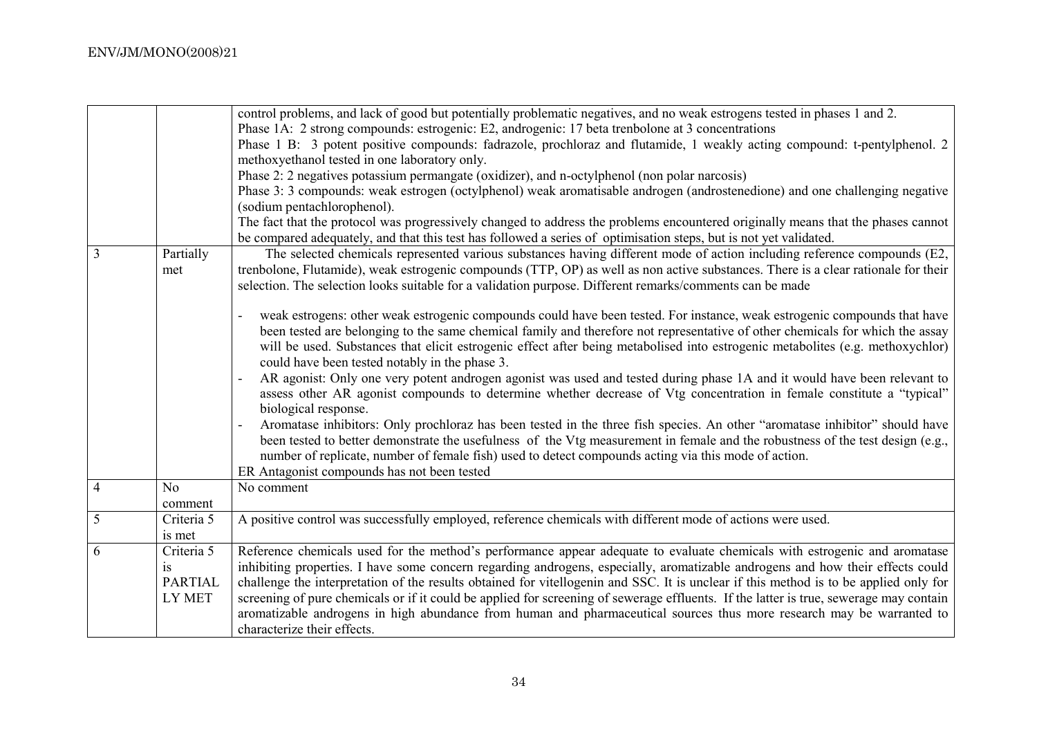|                |                | control problems, and lack of good but potentially problematic negatives, and no weak estrogens tested in phases 1 and 2.              |
|----------------|----------------|----------------------------------------------------------------------------------------------------------------------------------------|
|                |                | Phase 1A: 2 strong compounds: estrogenic: E2, androgenic: 17 beta trenbolone at 3 concentrations                                       |
|                |                | Phase 1 B: 3 potent positive compounds: fadrazole, prochloraz and flutamide, 1 weakly acting compound: t-pentylphenol. 2               |
|                |                | methoxyethanol tested in one laboratory only.                                                                                          |
|                |                | Phase 2: 2 negatives potassium permangate (oxidizer), and n-octylphenol (non polar narcosis)                                           |
|                |                | Phase 3: 3 compounds: weak estrogen (octylphenol) weak aromatisable androgen (androstenedione) and one challenging negative            |
|                |                | (sodium pentachlorophenol).                                                                                                            |
|                |                | The fact that the protocol was progressively changed to address the problems encountered originally means that the phases cannot       |
|                |                | be compared adequately, and that this test has followed a series of optimisation steps, but is not yet validated.                      |
|                | Partially      | The selected chemicals represented various substances having different mode of action including reference compounds (E2,               |
|                | met            | trenbolone, Flutamide), weak estrogenic compounds (TTP, OP) as well as non active substances. There is a clear rationale for their     |
|                |                | selection. The selection looks suitable for a validation purpose. Different remarks/comments can be made                               |
|                |                |                                                                                                                                        |
|                |                | weak estrogens: other weak estrogenic compounds could have been tested. For instance, weak estrogenic compounds that have              |
|                |                | been tested are belonging to the same chemical family and therefore not representative of other chemicals for which the assay          |
|                |                | will be used. Substances that elicit estrogenic effect after being metabolised into estrogenic metabolites (e.g. methoxychlor)         |
|                |                | could have been tested notably in the phase 3.                                                                                         |
|                |                | AR agonist: Only one very potent androgen agonist was used and tested during phase 1A and it would have been relevant to               |
|                |                | assess other AR agonist compounds to determine whether decrease of Vtg concentration in female constitute a "typical"                  |
|                |                | biological response.                                                                                                                   |
|                |                | Aromatase inhibitors: Only prochloraz has been tested in the three fish species. An other "aromatase inhibitor" should have            |
|                |                | been tested to better demonstrate the usefulness of the Vtg measurement in female and the robustness of the test design (e.g.,         |
|                |                | number of replicate, number of female fish) used to detect compounds acting via this mode of action.                                   |
|                |                | ER Antagonist compounds has not been tested                                                                                            |
| $\overline{4}$ | No             | No comment                                                                                                                             |
|                | comment        |                                                                                                                                        |
| 5              | Criteria 5     | A positive control was successfully employed, reference chemicals with different mode of actions were used.                            |
|                | is met         |                                                                                                                                        |
| 6              | Criteria 5     | Reference chemicals used for the method's performance appear adequate to evaluate chemicals with estrogenic and aromatase              |
|                | is             | inhibiting properties. I have some concern regarding androgens, especially, aromatizable androgens and how their effects could         |
|                | <b>PARTIAL</b> | challenge the interpretation of the results obtained for vitellogenin and SSC. It is unclear if this method is to be applied only for  |
|                | LY MET         | screening of pure chemicals or if it could be applied for screening of sewerage effluents. If the latter is true, sewerage may contain |
|                |                | aromatizable androgens in high abundance from human and pharmaceutical sources thus more research may be warranted to                  |
|                |                | characterize their effects.                                                                                                            |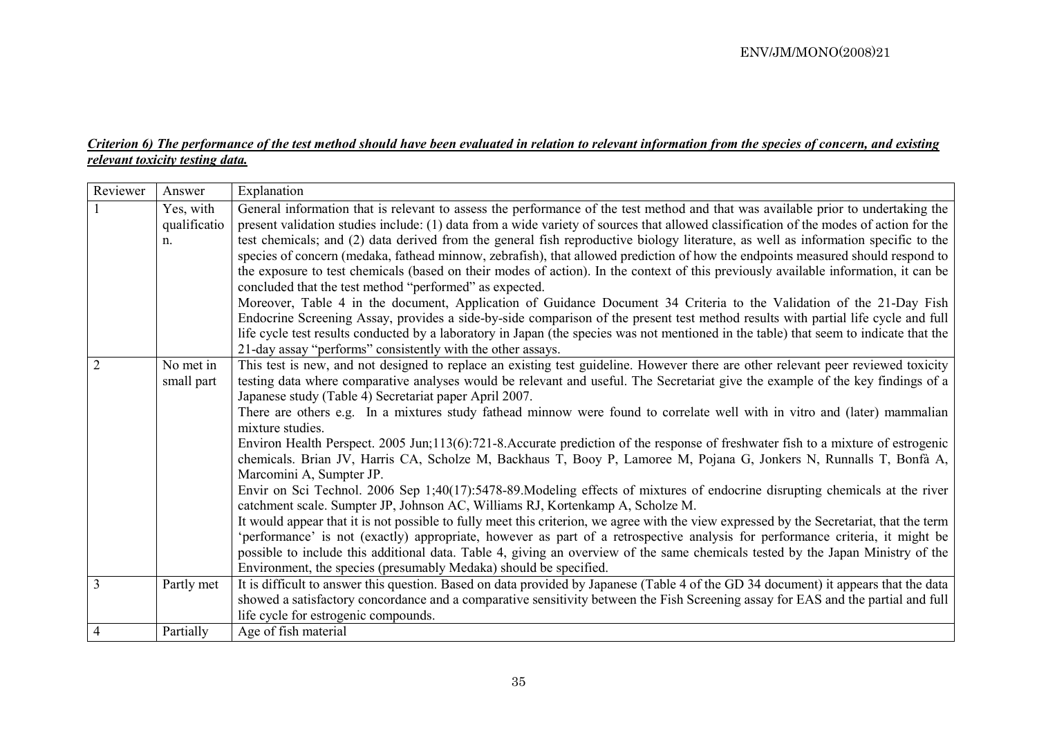# *Criterion 6) The performance of the test method should have been evaluated in relation to relevant information from the species of concern, and existing relevant toxicity testing data.*

| Reviewer       | Answer       | Explanation                                                                                                                                                                                               |  |
|----------------|--------------|-----------------------------------------------------------------------------------------------------------------------------------------------------------------------------------------------------------|--|
|                | Yes, with    | General information that is relevant to assess the performance of the test method and that was available prior to undertaking the                                                                         |  |
|                | qualificatio | present validation studies include: (1) data from a wide variety of sources that allowed classification of the modes of action for the                                                                    |  |
|                | n.           | test chemicals; and (2) data derived from the general fish reproductive biology literature, as well as information specific to the                                                                        |  |
|                |              | species of concern (medaka, fathead minnow, zebrafish), that allowed prediction of how the endpoints measured should respond to                                                                           |  |
|                |              | the exposure to test chemicals (based on their modes of action). In the context of this previously available information, it can be                                                                       |  |
|                |              | concluded that the test method "performed" as expected.                                                                                                                                                   |  |
|                |              | Moreover, Table 4 in the document, Application of Guidance Document 34 Criteria to the Validation of the 21-Day Fish                                                                                      |  |
|                |              | Endocrine Screening Assay, provides a side-by-side comparison of the present test method results with partial life cycle and full                                                                         |  |
|                |              | life cycle test results conducted by a laboratory in Japan (the species was not mentioned in the table) that seem to indicate that the                                                                    |  |
|                |              | 21-day assay "performs" consistently with the other assays.                                                                                                                                               |  |
| $\overline{2}$ | No met in    | This test is new, and not designed to replace an existing test guideline. However there are other relevant peer reviewed toxicity                                                                         |  |
|                | small part   | testing data where comparative analyses would be relevant and useful. The Secretariat give the example of the key findings of a                                                                           |  |
|                |              | Japanese study (Table 4) Secretariat paper April 2007.<br>There are others e.g. In a mixtures study fathead minnow were found to correlate well with in vitro and (later) mammalian                       |  |
|                |              | mixture studies.                                                                                                                                                                                          |  |
|                |              | Environ Health Perspect. 2005 Jun;113(6):721-8. Accurate prediction of the response of freshwater fish to a mixture of estrogenic                                                                         |  |
|                |              | chemicals. Brian JV, Harris CA, Scholze M, Backhaus T, Booy P, Lamoree M, Pojana G, Jonkers N, Runnalls T, Bonfà A,                                                                                       |  |
|                |              | Marcomini A, Sumpter JP.                                                                                                                                                                                  |  |
|                |              | Envir on Sci Technol. 2006 Sep 1;40(17):5478-89. Modeling effects of mixtures of endocrine disrupting chemicals at the river                                                                              |  |
|                |              | catchment scale. Sumpter JP, Johnson AC, Williams RJ, Kortenkamp A, Scholze M.                                                                                                                            |  |
|                |              | It would appear that it is not possible to fully meet this criterion, we agree with the view expressed by the Secretariat, that the term                                                                  |  |
|                |              | 'performance' is not (exactly) appropriate, however as part of a retrospective analysis for performance criteria, it might be                                                                             |  |
|                |              | possible to include this additional data. Table 4, giving an overview of the same chemicals tested by the Japan Ministry of the                                                                           |  |
| $\overline{3}$ | Partly met   | Environment, the species (presumably Medaka) should be specified.<br>It is difficult to answer this question. Based on data provided by Japanese (Table 4 of the GD 34 document) it appears that the data |  |
|                |              | showed a satisfactory concordance and a comparative sensitivity between the Fish Screening assay for EAS and the partial and full                                                                         |  |
|                |              | life cycle for estrogenic compounds.                                                                                                                                                                      |  |
| $\overline{4}$ | Partially    | Age of fish material                                                                                                                                                                                      |  |
|                |              |                                                                                                                                                                                                           |  |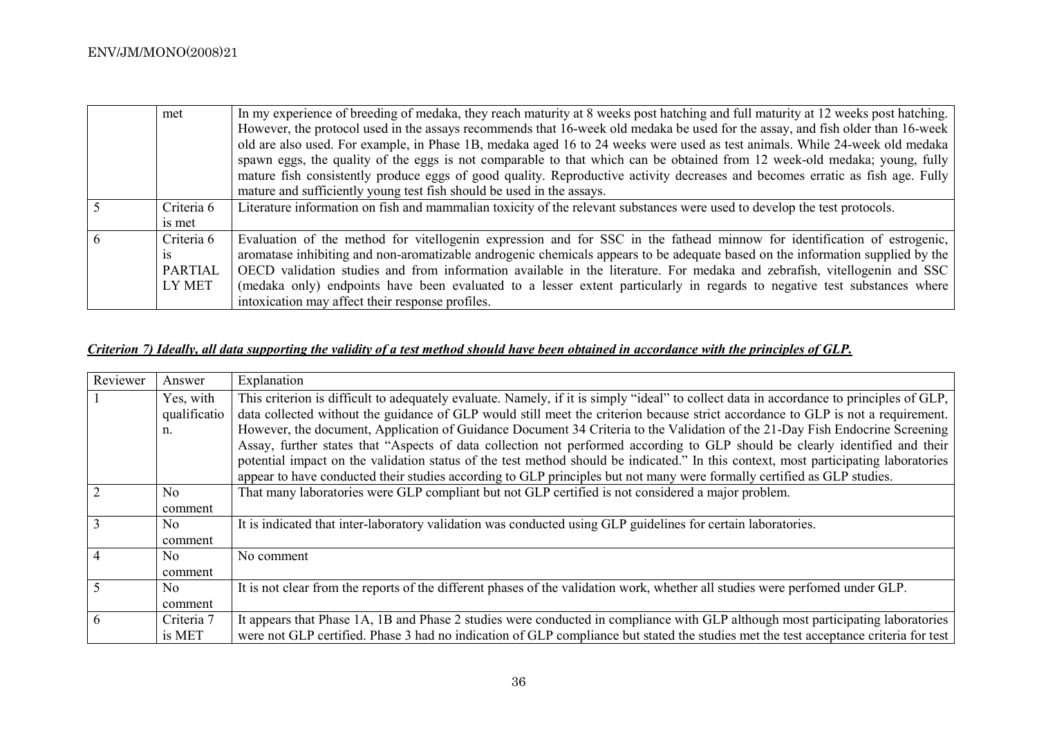| met            | In my experience of breeding of medaka, they reach maturity at 8 weeks post hatching and full maturity at 12 weeks post hatching.<br>However, the protocol used in the assays recommends that 16-week old medaka be used for the assay, and fish older than 16-week<br>old are also used. For example, in Phase 1B, medaka aged 16 to 24 weeks were used as test animals. While 24-week old medaka<br>spawn eggs, the quality of the eggs is not comparable to that which can be obtained from 12 week-old medaka; young, fully |  |
|----------------|---------------------------------------------------------------------------------------------------------------------------------------------------------------------------------------------------------------------------------------------------------------------------------------------------------------------------------------------------------------------------------------------------------------------------------------------------------------------------------------------------------------------------------|--|
|                | mature fish consistently produce eggs of good quality. Reproductive activity decreases and becomes erratic as fish age. Fully<br>mature and sufficiently young test fish should be used in the assays.                                                                                                                                                                                                                                                                                                                          |  |
| Criteria 6     | Literature information on fish and mammalian toxicity of the relevant substances were used to develop the test protocols.                                                                                                                                                                                                                                                                                                                                                                                                       |  |
| is met         |                                                                                                                                                                                                                                                                                                                                                                                                                                                                                                                                 |  |
| Criteria 6     | Evaluation of the method for vitellogenin expression and for SSC in the fathead minnow for identification of estrogenic,                                                                                                                                                                                                                                                                                                                                                                                                        |  |
| 1S             | aromatase inhibiting and non-aromatizable androgenic chemicals appears to be adequate based on the information supplied by the                                                                                                                                                                                                                                                                                                                                                                                                  |  |
| <b>PARTIAL</b> | OECD validation studies and from information available in the literature. For medaka and zebrafish, vitellogenin and SSC                                                                                                                                                                                                                                                                                                                                                                                                        |  |
| LY MET         | (medaka only) endpoints have been evaluated to a lesser extent particularly in regards to negative test substances where                                                                                                                                                                                                                                                                                                                                                                                                        |  |
|                | intoxication may affect their response profiles.                                                                                                                                                                                                                                                                                                                                                                                                                                                                                |  |

# *Criterion 7) Ideally, all data supporting the validity of a test method should have been obtained in accordance with the principles of GLP.*

| Reviewer | Answer                          | Explanation                                                                                                                                                                                                                                                                                                                                                                                                                                                                                                                                                                                                                                                                                                                                                                                                   |  |
|----------|---------------------------------|---------------------------------------------------------------------------------------------------------------------------------------------------------------------------------------------------------------------------------------------------------------------------------------------------------------------------------------------------------------------------------------------------------------------------------------------------------------------------------------------------------------------------------------------------------------------------------------------------------------------------------------------------------------------------------------------------------------------------------------------------------------------------------------------------------------|--|
|          | Yes, with<br>qualificatio<br>n. | This criterion is difficult to adequately evaluate. Namely, if it is simply "ideal" to collect data in accordance to principles of GLP,<br>data collected without the guidance of GLP would still meet the criterion because strict accordance to GLP is not a requirement.<br>However, the document, Application of Guidance Document 34 Criteria to the Validation of the 21-Day Fish Endocrine Screening<br>Assay, further states that "Aspects of data collection not performed according to GLP should be clearly identified and their<br>potential impact on the validation status of the test method should be indicated." In this context, most participating laboratories<br>appear to have conducted their studies according to GLP principles but not many were formally certified as GLP studies. |  |
|          | N <sub>0</sub>                  | That many laboratories were GLP compliant but not GLP certified is not considered a major problem.                                                                                                                                                                                                                                                                                                                                                                                                                                                                                                                                                                                                                                                                                                            |  |
|          | comment                         |                                                                                                                                                                                                                                                                                                                                                                                                                                                                                                                                                                                                                                                                                                                                                                                                               |  |
|          | No.                             | It is indicated that inter-laboratory validation was conducted using GLP guidelines for certain laboratories.                                                                                                                                                                                                                                                                                                                                                                                                                                                                                                                                                                                                                                                                                                 |  |
|          | comment                         |                                                                                                                                                                                                                                                                                                                                                                                                                                                                                                                                                                                                                                                                                                                                                                                                               |  |
|          | No.                             | No comment                                                                                                                                                                                                                                                                                                                                                                                                                                                                                                                                                                                                                                                                                                                                                                                                    |  |
|          | comment                         |                                                                                                                                                                                                                                                                                                                                                                                                                                                                                                                                                                                                                                                                                                                                                                                                               |  |
|          | No.                             | It is not clear from the reports of the different phases of the validation work, whether all studies were performed under GLP.                                                                                                                                                                                                                                                                                                                                                                                                                                                                                                                                                                                                                                                                                |  |
|          | comment                         |                                                                                                                                                                                                                                                                                                                                                                                                                                                                                                                                                                                                                                                                                                                                                                                                               |  |
| 6        | Criteria 7                      | It appears that Phase 1A, 1B and Phase 2 studies were conducted in compliance with GLP although most participating laboratories                                                                                                                                                                                                                                                                                                                                                                                                                                                                                                                                                                                                                                                                               |  |
|          | is MET                          | were not GLP certified. Phase 3 had no indication of GLP compliance but stated the studies met the test acceptance criteria for test                                                                                                                                                                                                                                                                                                                                                                                                                                                                                                                                                                                                                                                                          |  |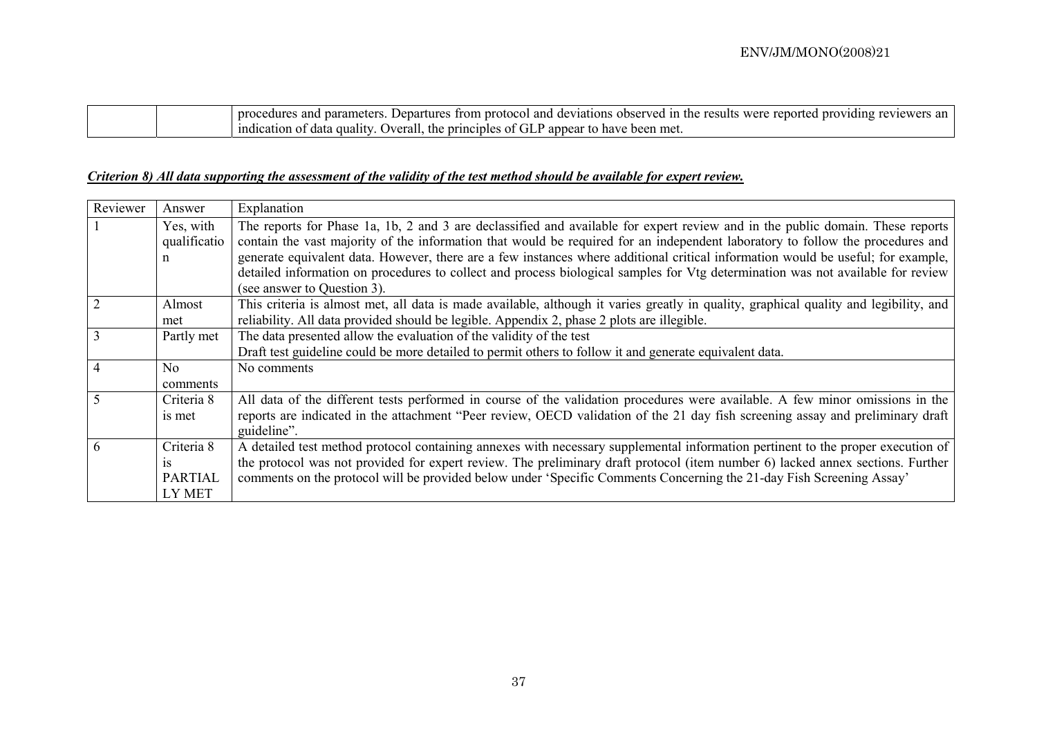|  | I procedures and parameters. Departures from protocol and deviations observed in the results were reported providing reviewers an |
|--|-----------------------------------------------------------------------------------------------------------------------------------|
|  | indication of data quality. Overall, the principles of GLP appear to have been met.                                               |

# *Criterion 8) All data supporting the assessment of the validity of the test method should be available for expert review.*

| Reviewer     | Answer       | Explanation                                                                                                                           |  |
|--------------|--------------|---------------------------------------------------------------------------------------------------------------------------------------|--|
|              | Yes, with    | The reports for Phase 1a, 1b, 2 and 3 are declassified and available for expert review and in the public domain. These reports        |  |
|              | qualificatio | contain the vast majority of the information that would be required for an independent laboratory to follow the procedures and        |  |
|              |              | generate equivalent data. However, there are a few instances where additional critical information would be useful; for example,      |  |
|              |              | detailed information on procedures to collect and process biological samples for Vtg determination was not available for review       |  |
|              |              | (see answer to Question 3).                                                                                                           |  |
| 2            | Almost       | This criteria is almost met, all data is made available, although it varies greatly in quality, graphical quality and legibility, and |  |
|              | met          | reliability. All data provided should be legible. Appendix 2, phase 2 plots are illegible.                                            |  |
| $\mathbf{3}$ | Partly met   | The data presented allow the evaluation of the validity of the test                                                                   |  |
|              |              | Draft test guideline could be more detailed to permit others to follow it and generate equivalent data.                               |  |
| 4            | No           | No comments                                                                                                                           |  |
|              | comments     |                                                                                                                                       |  |
|              | Criteria 8   | All data of the different tests performed in course of the validation procedures were available. A few minor omissions in the         |  |
|              | is met       | reports are indicated in the attachment "Peer review, OECD validation of the 21 day fish screening assay and preliminary draft        |  |
|              |              | guideline".                                                                                                                           |  |
| 6            | Criteria 8   | A detailed test method protocol containing annexes with necessary supplemental information pertinent to the proper execution of       |  |
|              | 1S           | the protocol was not provided for expert review. The preliminary draft protocol (item number 6) lacked annex sections. Further        |  |
|              | PARTIAL      | comments on the protocol will be provided below under 'Specific Comments Concerning the 21-day Fish Screening Assay'                  |  |
|              | LY MET       |                                                                                                                                       |  |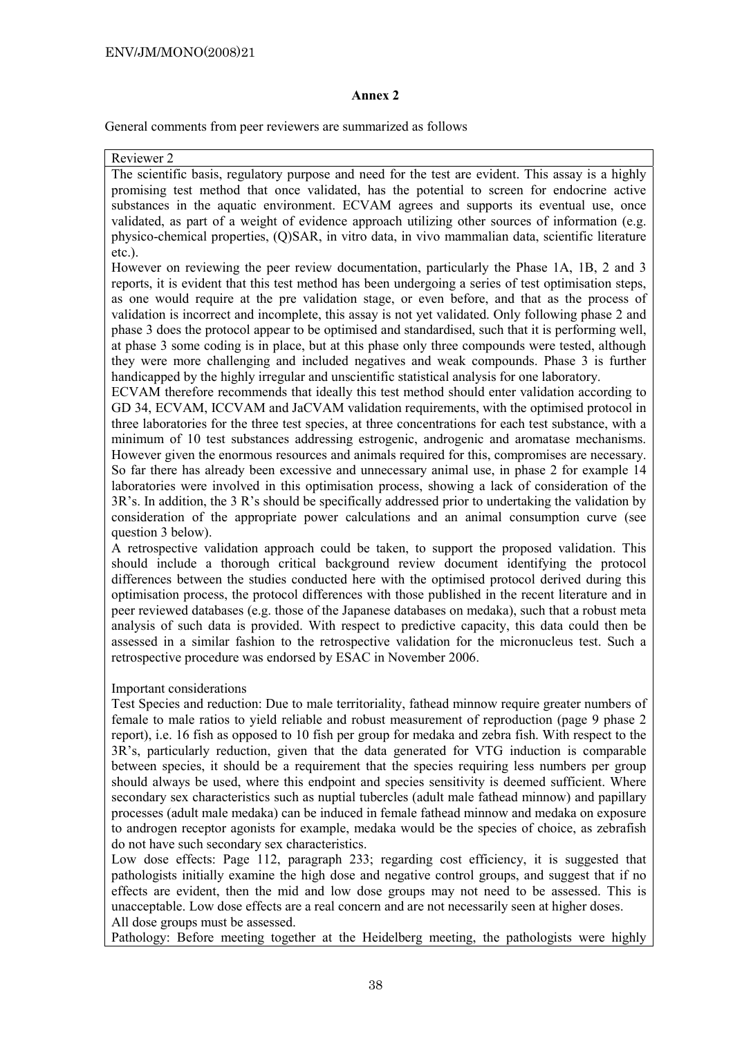#### **Annex 2**

General comments from peer reviewers are summarized as follows

Reviewer 2

The scientific basis, regulatory purpose and need for the test are evident. This assay is a highly promising test method that once validated, has the potential to screen for endocrine active substances in the aquatic environment. ECVAM agrees and supports its eventual use, once validated, as part of a weight of evidence approach utilizing other sources of information (e.g. physico-chemical properties, (Q)SAR, in vitro data, in vivo mammalian data, scientific literature etc.).

However on reviewing the peer review documentation, particularly the Phase 1A, 1B, 2 and 3 reports, it is evident that this test method has been undergoing a series of test optimisation steps, as one would require at the pre validation stage, or even before, and that as the process of validation is incorrect and incomplete, this assay is not yet validated. Only following phase 2 and phase 3 does the protocol appear to be optimised and standardised, such that it is performing well, at phase 3 some coding is in place, but at this phase only three compounds were tested, although they were more challenging and included negatives and weak compounds. Phase 3 is further handicapped by the highly irregular and unscientific statistical analysis for one laboratory.

ECVAM therefore recommends that ideally this test method should enter validation according to GD 34, ECVAM, ICCVAM and JaCVAM validation requirements, with the optimised protocol in three laboratories for the three test species, at three concentrations for each test substance, with a minimum of 10 test substances addressing estrogenic, androgenic and aromatase mechanisms. However given the enormous resources and animals required for this, compromises are necessary. So far there has already been excessive and unnecessary animal use, in phase 2 for example 14 laboratories were involved in this optimisation process, showing a lack of consideration of the 3R's. In addition, the 3 R's should be specifically addressed prior to undertaking the validation by consideration of the appropriate power calculations and an animal consumption curve (see question 3 below).

A retrospective validation approach could be taken, to support the proposed validation. This should include a thorough critical background review document identifying the protocol differences between the studies conducted here with the optimised protocol derived during this optimisation process, the protocol differences with those published in the recent literature and in peer reviewed databases (e.g. those of the Japanese databases on medaka), such that a robust meta analysis of such data is provided. With respect to predictive capacity, this data could then be assessed in a similar fashion to the retrospective validation for the micronucleus test. Such a retrospective procedure was endorsed by ESAC in November 2006.

Important considerations

Test Species and reduction: Due to male territoriality, fathead minnow require greater numbers of female to male ratios to yield reliable and robust measurement of reproduction (page 9 phase 2 report), i.e. 16 fish as opposed to 10 fish per group for medaka and zebra fish. With respect to the 3R's, particularly reduction, given that the data generated for VTG induction is comparable between species, it should be a requirement that the species requiring less numbers per group should always be used, where this endpoint and species sensitivity is deemed sufficient. Where secondary sex characteristics such as nuptial tubercles (adult male fathead minnow) and papillary processes (adult male medaka) can be induced in female fathead minnow and medaka on exposure to androgen receptor agonists for example, medaka would be the species of choice, as zebrafish do not have such secondary sex characteristics.

Low dose effects: Page 112, paragraph 233; regarding cost efficiency, it is suggested that pathologists initially examine the high dose and negative control groups, and suggest that if no effects are evident, then the mid and low dose groups may not need to be assessed. This is unacceptable. Low dose effects are a real concern and are not necessarily seen at higher doses. All dose groups must be assessed.

Pathology: Before meeting together at the Heidelberg meeting, the pathologists were highly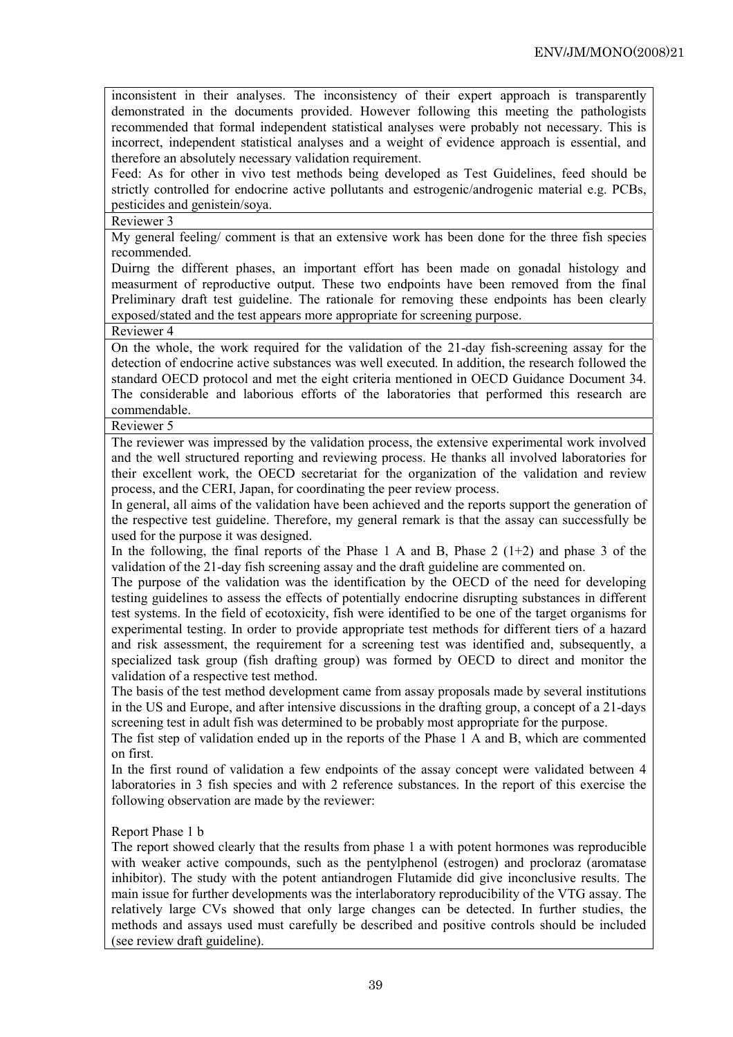inconsistent in their analyses. The inconsistency of their expert approach is transparently demonstrated in the documents provided. However following this meeting the pathologists recommended that formal independent statistical analyses were probably not necessary. This is incorrect, independent statistical analyses and a weight of evidence approach is essential, and therefore an absolutely necessary validation requirement.

Feed: As for other in vivo test methods being developed as Test Guidelines, feed should be strictly controlled for endocrine active pollutants and estrogenic/androgenic material e.g. PCBs, pesticides and genistein/soya.

Reviewer 3

My general feeling/ comment is that an extensive work has been done for the three fish species recommended.

Duirng the different phases, an important effort has been made on gonadal histology and measurment of reproductive output. These two endpoints have been removed from the final Preliminary draft test guideline. The rationale for removing these endpoints has been clearly exposed/stated and the test appears more appropriate for screening purpose.

Reviewer 4

On the whole, the work required for the validation of the 21-day fish-screening assay for the detection of endocrine active substances was well executed. In addition, the research followed the standard OECD protocol and met the eight criteria mentioned in OECD Guidance Document 34. The considerable and laborious efforts of the laboratories that performed this research are commendable.

Reviewer 5

The reviewer was impressed by the validation process, the extensive experimental work involved and the well structured reporting and reviewing process. He thanks all involved laboratories for their excellent work, the OECD secretariat for the organization of the validation and review process, and the CERI, Japan, for coordinating the peer review process.

In general, all aims of the validation have been achieved and the reports support the generation of the respective test guideline. Therefore, my general remark is that the assay can successfully be used for the purpose it was designed.

In the following, the final reports of the Phase 1 A and B, Phase 2  $(1+2)$  and phase 3 of the validation of the 21-day fish screening assay and the draft guideline are commented on.

The purpose of the validation was the identification by the OECD of the need for developing testing guidelines to assess the effects of potentially endocrine disrupting substances in different test systems. In the field of ecotoxicity, fish were identified to be one of the target organisms for experimental testing. In order to provide appropriate test methods for different tiers of a hazard and risk assessment, the requirement for a screening test was identified and, subsequently, a specialized task group (fish drafting group) was formed by OECD to direct and monitor the validation of a respective test method.

The basis of the test method development came from assay proposals made by several institutions in the US and Europe, and after intensive discussions in the drafting group, a concept of a 21-days screening test in adult fish was determined to be probably most appropriate for the purpose.

The fist step of validation ended up in the reports of the Phase 1 A and B, which are commented on first.

In the first round of validation a few endpoints of the assay concept were validated between 4 laboratories in 3 fish species and with 2 reference substances. In the report of this exercise the following observation are made by the reviewer:

#### Report Phase 1 b

The report showed clearly that the results from phase 1 a with potent hormones was reproducible with weaker active compounds, such as the pentylphenol (estrogen) and procloraz (aromatase inhibitor). The study with the potent antiandrogen Flutamide did give inconclusive results. The main issue for further developments was the interlaboratory reproducibility of the VTG assay. The relatively large CVs showed that only large changes can be detected. In further studies, the methods and assays used must carefully be described and positive controls should be included (see review draft guideline).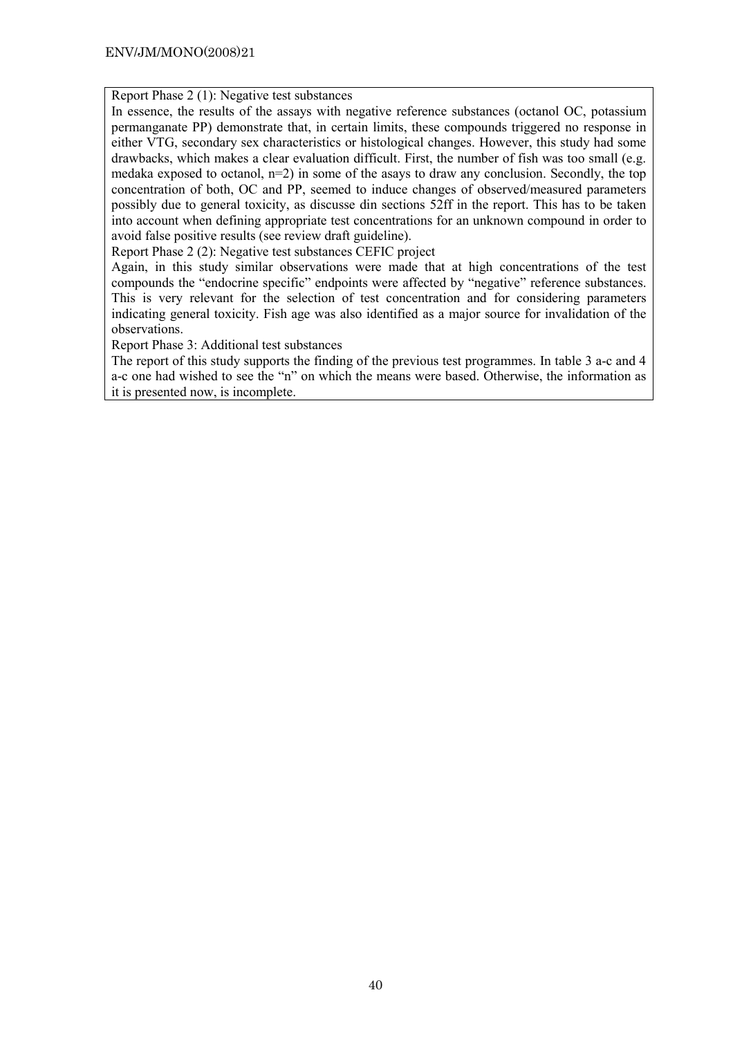Report Phase 2 (1): Negative test substances

In essence, the results of the assays with negative reference substances (octanol OC, potassium permanganate PP) demonstrate that, in certain limits, these compounds triggered no response in either VTG, secondary sex characteristics or histological changes. However, this study had some drawbacks, which makes a clear evaluation difficult. First, the number of fish was too small (e.g. medaka exposed to octanol, n=2) in some of the asays to draw any conclusion. Secondly, the top concentration of both, OC and PP, seemed to induce changes of observed/measured parameters possibly due to general toxicity, as discusse din sections 52ff in the report. This has to be taken into account when defining appropriate test concentrations for an unknown compound in order to avoid false positive results (see review draft guideline).

Report Phase 2 (2): Negative test substances CEFIC project

Again, in this study similar observations were made that at high concentrations of the test compounds the "endocrine specific" endpoints were affected by "negative" reference substances. This is very relevant for the selection of test concentration and for considering parameters indicating general toxicity. Fish age was also identified as a major source for invalidation of the observations.

Report Phase 3: Additional test substances

The report of this study supports the finding of the previous test programmes. In table 3 a-c and 4 a-c one had wished to see the "n" on which the means were based. Otherwise, the information as it is presented now, is incomplete.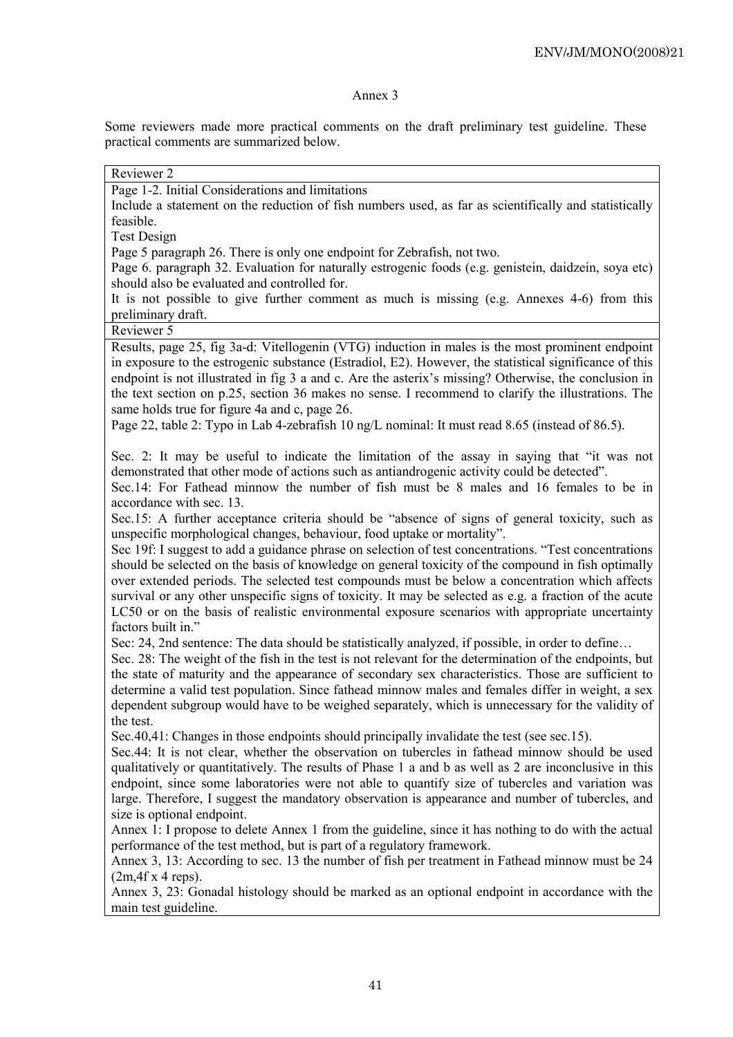#### Annex 3

Some reviewers made more practical comments on the draft preliminary test guideline. These practical comments are summarized below.

Reviewer 2 Page 1-2. Initial Considerations and limitations Include a statement on the reduction of fish numbers used, as far as scientifically and statistically feasible. Test Design Page 5 paragraph 26. There is only one endpoint for Zebrafish, not two. Page 6. paragraph 32. Evaluation for naturally estrogenic foods (e.g. genistein, daidzein, soya etc) should also be evaluated and controlled for. It is not possible to give further comment as much is missing (e.g. Annexes 4-6) from this preliminary draft. Reviewer 5 Results, page 25, fig 3a-d: Vitellogenin (VTG) induction in males is the most prominent endpoint in exposure to the estrogenic substance (Estradiol, E2). However, the statistical significance of this endpoint is not illustrated in fig 3 a and c. Are the asterix's missing? Otherwise, the conclusion in the text section on p.25, section 36 makes no sense. I recommend to clarify the illustrations. The same holds true for figure 4a and c, page 26. Page 22, table 2: Typo in Lab 4-zebrafish 10 ng/L nominal: It must read 8.65 (instead of 86.5). Sec. 2: It may be useful to indicate the limitation of the assay in saying that "it was not demonstrated that other mode of actions such as antiandrogenic activity could be detected". Sec.14: For Fathead minnow the number of fish must be 8 males and 16 females to be in accordance with sec. 13. Sec.15: A further acceptance criteria should be "absence of signs of general toxicity, such as unspecific morphological changes, behaviour, food uptake or mortality". Sec 19f: I suggest to add a guidance phrase on selection of test concentrations. "Test concentrations should be selected on the basis of knowledge on general toxicity of the compound in fish optimally over extended periods. The selected test compounds must be below a concentration which affects survival or any other unspecific signs of toxicity. It may be selected as e.g. a fraction of the acute LC50 or on the basis of realistic environmental exposure scenarios with appropriate uncertainty factors built in." Sec: 24, 2nd sentence: The data should be statistically analyzed, if possible, in order to define… Sec. 28: The weight of the fish in the test is not relevant for the determination of the endpoints, but the state of maturity and the appearance of secondary sex characteristics. Those are sufficient to determine a valid test population. Since fathead minnow males and females differ in weight, a sex dependent subgroup would have to be weighed separately, which is unnecessary for the validity of the test. Sec. 40,41: Changes in those endpoints should principally invalidate the test (see sec. 15). Sec.44: It is not clear, whether the observation on tubercles in fathead minnow should be used qualitatively or quantitatively. The results of Phase 1 a and b as well as 2 are inconclusive in this endpoint, since some laboratories were not able to quantify size of tubercles and variation was large. Therefore, I suggest the mandatory observation is appearance and number of tubercles, and size is optional endpoint. Annex 1: I propose to delete Annex 1 from the guideline, since it has nothing to do with the actual performance of the test method, but is part of a regulatory framework. Annex 3, 13: According to sec. 13 the number of fish per treatment in Fathead minnow must be 24  $(2m, 4f x 4$  reps). Annex 3, 23: Gonadal histology should be marked as an optional endpoint in accordance with the main test guideline.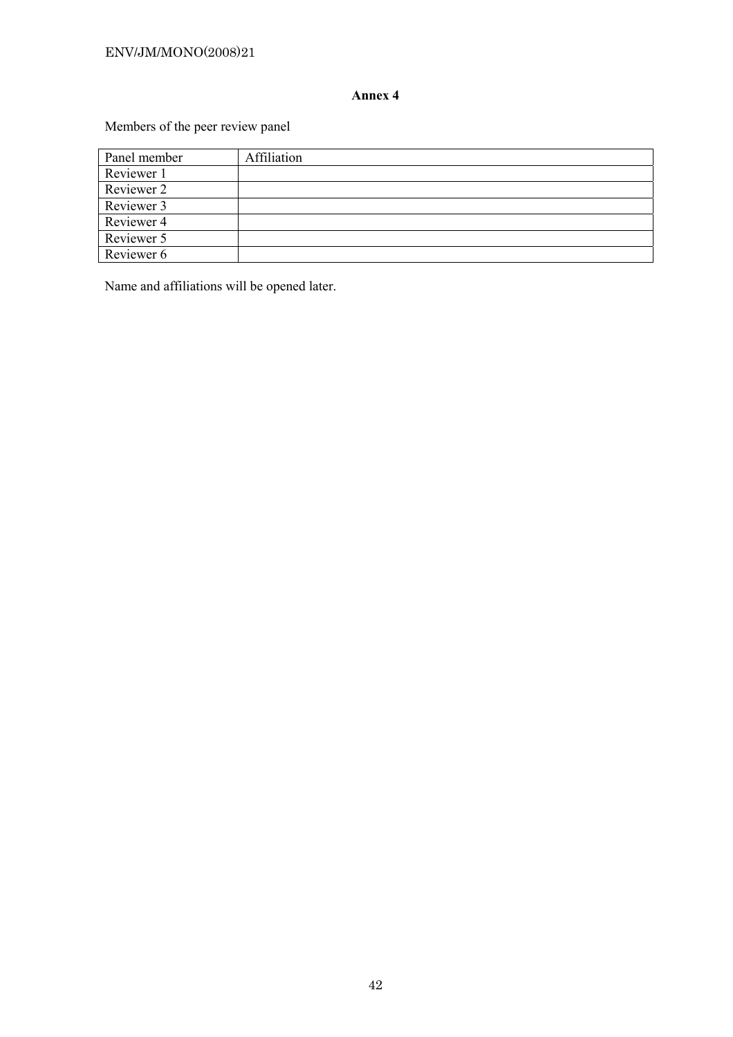# ENV/JM/MONO(2008)21

### **Annex 4**

Members of the peer review panel

| Panel member | Affiliation |
|--------------|-------------|
| Reviewer 1   |             |
| Reviewer 2   |             |
| Reviewer 3   |             |
| Reviewer 4   |             |
| Reviewer 5   |             |
| Reviewer 6   |             |

Name and affiliations will be opened later.